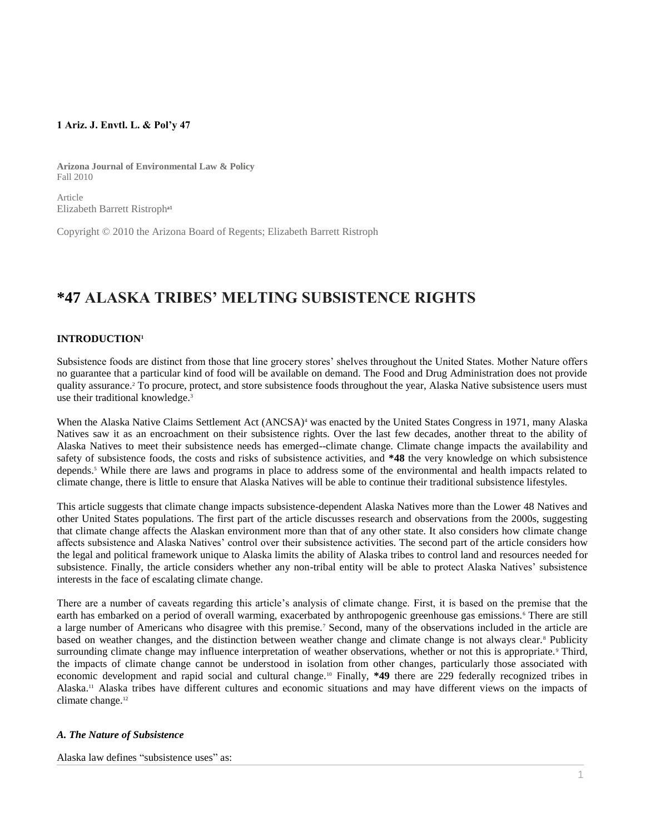## **1 Ariz. J. Envtl. L. & Pol'y 47**

**Arizona Journal of Environmental Law & Policy** Fall 2010

Article Elizabeth Barrett Ristropha1

Copyright © 2010 the Arizona Board of Regents; Elizabeth Barrett Ristroph

# **\*47 ALASKA TRIBES' MELTING SUBSISTENCE RIGHTS**

## **INTRODUCTION<sup>1</sup>**

Subsistence foods are distinct from those that line grocery stores' shelves throughout the United States. Mother Nature offers no guarantee that a particular kind of food will be available on demand. The Food and Drug Administration does not provide quality assurance.<sup>2</sup> To procure, protect, and store subsistence foods throughout the year, Alaska Native subsistence users must use their traditional knowledge.<sup>3</sup>

When the Alaska Native Claims Settlement Act (ANCSA)<sup>4</sup> was enacted by the United States Congress in 1971, many Alaska Natives saw it as an encroachment on their subsistence rights. Over the last few decades, another threat to the ability of Alaska Natives to meet their subsistence needs has emerged--climate change. Climate change impacts the availability and safety of subsistence foods, the costs and risks of subsistence activities, and **\*48** the very knowledge on which subsistence depends.<sup>5</sup> While there are laws and programs in place to address some of the environmental and health impacts related to climate change, there is little to ensure that Alaska Natives will be able to continue their traditional subsistence lifestyles.

This article suggests that climate change impacts subsistence-dependent Alaska Natives more than the Lower 48 Natives and other United States populations. The first part of the article discusses research and observations from the 2000s, suggesting that climate change affects the Alaskan environment more than that of any other state. It also considers how climate change affects subsistence and Alaska Natives' control over their subsistence activities. The second part of the article considers how the legal and political framework unique to Alaska limits the ability of Alaska tribes to control land and resources needed for subsistence. Finally, the article considers whether any non-tribal entity will be able to protect Alaska Natives' subsistence interests in the face of escalating climate change.

There are a number of caveats regarding this article's analysis of climate change. First, it is based on the premise that the earth has embarked on a period of overall warming, exacerbated by anthropogenic greenhouse gas emissions.<sup>6</sup> There are still a large number of Americans who disagree with this premise.<sup>7</sup> Second, many of the observations included in the article are based on weather changes, and the distinction between weather change and climate change is not always clear.<sup>8</sup> Publicity surrounding climate change may influence interpretation of weather observations, whether or not this is appropriate.<sup>9</sup> Third, the impacts of climate change cannot be understood in isolation from other changes, particularly those associated with economic development and rapid social and cultural change.<sup>10</sup> Finally, **\*49** there are 229 federally recognized tribes in Alaska.<sup>11</sup> Alaska tribes have different cultures and economic situations and may have different views on the impacts of climate change.<sup>12</sup>

## *A. The Nature of Subsistence*

Alaska law defines "subsistence uses" as: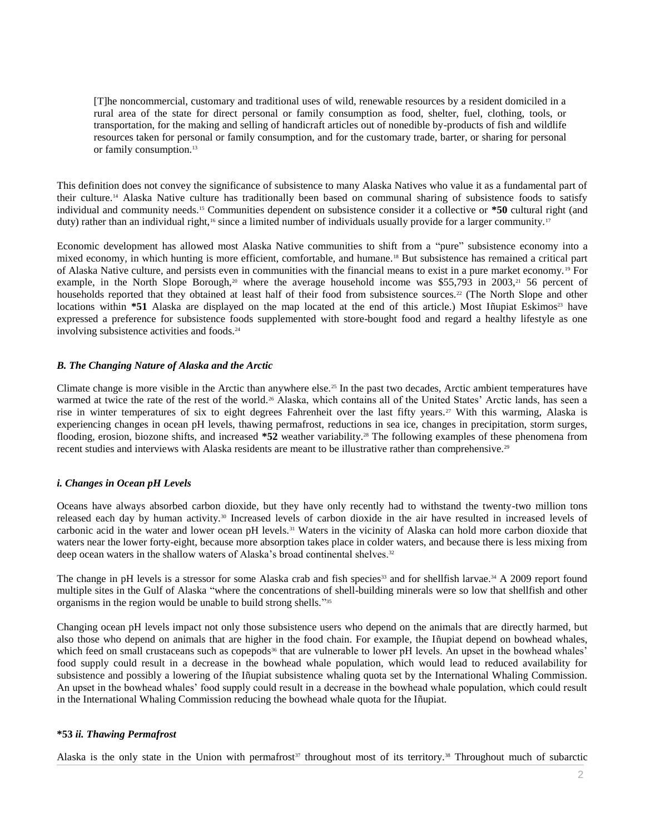[T]he noncommercial, customary and traditional uses of wild, renewable resources by a resident domiciled in a rural area of the state for direct personal or family consumption as food, shelter, fuel, clothing, tools, or transportation, for the making and selling of handicraft articles out of nonedible by-products of fish and wildlife resources taken for personal or family consumption, and for the customary trade, barter, or sharing for personal or family consumption.<sup>13</sup>

This definition does not convey the significance of subsistence to many Alaska Natives who value it as a fundamental part of their culture.<sup>14</sup> Alaska Native culture has traditionally been based on communal sharing of subsistence foods to satisfy individual and community needs.<sup>15</sup> Communities dependent on subsistence consider it a collective or **\*50** cultural right (and duty) rather than an individual right,<sup>16</sup> since a limited number of individuals usually provide for a larger community.<sup>17</sup>

Economic development has allowed most Alaska Native communities to shift from a "pure" subsistence economy into a mixed economy, in which hunting is more efficient, comfortable, and humane.<sup>18</sup> But subsistence has remained a critical part of Alaska Native culture, and persists even in communities with the financial means to exist in a pure market economy.<sup>19</sup> For example, in the North Slope Borough,<sup>20</sup> where the average household income was \$55,793 in 2003,<sup>21</sup> 56 percent of households reported that they obtained at least half of their food from subsistence sources.<sup>22</sup> (The North Slope and other locations within \*51 Alaska are displayed on the map located at the end of this article.) Most Iñupiat Eskimos<sup>23</sup> have expressed a preference for subsistence foods supplemented with store-bought food and regard a healthy lifestyle as one involving subsistence activities and foods.<sup>24</sup>

## *B. The Changing Nature of Alaska and the Arctic*

Climate change is more visible in the Arctic than anywhere else.<sup>25</sup> In the past two decades, Arctic ambient temperatures have warmed at twice the rate of the rest of the world.<sup>26</sup> Alaska, which contains all of the United States' Arctic lands, has seen a rise in winter temperatures of six to eight degrees Fahrenheit over the last fifty years.<sup>27</sup> With this warming, Alaska is experiencing changes in ocean pH levels, thawing permafrost, reductions in sea ice, changes in precipitation, storm surges, flooding, erosion, biozone shifts, and increased **\*52** weather variability.<sup>28</sup> The following examples of these phenomena from recent studies and interviews with Alaska residents are meant to be illustrative rather than comprehensive.<sup>29</sup>

# *i. Changes in Ocean pH Levels*

Oceans have always absorbed carbon dioxide, but they have only recently had to withstand the twenty-two million tons released each day by human activity.<sup>30</sup> Increased levels of carbon dioxide in the air have resulted in increased levels of carbonic acid in the water and lower ocean pH levels.<sup>31</sup> Waters in the vicinity of Alaska can hold more carbon dioxide that waters near the lower forty-eight, because more absorption takes place in colder waters, and because there is less mixing from deep ocean waters in the shallow waters of Alaska's broad continental shelves.<sup>32</sup>

The change in pH levels is a stressor for some Alaska crab and fish species<sup>33</sup> and for shellfish larvae.<sup>34</sup> A 2009 report found multiple sites in the Gulf of Alaska "where the concentrations of shell-building minerals were so low that shellfish and other organisms in the region would be unable to build strong shells."<sup>355</sup>

Changing ocean pH levels impact not only those subsistence users who depend on the animals that are directly harmed, but also those who depend on animals that are higher in the food chain. For example, the Iñupiat depend on bowhead whales, which feed on small crustaceans such as copepods<sup>36</sup> that are vulnerable to lower pH levels. An upset in the bowhead whales' food supply could result in a decrease in the bowhead whale population, which would lead to reduced availability for subsistence and possibly a lowering of the Iñupiat subsistence whaling quota set by the International Whaling Commission. An upset in the bowhead whales' food supply could result in a decrease in the bowhead whale population, which could result in the International Whaling Commission reducing the bowhead whale quota for the Iñupiat.

## **\*53** *ii. Thawing Permafrost*

Alaska is the only state in the Union with permafrost<sup>37</sup> throughout most of its territory.<sup>38</sup> Throughout much of subarctic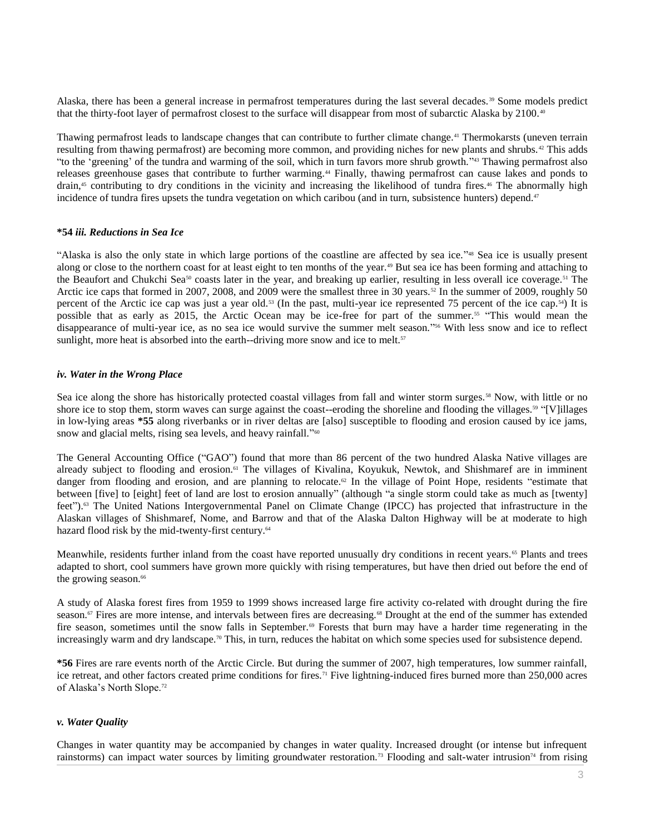Alaska, there has been a general increase in permafrost temperatures during the last several decades.<sup>39</sup> Some models predict that the thirty-foot layer of permafrost closest to the surface will disappear from most of subarctic Alaska by 2100.<sup>40</sup>

Thawing permafrost leads to landscape changes that can contribute to further climate change.<sup>41</sup> Thermokarsts (uneven terrain resulting from thawing permafrost) are becoming more common, and providing niches for new plants and shrubs. <sup>42</sup> This adds "to the 'greening' of the tundra and warming of the soil, which in turn favors more shrub growth." <sup>43</sup> Thawing permafrost also releases greenhouse gases that contribute to further warming.<sup>44</sup> Finally, thawing permafrost can cause lakes and ponds to drain,<sup>45</sup> contributing to dry conditions in the vicinity and increasing the likelihood of tundra fires.<sup>46</sup> The abnormally high incidence of tundra fires upsets the tundra vegetation on which caribou (and in turn, subsistence hunters) depend.<sup>47</sup>

#### **\*54** *iii. Reductions in Sea Ice*

"Alaska is also the only state in which large portions of the coastline are affected by sea ice." <sup>48</sup> Sea ice is usually present along or close to the northern coast for at least eight to ten months of the year.<sup>49</sup> But sea ice has been forming and attaching to the Beaufort and Chukchi Sea<sup>50</sup> coasts later in the year, and breaking up earlier, resulting in less overall ice coverage.<sup>51</sup> The Arctic ice caps that formed in 2007, 2008, and 2009 were the smallest three in 30 years.<sup>52</sup> In the summer of 2009, roughly 50 percent of the Arctic ice cap was just a year old.<sup>53</sup> (In the past, multi-year ice represented 75 percent of the ice cap.54) It is possible that as early as 2015, the Arctic Ocean may be ice-free for part of the summer.<sup>55</sup> "This would mean the disappearance of multi-year ice, as no sea ice would survive the summer melt season." <sup>56</sup> With less snow and ice to reflect sunlight, more heat is absorbed into the earth--driving more snow and ice to melt.<sup>57</sup>

#### *iv. Water in the Wrong Place*

Sea ice along the shore has historically protected coastal villages from fall and winter storm surges.<sup>58</sup> Now, with little or no shore ice to stop them, storm waves can surge against the coast--eroding the shoreline and flooding the villages.<sup>59</sup> "[V]illages in low-lying areas **\*55** along riverbanks or in river deltas are [also] susceptible to flooding and erosion caused by ice jams, snow and glacial melts, rising sea levels, and heavy rainfall."<sup>60</sup>

The General Accounting Office ("GAO") found that more than 86 percent of the two hundred Alaska Native villages are already subject to flooding and erosion.<sup>61</sup> The villages of Kivalina, Koyukuk, Newtok, and Shishmaref are in imminent danger from flooding and erosion, and are planning to relocate.<sup>62</sup> In the village of Point Hope, residents "estimate that between [five] to [eight] feet of land are lost to erosion annually" (although "a single storm could take as much as [twenty] feet").<sup>63</sup> The United Nations Intergovernmental Panel on Climate Change (IPCC) has projected that infrastructure in the Alaskan villages of Shishmaref, Nome, and Barrow and that of the Alaska Dalton Highway will be at moderate to high hazard flood risk by the mid-twenty-first century.<sup>64</sup>

Meanwhile, residents further inland from the coast have reported unusually dry conditions in recent years.<sup>65</sup> Plants and trees adapted to short, cool summers have grown more quickly with rising temperatures, but have then dried out before the end of the growing season.<sup>66</sup>

A study of Alaska forest fires from 1959 to 1999 shows increased large fire activity co-related with drought during the fire season.<sup>67</sup> Fires are more intense, and intervals between fires are decreasing.<sup>68</sup> Drought at the end of the summer has extended fire season, sometimes until the snow falls in September.<sup>69</sup> Forests that burn may have a harder time regenerating in the increasingly warm and dry landscape.<sup>70</sup> This, in turn, reduces the habitat on which some species used for subsistence depend.

**\*56** Fires are rare events north of the Arctic Circle. But during the summer of 2007, high temperatures, low summer rainfall, ice retreat, and other factors created prime conditions for fires.<sup>71</sup> Five lightning-induced fires burned more than 250,000 acres of Alaska's North Slope.<sup>72</sup>

## *v. Water Quality*

Changes in water quantity may be accompanied by changes in water quality. Increased drought (or intense but infrequent rainstorms) can impact water sources by limiting groundwater restoration.<sup>73</sup> Flooding and salt-water intrusion<sup>74</sup> from rising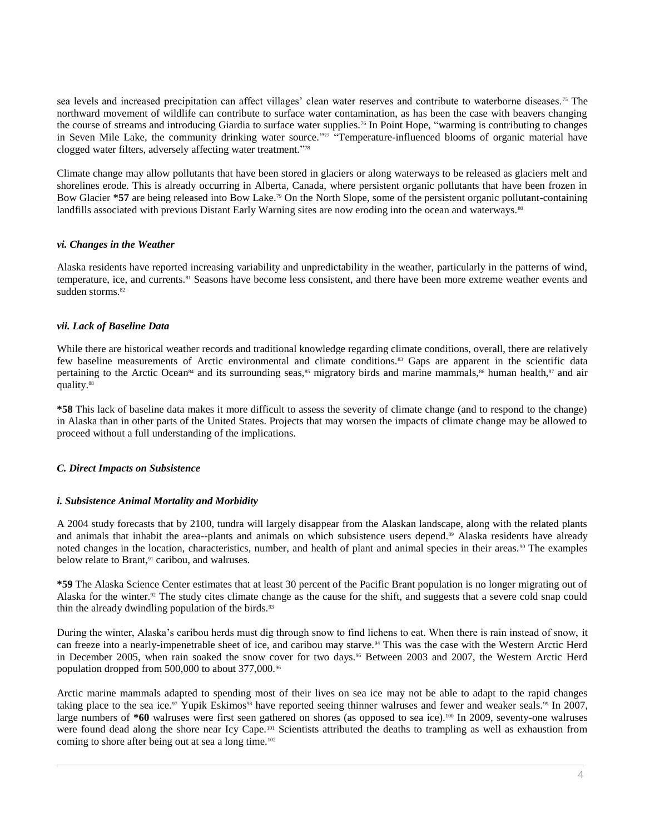sea levels and increased precipitation can affect villages' clean water reserves and contribute to waterborne diseases.<sup>75</sup> The northward movement of wildlife can contribute to surface water contamination, as has been the case with beavers changing the course of streams and introducing Giardia to surface water supplies.<sup>76</sup> In Point Hope, "warming is contributing to changes in Seven Mile Lake, the community drinking water source." <sup>77</sup> "Temperature-influenced blooms of organic material have clogged water filters, adversely affecting water treatment." 78

Climate change may allow pollutants that have been stored in glaciers or along waterways to be released as glaciers melt and shorelines erode. This is already occurring in Alberta, Canada, where persistent organic pollutants that have been frozen in Bow Glacier **\*57** are being released into Bow Lake.<sup>79</sup> On the North Slope, some of the persistent organic pollutant-containing landfills associated with previous Distant Early Warning sites are now eroding into the ocean and waterways.<sup>80</sup>

## *vi. Changes in the Weather*

Alaska residents have reported increasing variability and unpredictability in the weather, particularly in the patterns of wind, temperature, ice, and currents.<sup>81</sup> Seasons have become less consistent, and there have been more extreme weather events and sudden storms.<sup>82</sup>

## *vii. Lack of Baseline Data*

While there are historical weather records and traditional knowledge regarding climate conditions, overall, there are relatively few baseline measurements of Arctic environmental and climate conditions.<sup>83</sup> Gaps are apparent in the scientific data pertaining to the Arctic Ocean<sup>84</sup> and its surrounding seas,<sup>85</sup> migratory birds and marine mammals,<sup>86</sup> human health,<sup>87</sup> and air quality.<sup>88</sup>

**\*58** This lack of baseline data makes it more difficult to assess the severity of climate change (and to respond to the change) in Alaska than in other parts of the United States. Projects that may worsen the impacts of climate change may be allowed to proceed without a full understanding of the implications.

## *C. Direct Impacts on Subsistence*

#### *i. Subsistence Animal Mortality and Morbidity*

A 2004 study forecasts that by 2100, tundra will largely disappear from the Alaskan landscape, along with the related plants and animals that inhabit the area--plants and animals on which subsistence users depend.<sup>89</sup> Alaska residents have already noted changes in the location, characteristics, number, and health of plant and animal species in their areas.<sup>90</sup> The examples below relate to Brant,<sup>91</sup> caribou, and walruses.

**\*59** The Alaska Science Center estimates that at least 30 percent of the Pacific Brant population is no longer migrating out of Alaska for the winter.<sup>92</sup> The study cites climate change as the cause for the shift, and suggests that a severe cold snap could thin the already dwindling population of the birds.<sup>93</sup>

During the winter, Alaska's caribou herds must dig through snow to find lichens to eat. When there is rain instead of snow, it can freeze into a nearly-impenetrable sheet of ice, and caribou may starve.<sup>94</sup> This was the case with the Western Arctic Herd in December 2005, when rain soaked the snow cover for two days.<sup>95</sup> Between 2003 and 2007, the Western Arctic Herd population dropped from 500,000 to about 377,000.<sup>96</sup>

Arctic marine mammals adapted to spending most of their lives on sea ice may not be able to adapt to the rapid changes taking place to the sea ice.<sup>97</sup> Yupik Eskimos<sup>98</sup> have reported seeing thinner walruses and fewer and weaker seals.<sup>99</sup> In 2007, large numbers of \*60 walruses were first seen gathered on shores (as opposed to sea ice).<sup>100</sup> In 2009, seventy-one walruses were found dead along the shore near Icy Cape.<sup>101</sup> Scientists attributed the deaths to trampling as well as exhaustion from coming to shore after being out at sea a long time.<sup>102</sup>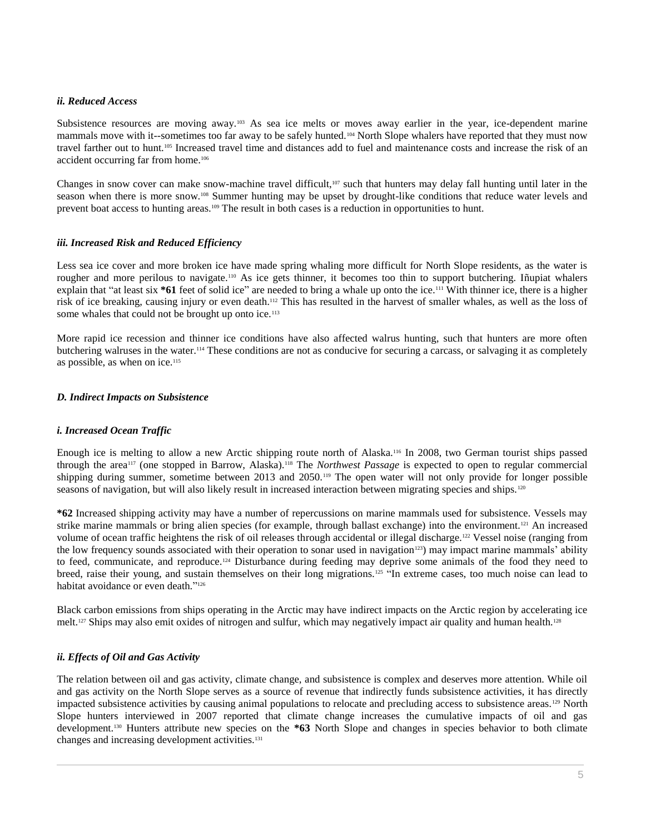### *ii. Reduced Access*

Subsistence resources are moving away.<sup>103</sup> As sea ice melts or moves away earlier in the year, ice-dependent marine mammals move with it--sometimes too far away to be safely hunted.<sup>104</sup> North Slope whalers have reported that they must now travel farther out to hunt.<sup>105</sup> Increased travel time and distances add to fuel and maintenance costs and increase the risk of an accident occurring far from home.<sup>106</sup>

Changes in snow cover can make snow-machine travel difficult, $107$  such that hunters may delay fall hunting until later in the season when there is more snow.<sup>108</sup> Summer hunting may be upset by drought-like conditions that reduce water levels and prevent boat access to hunting areas.<sup>109</sup> The result in both cases is a reduction in opportunities to hunt.

#### *iii. Increased Risk and Reduced Efficiency*

Less sea ice cover and more broken ice have made spring whaling more difficult for North Slope residents, as the water is rougher and more perilous to navigate.<sup>110</sup> As ice gets thinner, it becomes too thin to support butchering. Iñupiat whalers explain that "at least six **\*61** feet of solid ice" are needed to bring a whale up onto the ice.<sup>111</sup> With thinner ice, there is a higher risk of ice breaking, causing injury or even death.<sup>112</sup> This has resulted in the harvest of smaller whales, as well as the loss of some whales that could not be brought up onto ice.<sup>113</sup>

More rapid ice recession and thinner ice conditions have also affected walrus hunting, such that hunters are more often butchering walruses in the water.<sup>114</sup> These conditions are not as conducive for securing a carcass, or salvaging it as completely as possible, as when on ice.<sup>115</sup>

#### *D. Indirect Impacts on Subsistence*

## *i. Increased Ocean Traffic*

Enough ice is melting to allow a new Arctic shipping route north of Alaska.<sup>116</sup> In 2008, two German tourist ships passed through the area<sup>117</sup> (one stopped in Barrow, Alaska).<sup>118</sup> The *Northwest Passage* is expected to open to regular commercial shipping during summer, sometime between 2013 and 2050.<sup>119</sup> The open water will not only provide for longer possible seasons of navigation, but will also likely result in increased interaction between migrating species and ships.<sup>120</sup>

**\*62** Increased shipping activity may have a number of repercussions on marine mammals used for subsistence. Vessels may strike marine mammals or bring alien species (for example, through ballast exchange) into the environment.<sup>121</sup> An increased volume of ocean traffic heightens the risk of oil releases through accidental or illegal discharge.<sup>122</sup> Vessel noise (ranging from the low frequency sounds associated with their operation to sonar used in navigation<sup>123</sup>) may impact marine mammals' ability to feed, communicate, and reproduce.<sup>124</sup> Disturbance during feeding may deprive some animals of the food they need to breed, raise their young, and sustain themselves on their long migrations.<sup>125</sup> "In extreme cases, too much noise can lead to habitat avoidance or even death."<sup>126</sup>

Black carbon emissions from ships operating in the Arctic may have indirect impacts on the Arctic region by accelerating ice melt.<sup>127</sup> Ships may also emit oxides of nitrogen and sulfur, which may negatively impact air quality and human health.<sup>128</sup>

## *ii. Effects of Oil and Gas Activity*

The relation between oil and gas activity, climate change, and subsistence is complex and deserves more attention. While oil and gas activity on the North Slope serves as a source of revenue that indirectly funds subsistence activities, it has directly impacted subsistence activities by causing animal populations to relocate and precluding access to subsistence areas.<sup>129</sup> North Slope hunters interviewed in 2007 reported that climate change increases the cumulative impacts of oil and gas development.<sup>130</sup> Hunters attribute new species on the **\*63** North Slope and changes in species behavior to both climate changes and increasing development activities.<sup>131</sup>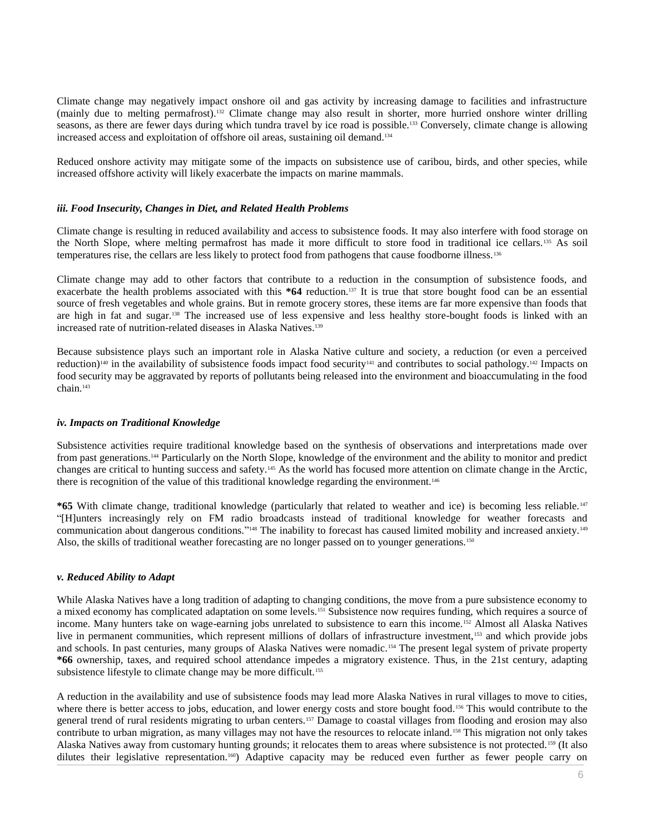Climate change may negatively impact onshore oil and gas activity by increasing damage to facilities and infrastructure (mainly due to melting permafrost).<sup>132</sup> Climate change may also result in shorter, more hurried onshore winter drilling seasons, as there are fewer days during which tundra travel by ice road is possible.<sup>133</sup> Conversely, climate change is allowing increased access and exploitation of offshore oil areas, sustaining oil demand.<sup>134</sup>

Reduced onshore activity may mitigate some of the impacts on subsistence use of caribou, birds, and other species, while increased offshore activity will likely exacerbate the impacts on marine mammals.

#### *iii. Food Insecurity, Changes in Diet, and Related Health Problems*

Climate change is resulting in reduced availability and access to subsistence foods. It may also interfere with food storage on the North Slope, where melting permafrost has made it more difficult to store food in traditional ice cellars.<sup>135</sup> As soil temperatures rise, the cellars are less likely to protect food from pathogens that cause foodborne illness.<sup>136</sup>

Climate change may add to other factors that contribute to a reduction in the consumption of subsistence foods, and exacerbate the health problems associated with this **\*64** reduction.<sup>137</sup> It is true that store bought food can be an essential source of fresh vegetables and whole grains. But in remote grocery stores, these items are far more expensive than foods that are high in fat and sugar.<sup>138</sup> The increased use of less expensive and less healthy store-bought foods is linked with an increased rate of nutrition-related diseases in Alaska Natives.<sup>139</sup>

Because subsistence plays such an important role in Alaska Native culture and society, a reduction (or even a perceived reduction)<sup>140</sup> in the availability of subsistence foods impact food security<sup>141</sup> and contributes to social pathology.<sup>142</sup> Impacts on food security may be aggravated by reports of pollutants being released into the environment and bioaccumulating in the food chain.<sup>143</sup>

#### *iv. Impacts on Traditional Knowledge*

Subsistence activities require traditional knowledge based on the synthesis of observations and interpretations made over from past generations.<sup>144</sup> Particularly on the North Slope, knowledge of the environment and the ability to monitor and predict changes are critical to hunting success and safety.<sup>145</sup> As the world has focused more attention on climate change in the Arctic, there is recognition of the value of this traditional knowledge regarding the environment.<sup>146</sup>

**\*65** With climate change, traditional knowledge (particularly that related to weather and ice) is becoming less reliable.<sup>147</sup> "[H]unters increasingly rely on FM radio broadcasts instead of traditional knowledge for weather forecasts and communication about dangerous conditions."<sup>148</sup> The inability to forecast has caused limited mobility and increased anxiety.<sup>149</sup> Also, the skills of traditional weather forecasting are no longer passed on to younger generations.<sup>150</sup>

#### *v. Reduced Ability to Adapt*

While Alaska Natives have a long tradition of adapting to changing conditions, the move from a pure subsistence economy to a mixed economy has complicated adaptation on some levels.<sup>151</sup> Subsistence now requires funding, which requires a source of income. Many hunters take on wage-earning jobs unrelated to subsistence to earn this income.<sup>152</sup> Almost all Alaska Natives live in permanent communities, which represent millions of dollars of infrastructure investment,<sup>153</sup> and which provide jobs and schools. In past centuries, many groups of Alaska Natives were nomadic.<sup>154</sup> The present legal system of private property **\*66** ownership, taxes, and required school attendance impedes a migratory existence. Thus, in the 21st century, adapting subsistence lifestyle to climate change may be more difficult.<sup>155</sup>

A reduction in the availability and use of subsistence foods may lead more Alaska Natives in rural villages to move to cities, where there is better access to jobs, education, and lower energy costs and store bought food.<sup>156</sup> This would contribute to the general trend of rural residents migrating to urban centers.<sup>157</sup> Damage to coastal villages from flooding and erosion may also contribute to urban migration, as many villages may not have the resources to relocate inland.<sup>158</sup> This migration not only takes Alaska Natives away from customary hunting grounds; it relocates them to areas where subsistence is not protected.<sup>159</sup> (It also dilutes their legislative representation.<sup>160</sup>) Adaptive capacity may be reduced even further as fewer people carry on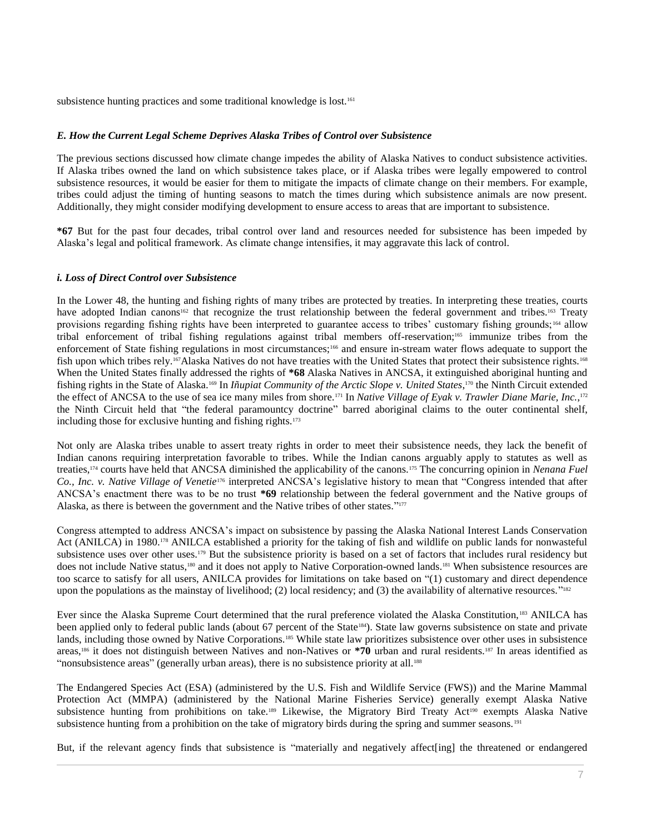subsistence hunting practices and some traditional knowledge is lost.<sup>161</sup>

## *E. How the Current Legal Scheme Deprives Alaska Tribes of Control over Subsistence*

The previous sections discussed how climate change impedes the ability of Alaska Natives to conduct subsistence activities. If Alaska tribes owned the land on which subsistence takes place, or if Alaska tribes were legally empowered to control subsistence resources, it would be easier for them to mitigate the impacts of climate change on their members. For example, tribes could adjust the timing of hunting seasons to match the times during which subsistence animals are now present. Additionally, they might consider modifying development to ensure access to areas that are important to subsistence.

**\*67** But for the past four decades, tribal control over land and resources needed for subsistence has been impeded by Alaska's legal and political framework. As climate change intensifies, it may aggravate this lack of control.

#### *i. Loss of Direct Control over Subsistence*

In the Lower 48, the hunting and fishing rights of many tribes are protected by treaties. In interpreting these treaties, courts have adopted Indian canons<sup>162</sup> that recognize the trust relationship between the federal government and tribes.<sup>163</sup> Treaty provisions regarding fishing rights have been interpreted to guarantee access to tribes' customary fishing grounds; <sup>164</sup> allow tribal enforcement of tribal fishing regulations against tribal members off-reservation;<sup>165</sup> immunize tribes from the enforcement of State fishing regulations in most circumstances;<sup>166</sup> and ensure in-stream water flows adequate to support the fish upon which tribes rely.<sup>167</sup>Alaska Natives do not have treaties with the United States that protect their subsistence rights.<sup>168</sup> When the United States finally addressed the rights of **\*68** Alaska Natives in ANCSA, it extinguished aboriginal hunting and fishing rights in the State of Alaska.<sup>169</sup> In *Iñupiat Community of the Arctic Slope v. United States*,<sup>170</sup> the Ninth Circuit extended the effect of ANCSA to the use of sea ice many miles from shore.<sup>171</sup> In *Native Village of Eyak v. Trawler Diane Marie, Inc.*, 172 the Ninth Circuit held that "the federal paramountcy doctrine" barred aboriginal claims to the outer continental shelf, including those for exclusive hunting and fishing rights.<sup>173</sup>

Not only are Alaska tribes unable to assert treaty rights in order to meet their subsistence needs, they lack the benefit of Indian canons requiring interpretation favorable to tribes. While the Indian canons arguably apply to statutes as well as treaties,<sup>174</sup> courts have held that ANCSA diminished the applicability of the canons.<sup>175</sup> The concurring opinion in *Nenana Fuel Co., Inc. v. Native Village of Venetie*<sup>176</sup> interpreted ANCSA's legislative history to mean that "Congress intended that after ANCSA's enactment there was to be no trust **\*69** relationship between the federal government and the Native groups of Alaska, as there is between the government and the Native tribes of other states."<sup>177</sup>

Congress attempted to address ANCSA's impact on subsistence by passing the Alaska National Interest Lands Conservation Act (ANILCA) in 1980.<sup>178</sup> ANILCA established a priority for the taking of fish and wildlife on public lands for nonwasteful subsistence uses over other uses.<sup>179</sup> But the subsistence priority is based on a set of factors that includes rural residency but does not include Native status,<sup>180</sup> and it does not apply to Native Corporation-owned lands.<sup>181</sup> When subsistence resources are too scarce to satisfy for all users, ANILCA provides for limitations on take based on "(1) customary and direct dependence upon the populations as the mainstay of livelihood; (2) local residency; and (3) the availability of alternative resources."<sup>182</sup>

Ever since the Alaska Supreme Court determined that the rural preference violated the Alaska Constitution,<sup>183</sup> ANILCA has been applied only to federal public lands (about 67 percent of the State<sup>184</sup>). State law governs subsistence on state and private lands, including those owned by Native Corporations.<sup>185</sup> While state law prioritizes subsistence over other uses in subsistence areas,<sup>186</sup> it does not distinguish between Natives and non-Natives or **\*70** urban and rural residents.<sup>187</sup> In areas identified as "nonsubsistence areas" (generally urban areas), there is no subsistence priority at all.<sup>188</sup>

The Endangered Species Act (ESA) (administered by the U.S. Fish and Wildlife Service (FWS)) and the Marine Mammal Protection Act (MMPA) (administered by the National Marine Fisheries Service) generally exempt Alaska Native subsistence hunting from prohibitions on take.<sup>189</sup> Likewise, the Migratory Bird Treaty Act<sup>190</sup> exempts Alaska Native subsistence hunting from a prohibition on the take of migratory birds during the spring and summer seasons.<sup>191</sup>

But, if the relevant agency finds that subsistence is "materially and negatively affect[ing] the threatened or endangered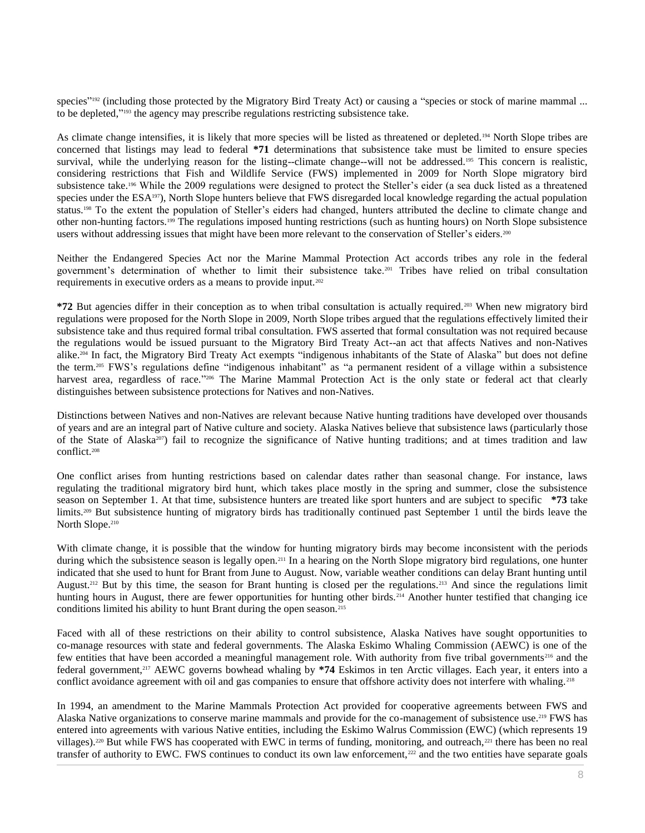species"<sup>192</sup> (including those protected by the Migratory Bird Treaty Act) or causing a "species or stock of marine mammal ... to be depleted," <sup>193</sup> the agency may prescribe regulations restricting subsistence take.

As climate change intensifies, it is likely that more species will be listed as threatened or depleted.<sup>194</sup> North Slope tribes are concerned that listings may lead to federal **\*71** determinations that subsistence take must be limited to ensure species survival, while the underlying reason for the listing--climate change--will not be addressed.<sup>195</sup> This concern is realistic, considering restrictions that Fish and Wildlife Service (FWS) implemented in 2009 for North Slope migratory bird subsistence take.<sup>196</sup> While the 2009 regulations were designed to protect the Steller's eider (a sea duck listed as a threatened species under the ESA<sup>197</sup>), North Slope hunters believe that FWS disregarded local knowledge regarding the actual population status.<sup>198</sup> To the extent the population of Steller's eiders had changed, hunters attributed the decline to climate change and other non-hunting factors.<sup>199</sup> The regulations imposed hunting restrictions (such as hunting hours) on North Slope subsistence users without addressing issues that might have been more relevant to the conservation of Steller's eiders.<sup>200</sup>

Neither the Endangered Species Act nor the Marine Mammal Protection Act accords tribes any role in the federal government's determination of whether to limit their subsistence take.<sup>201</sup> Tribes have relied on tribal consultation requirements in executive orders as a means to provide input.<sup>202</sup>

**\*72** But agencies differ in their conception as to when tribal consultation is actually required.<sup>203</sup> When new migratory bird regulations were proposed for the North Slope in 2009, North Slope tribes argued that the regulations effectively limited their subsistence take and thus required formal tribal consultation. FWS asserted that formal consultation was not required because the regulations would be issued pursuant to the Migratory Bird Treaty Act--an act that affects Natives and non-Natives alike.<sup>204</sup> In fact, the Migratory Bird Treaty Act exempts "indigenous inhabitants of the State of Alaska" but does not define the term.<sup>205</sup> FWS's regulations define "indigenous inhabitant" as "a permanent resident of a village within a subsistence harvest area, regardless of race."<sup>206</sup> The Marine Mammal Protection Act is the only state or federal act that clearly distinguishes between subsistence protections for Natives and non-Natives.

Distinctions between Natives and non-Natives are relevant because Native hunting traditions have developed over thousands of years and are an integral part of Native culture and society. Alaska Natives believe that subsistence laws (particularly those of the State of Alaska<sup>207</sup>) fail to recognize the significance of Native hunting traditions; and at times tradition and law conflict.<sup>208</sup>

One conflict arises from hunting restrictions based on calendar dates rather than seasonal change. For instance, laws regulating the traditional migratory bird hunt, which takes place mostly in the spring and summer, close the subsistence season on September 1. At that time, subsistence hunters are treated like sport hunters and are subject to specific **\*73** take limits.<sup>209</sup> But subsistence hunting of migratory birds has traditionally continued past September 1 until the birds leave the North Slope.<sup>210</sup>

With climate change, it is possible that the window for hunting migratory birds may become inconsistent with the periods during which the subsistence season is legally open.<sup>211</sup> In a hearing on the North Slope migratory bird regulations, one hunter indicated that she used to hunt for Brant from June to August. Now, variable weather conditions can delay Brant hunting until August.<sup>212</sup> But by this time, the season for Brant hunting is closed per the regulations.<sup>213</sup> And since the regulations limit hunting hours in August, there are fewer opportunities for hunting other birds.<sup>214</sup> Another hunter testified that changing ice conditions limited his ability to hunt Brant during the open season.<sup>215</sup>

Faced with all of these restrictions on their ability to control subsistence, Alaska Natives have sought opportunities to co-manage resources with state and federal governments. The Alaska Eskimo Whaling Commission (AEWC) is one of the few entities that have been accorded a meaningful management role. With authority from five tribal governments<sup>216</sup> and the federal government,<sup>217</sup> AEWC governs bowhead whaling by **\*74** Eskimos in ten Arctic villages. Each year, it enters into a conflict avoidance agreement with oil and gas companies to ensure that offshore activity does not interfere with whaling.<sup>218</sup>

In 1994, an amendment to the Marine Mammals Protection Act provided for cooperative agreements between FWS and Alaska Native organizations to conserve marine mammals and provide for the co-management of subsistence use.<sup>219</sup> FWS has entered into agreements with various Native entities, including the Eskimo Walrus Commission (EWC) (which represents 19 villages).<sup>220</sup> But while FWS has cooperated with EWC in terms of funding, monitoring, and outreach,<sup>221</sup> there has been no real transfer of authority to EWC. FWS continues to conduct its own law enforcement,<sup>222</sup> and the two entities have separate goals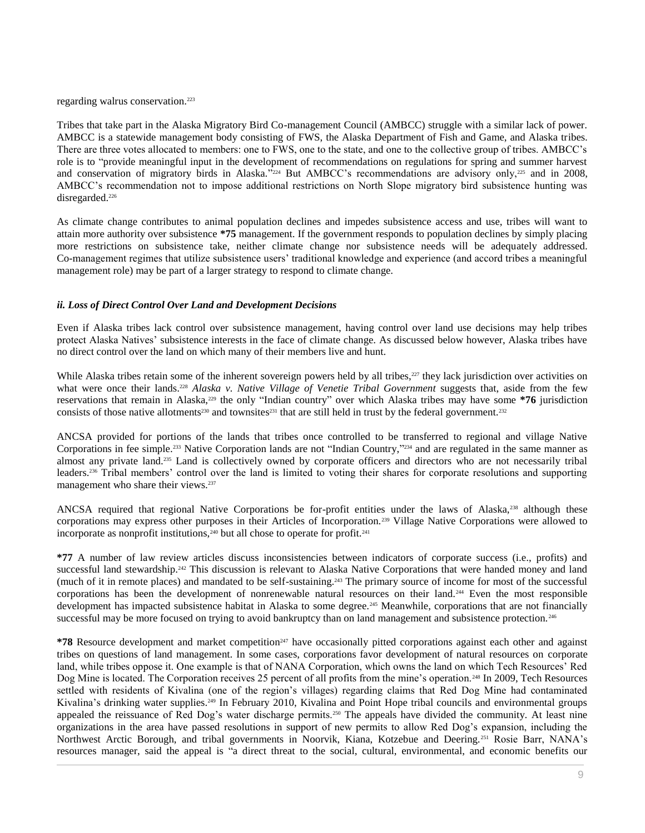regarding walrus conservation.<sup>223</sup>

Tribes that take part in the Alaska Migratory Bird Co-management Council (AMBCC) struggle with a similar lack of power. AMBCC is a statewide management body consisting of FWS, the Alaska Department of Fish and Game, and Alaska tribes. There are three votes allocated to members: one to FWS, one to the state, and one to the collective group of tribes. AMBCC's role is to "provide meaningful input in the development of recommendations on regulations for spring and summer harvest and conservation of migratory birds in Alaska."<sup>224</sup> But AMBCC's recommendations are advisory only,<sup>225</sup> and in 2008, AMBCC's recommendation not to impose additional restrictions on North Slope migratory bird subsistence hunting was disregarded.<sup>226</sup>

As climate change contributes to animal population declines and impedes subsistence access and use, tribes will want to attain more authority over subsistence **\*75** management. If the government responds to population declines by simply placing more restrictions on subsistence take, neither climate change nor subsistence needs will be adequately addressed. Co-management regimes that utilize subsistence users' traditional knowledge and experience (and accord tribes a meaningful management role) may be part of a larger strategy to respond to climate change.

#### *ii. Loss of Direct Control Over Land and Development Decisions*

Even if Alaska tribes lack control over subsistence management, having control over land use decisions may help tribes protect Alaska Natives' subsistence interests in the face of climate change. As discussed below however, Alaska tribes have no direct control over the land on which many of their members live and hunt.

While Alaska tribes retain some of the inherent sovereign powers held by all tribes,<sup>227</sup> they lack jurisdiction over activities on what were once their lands.<sup>228</sup> *Alaska v. Native Village of Venetie Tribal Government* suggests that, aside from the few reservations that remain in Alaska,<sup>229</sup> the only "Indian country" over which Alaska tribes may have some **\*76** jurisdiction consists of those native allotments<sup>230</sup> and townsites<sup>231</sup> that are still held in trust by the federal government.<sup>232</sup>

ANCSA provided for portions of the lands that tribes once controlled to be transferred to regional and village Native Corporations in fee simple.<sup>233</sup> Native Corporation lands are not "Indian Country," <sup>234</sup> and are regulated in the same manner as almost any private land.<sup>235</sup> Land is collectively owned by corporate officers and directors who are not necessarily tribal leaders.<sup>236</sup> Tribal members' control over the land is limited to voting their shares for corporate resolutions and supporting management who share their views.<sup>237</sup>

ANCSA required that regional Native Corporations be for-profit entities under the laws of Alaska,<sup>238</sup> although these corporations may express other purposes in their Articles of Incorporation.<sup>239</sup> Village Native Corporations were allowed to incorporate as nonprofit institutions,<sup>240</sup> but all chose to operate for profit.<sup>241</sup>

**\*77** A number of law review articles discuss inconsistencies between indicators of corporate success (i.e., profits) and successful land stewardship.<sup>242</sup> This discussion is relevant to Alaska Native Corporations that were handed money and land (much of it in remote places) and mandated to be self-sustaining.<sup>243</sup> The primary source of income for most of the successful corporations has been the development of nonrenewable natural resources on their land.<sup>244</sup> Even the most responsible development has impacted subsistence habitat in Alaska to some degree.<sup>245</sup> Meanwhile, corporations that are not financially successful may be more focused on trying to avoid bankruptcy than on land management and subsistence protection.<sup>246</sup>

\*78 Resource development and market competition<sup>247</sup> have occasionally pitted corporations against each other and against tribes on questions of land management. In some cases, corporations favor development of natural resources on corporate land, while tribes oppose it. One example is that of NANA Corporation, which owns the land on which Tech Resources' Red Dog Mine is located. The Corporation receives 25 percent of all profits from the mine's operation.<sup>248</sup> In 2009, Tech Resources settled with residents of Kivalina (one of the region's villages) regarding claims that Red Dog Mine had contaminated Kivalina's drinking water supplies.<sup>249</sup> In February 2010, Kivalina and Point Hope tribal councils and environmental groups appealed the reissuance of Red Dog's water discharge permits.<sup>250</sup> The appeals have divided the community. At least nine organizations in the area have passed resolutions in support of new permits to allow Red Dog's expansion, including the Northwest Arctic Borough, and tribal governments in Noorvik, Kiana, Kotzebue and Deering.<sup>251</sup> Rosie Barr, NANA's resources manager, said the appeal is "a direct threat to the social, cultural, environmental, and economic benefits our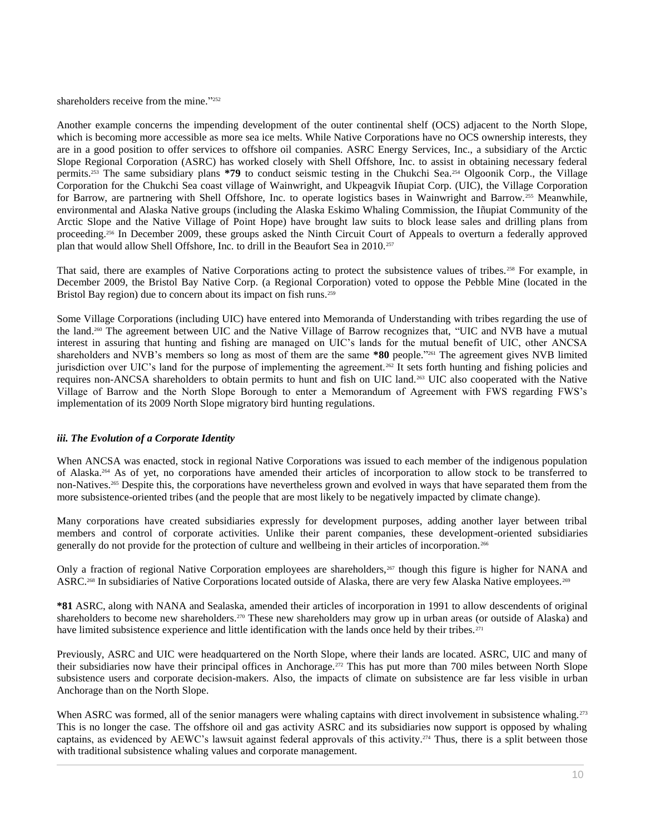shareholders receive from the mine."252

Another example concerns the impending development of the outer continental shelf (OCS) adjacent to the North Slope, which is becoming more accessible as more sea ice melts. While Native Corporations have no OCS ownership interests, they are in a good position to offer services to offshore oil companies. ASRC Energy Services, Inc., a subsidiary of the Arctic Slope Regional Corporation (ASRC) has worked closely with Shell Offshore, Inc. to assist in obtaining necessary federal permits.<sup>253</sup> The same subsidiary plans **\*79** to conduct seismic testing in the Chukchi Sea.<sup>254</sup> Olgoonik Corp., the Village Corporation for the Chukchi Sea coast village of Wainwright, and Ukpeagvik Iñupiat Corp. (UIC), the Village Corporation for Barrow, are partnering with Shell Offshore, Inc. to operate logistics bases in Wainwright and Barrow. <sup>255</sup> Meanwhile, environmental and Alaska Native groups (including the Alaska Eskimo Whaling Commission, the Iñupiat Community of the Arctic Slope and the Native Village of Point Hope) have brought law suits to block lease sales and drilling plans from proceeding.<sup>256</sup> In December 2009, these groups asked the Ninth Circuit Court of Appeals to overturn a federally approved plan that would allow Shell Offshore, Inc. to drill in the Beaufort Sea in 2010.<sup>257</sup>

That said, there are examples of Native Corporations acting to protect the subsistence values of tribes.<sup>258</sup> For example, in December 2009, the Bristol Bay Native Corp. (a Regional Corporation) voted to oppose the Pebble Mine (located in the Bristol Bay region) due to concern about its impact on fish runs.<sup>259</sup>

Some Village Corporations (including UIC) have entered into Memoranda of Understanding with tribes regarding the use of the land.<sup>260</sup> The agreement between UIC and the Native Village of Barrow recognizes that, "UIC and NVB have a mutual interest in assuring that hunting and fishing are managed on UIC's lands for the mutual benefit of UIC, other ANCSA shareholders and NVB's members so long as most of them are the same **\*80** people."<sup>261</sup> The agreement gives NVB limited jurisdiction over UIC's land for the purpose of implementing the agreement.<sup>262</sup> It sets forth hunting and fishing policies and requires non-ANCSA shareholders to obtain permits to hunt and fish on UIC land.<sup>263</sup> UIC also cooperated with the Native Village of Barrow and the North Slope Borough to enter a Memorandum of Agreement with FWS regarding FWS's implementation of its 2009 North Slope migratory bird hunting regulations.

#### *iii. The Evolution of a Corporate Identity*

When ANCSA was enacted, stock in regional Native Corporations was issued to each member of the indigenous population of Alaska.<sup>264</sup> As of yet, no corporations have amended their articles of incorporation to allow stock to be transferred to non-Natives.<sup>265</sup> Despite this, the corporations have nevertheless grown and evolved in ways that have separated them from the more subsistence-oriented tribes (and the people that are most likely to be negatively impacted by climate change).

Many corporations have created subsidiaries expressly for development purposes, adding another layer between tribal members and control of corporate activities. Unlike their parent companies, these development-oriented subsidiaries generally do not provide for the protection of culture and wellbeing in their articles of incorporation.<sup>266</sup>

Only a fraction of regional Native Corporation employees are shareholders, $267$  though this figure is higher for NANA and ASRC.<sup>268</sup> In subsidiaries of Native Corporations located outside of Alaska, there are very few Alaska Native employees.<sup>269</sup>

**\*81** ASRC, along with NANA and Sealaska, amended their articles of incorporation in 1991 to allow descendents of original shareholders to become new shareholders.<sup>270</sup> These new shareholders may grow up in urban areas (or outside of Alaska) and have limited subsistence experience and little identification with the lands once held by their tribes.<sup>271</sup>

Previously, ASRC and UIC were headquartered on the North Slope, where their lands are located. ASRC, UIC and many of their subsidiaries now have their principal offices in Anchorage.<sup>272</sup> This has put more than 700 miles between North Slope subsistence users and corporate decision-makers. Also, the impacts of climate on subsistence are far less visible in urban Anchorage than on the North Slope.

When ASRC was formed, all of the senior managers were whaling captains with direct involvement in subsistence whaling.<sup>273</sup> This is no longer the case. The offshore oil and gas activity ASRC and its subsidiaries now support is opposed by whaling captains, as evidenced by AEWC's lawsuit against federal approvals of this activity.<sup>274</sup> Thus, there is a split between those with traditional subsistence whaling values and corporate management.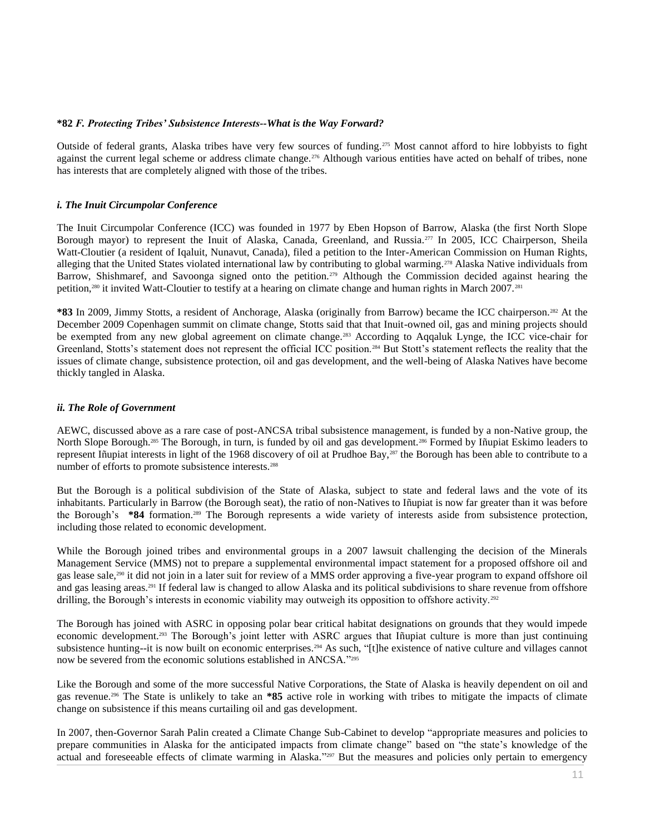#### **\*82** *F. Protecting Tribes' Subsistence Interests--What is the Way Forward?*

Outside of federal grants, Alaska tribes have very few sources of funding.<sup>275</sup> Most cannot afford to hire lobbyists to fight against the current legal scheme or address climate change.<sup>276</sup> Although various entities have acted on behalf of tribes, none has interests that are completely aligned with those of the tribes.

### *i. The Inuit Circumpolar Conference*

The Inuit Circumpolar Conference (ICC) was founded in 1977 by Eben Hopson of Barrow, Alaska (the first North Slope Borough mayor) to represent the Inuit of Alaska, Canada, Greenland, and Russia.<sup>277</sup> In 2005, ICC Chairperson, Sheila Watt-Cloutier (a resident of Iqaluit, Nunavut, Canada), filed a petition to the Inter-American Commission on Human Rights, alleging that the United States violated international law by contributing to global warming.<sup>278</sup> Alaska Native individuals from Barrow, Shishmaref, and Savoonga signed onto the petition.<sup>279</sup> Although the Commission decided against hearing the petition,<sup>280</sup> it invited Watt-Cloutier to testify at a hearing on climate change and human rights in March 2007.<sup>281</sup>

**\*83** In 2009, Jimmy Stotts, a resident of Anchorage, Alaska (originally from Barrow) became the ICC chairperson.<sup>282</sup> At the December 2009 Copenhagen summit on climate change, Stotts said that that Inuit-owned oil, gas and mining projects should be exempted from any new global agreement on climate change.<sup>283</sup> According to Aqqaluk Lynge, the ICC vice-chair for Greenland, Stotts's statement does not represent the official ICC position.<sup>284</sup> But Stott's statement reflects the reality that the issues of climate change, subsistence protection, oil and gas development, and the well-being of Alaska Natives have become thickly tangled in Alaska.

#### *ii. The Role of Government*

AEWC, discussed above as a rare case of post-ANCSA tribal subsistence management, is funded by a non-Native group, the North Slope Borough.<sup>285</sup> The Borough, in turn, is funded by oil and gas development.<sup>286</sup> Formed by Iñupiat Eskimo leaders to represent Iñupiat interests in light of the 1968 discovery of oil at Prudhoe Bay,<sup>287</sup> the Borough has been able to contribute to a number of efforts to promote subsistence interests.<sup>288</sup>

But the Borough is a political subdivision of the State of Alaska, subject to state and federal laws and the vote of its inhabitants. Particularly in Barrow (the Borough seat), the ratio of non-Natives to Iñupiat is now far greater than it was before the Borough's **\*84** formation.<sup>289</sup> The Borough represents a wide variety of interests aside from subsistence protection, including those related to economic development.

While the Borough joined tribes and environmental groups in a 2007 lawsuit challenging the decision of the Minerals Management Service (MMS) not to prepare a supplemental environmental impact statement for a proposed offshore oil and gas lease sale,<sup>290</sup> it did not join in a later suit for review of a MMS order approving a five-year program to expand offshore oil and gas leasing areas.<sup>291</sup> If federal law is changed to allow Alaska and its political subdivisions to share revenue from offshore drilling, the Borough's interests in economic viability may outweigh its opposition to offshore activity.<sup>292</sup>

The Borough has joined with ASRC in opposing polar bear critical habitat designations on grounds that they would impede economic development.<sup>293</sup> The Borough's joint letter with ASRC argues that Iñupiat culture is more than just continuing subsistence hunting--it is now built on economic enterprises.<sup>294</sup> As such, "[t]he existence of native culture and villages cannot now be severed from the economic solutions established in ANCSA." 295

Like the Borough and some of the more successful Native Corporations, the State of Alaska is heavily dependent on oil and gas revenue.<sup>296</sup> The State is unlikely to take an **\*85** active role in working with tribes to mitigate the impacts of climate change on subsistence if this means curtailing oil and gas development.

In 2007, then-Governor Sarah Palin created a Climate Change Sub-Cabinet to develop "appropriate measures and policies to prepare communities in Alaska for the anticipated impacts from climate change" based on "the state's knowledge of the actual and foreseeable effects of climate warming in Alaska."<sup>297</sup> But the measures and policies only pertain to emergency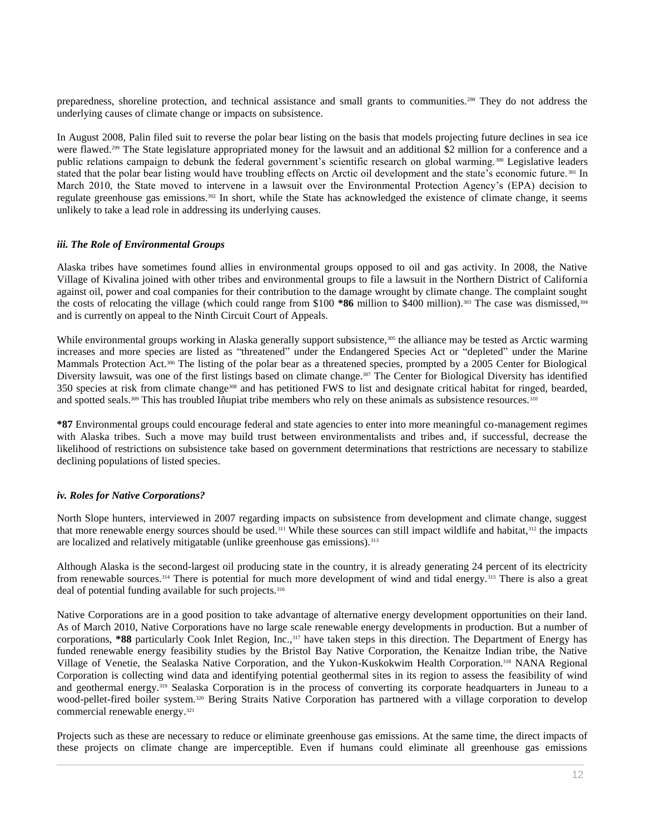preparedness, shoreline protection, and technical assistance and small grants to communities.<sup>298</sup> They do not address the underlying causes of climate change or impacts on subsistence.

In August 2008, Palin filed suit to reverse the polar bear listing on the basis that models projecting future declines in sea ice were flawed.<sup>299</sup> The State legislature appropriated money for the lawsuit and an additional \$2 million for a conference and a public relations campaign to debunk the federal government's scientific research on global warming.<sup>300</sup> Legislative leaders stated that the polar bear listing would have troubling effects on Arctic oil development and the state's economic future.<sup>301</sup> In March 2010, the State moved to intervene in a lawsuit over the Environmental Protection Agency's (EPA) decision to regulate greenhouse gas emissions.<sup>302</sup> In short, while the State has acknowledged the existence of climate change, it seems unlikely to take a lead role in addressing its underlying causes.

#### *iii. The Role of Environmental Groups*

Alaska tribes have sometimes found allies in environmental groups opposed to oil and gas activity. In 2008, the Native Village of Kivalina joined with other tribes and environmental groups to file a lawsuit in the Northern District of California against oil, power and coal companies for their contribution to the damage wrought by climate change. The complaint sought the costs of relocating the village (which could range from \$100  $*86$  million to \$400 million).<sup>303</sup> The case was dismissed,<sup>304</sup> and is currently on appeal to the Ninth Circuit Court of Appeals.

While environmental groups working in Alaska generally support subsistence,<sup>305</sup> the alliance may be tested as Arctic warming increases and more species are listed as "threatened" under the Endangered Species Act or "depleted" under the Marine Mammals Protection Act.<sup>306</sup> The listing of the polar bear as a threatened species, prompted by a 2005 Center for Biological Diversity lawsuit, was one of the first listings based on climate change.<sup>307</sup> The Center for Biological Diversity has identified 350 species at risk from climate change<sup>308</sup> and has petitioned FWS to list and designate critical habitat for ringed, bearded, and spotted seals.<sup>309</sup> This has troubled Iñupiat tribe members who rely on these animals as subsistence resources.<sup>310</sup>

**\*87** Environmental groups could encourage federal and state agencies to enter into more meaningful co-management regimes with Alaska tribes. Such a move may build trust between environmentalists and tribes and, if successful, decrease the likelihood of restrictions on subsistence take based on government determinations that restrictions are necessary to stabilize declining populations of listed species.

## *iv. Roles for Native Corporations?*

North Slope hunters, interviewed in 2007 regarding impacts on subsistence from development and climate change, suggest that more renewable energy sources should be used.<sup>311</sup> While these sources can still impact wildlife and habitat, $312$  the impacts are localized and relatively mitigatable (unlike greenhouse gas emissions).<sup>313</sup>

Although Alaska is the second-largest oil producing state in the country, it is already generating 24 percent of its electricity from renewable sources.<sup>314</sup> There is potential for much more development of wind and tidal energy.<sup>315</sup> There is also a great deal of potential funding available for such projects.<sup>316</sup>

Native Corporations are in a good position to take advantage of alternative energy development opportunities on their land. As of March 2010, Native Corporations have no large scale renewable energy developments in production. But a number of corporations, \*88 particularly Cook Inlet Region, Inc.,<sup>317</sup> have taken steps in this direction. The Department of Energy has funded renewable energy feasibility studies by the Bristol Bay Native Corporation, the Kenaitze Indian tribe, the Native Village of Venetie, the Sealaska Native Corporation, and the Yukon-Kuskokwim Health Corporation.<sup>318</sup> NANA Regional Corporation is collecting wind data and identifying potential geothermal sites in its region to assess the feasibility of wind and geothermal energy.<sup>319</sup> Sealaska Corporation is in the process of converting its corporate headquarters in Juneau to a wood-pellet-fired boiler system.<sup>320</sup> Bering Straits Native Corporation has partnered with a village corporation to develop commercial renewable energy.<sup>321</sup>

Projects such as these are necessary to reduce or eliminate greenhouse gas emissions. At the same time, the direct impacts of these projects on climate change are imperceptible. Even if humans could eliminate all greenhouse gas emissions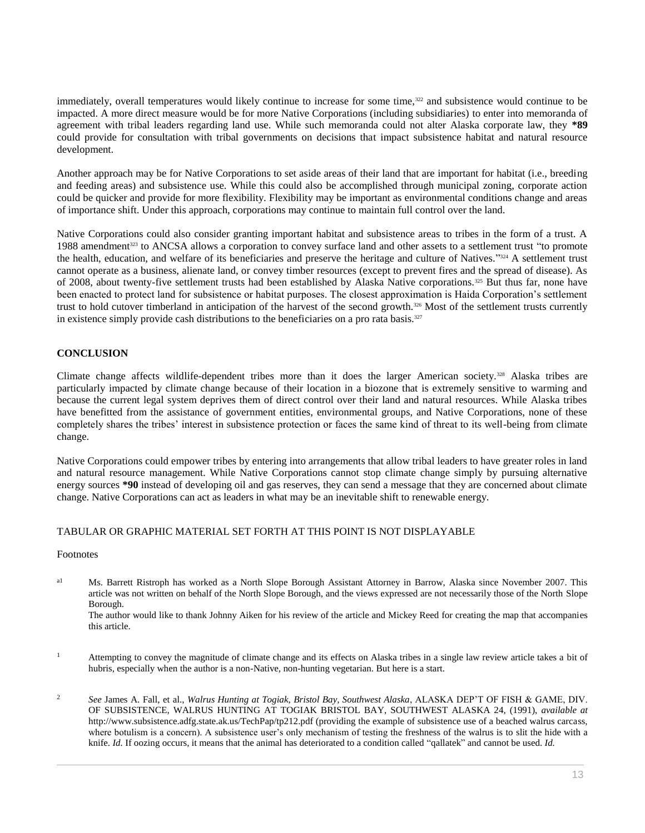immediately, overall temperatures would likely continue to increase for some time,<sup>322</sup> and subsistence would continue to be impacted. A more direct measure would be for more Native Corporations (including subsidiaries) to enter into memoranda of agreement with tribal leaders regarding land use. While such memoranda could not alter Alaska corporate law, they **\*89** could provide for consultation with tribal governments on decisions that impact subsistence habitat and natural resource development.

Another approach may be for Native Corporations to set aside areas of their land that are important for habitat (i.e., breeding and feeding areas) and subsistence use. While this could also be accomplished through municipal zoning, corporate action could be quicker and provide for more flexibility. Flexibility may be important as environmental conditions change and areas of importance shift. Under this approach, corporations may continue to maintain full control over the land.

Native Corporations could also consider granting important habitat and subsistence areas to tribes in the form of a trust. A 1988 amendment<sup>323</sup> to ANCSA allows a corporation to convey surface land and other assets to a settlement trust "to promote the health, education, and welfare of its beneficiaries and preserve the heritage and culture of Natives."<sup>324</sup> A settlement trust cannot operate as a business, alienate land, or convey timber resources (except to prevent fires and the spread of disease). As of 2008, about twenty-five settlement trusts had been established by Alaska Native corporations.<sup>325</sup> But thus far, none have been enacted to protect land for subsistence or habitat purposes. The closest approximation is Haida Corporation's settlement trust to hold cutover timberland in anticipation of the harvest of the second growth.<sup>326</sup> Most of the settlement trusts currently in existence simply provide cash distributions to the beneficiaries on a pro rata basis. $327$ 

# **CONCLUSION**

Climate change affects wildlife-dependent tribes more than it does the larger American society.<sup>328</sup> Alaska tribes are particularly impacted by climate change because of their location in a biozone that is extremely sensitive to warming and because the current legal system deprives them of direct control over their land and natural resources. While Alaska tribes have benefitted from the assistance of government entities, environmental groups, and Native Corporations, none of these completely shares the tribes' interest in subsistence protection or faces the same kind of threat to its well-being from climate change.

Native Corporations could empower tribes by entering into arrangements that allow tribal leaders to have greater roles in land and natural resource management. While Native Corporations cannot stop climate change simply by pursuing alternative energy sources **\*90** instead of developing oil and gas reserves, they can send a message that they are concerned about climate change. Native Corporations can act as leaders in what may be an inevitable shift to renewable energy.

# TABULAR OR GRAPHIC MATERIAL SET FORTH AT THIS POINT IS NOT DISPLAYABLE

#### Footnotes

<sup>a1</sup> Ms. Barrett Ristroph has worked as a North Slope Borough Assistant Attorney in Barrow, Alaska since November 2007. This article was not written on behalf of the North Slope Borough, and the views expressed are not necessarily those of the North Slope Borough.

The author would like to thank Johnny Aiken for his review of the article and Mickey Reed for creating the map that accompanies this article.

- <sup>1</sup> Attempting to convey the magnitude of climate change and its effects on Alaska tribes in a single law review article takes a bit of hubris, especially when the author is a non-Native, non-hunting vegetarian. But here is a start.
- <sup>2</sup> *See* James A. Fall, et al., *Walrus Hunting at Togiak, Bristol Bay, Southwest Alaska*, ALASKA DEP'T OF FISH & GAME, DIV. OF SUBSISTENCE, WALRUS HUNTING AT TOGIAK BRISTOL BAY, SOUTHWEST ALASKA 24, (1991), *available at* http://www.subsistence.adfg.state.ak.us/TechPap/tp212.pdf (providing the example of subsistence use of a beached walrus carcass, where botulism is a concern). A subsistence user's only mechanism of testing the freshness of the walrus is to slit the hide with a knife. *Id.* If oozing occurs, it means that the animal has deteriorated to a condition called "qallatek" and cannot be used. *Id.*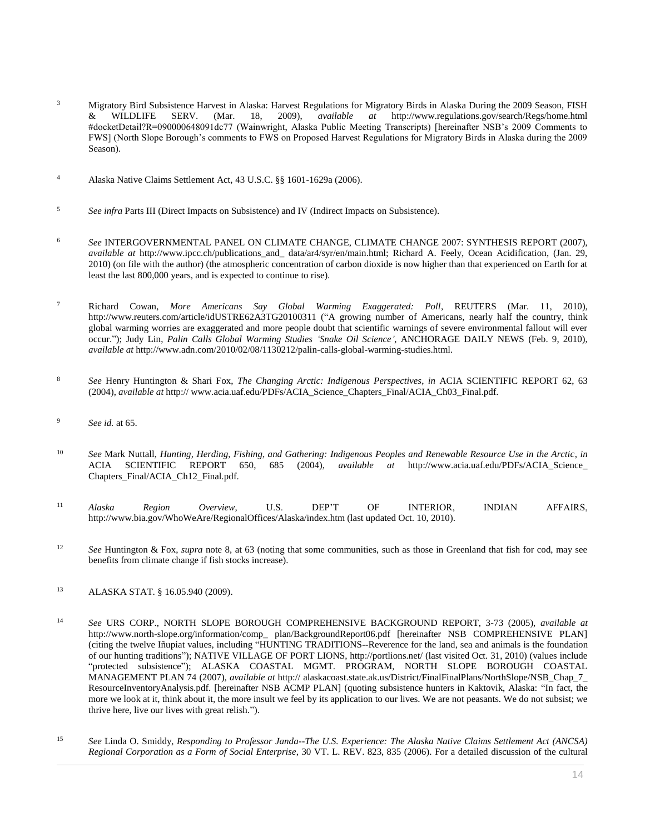- <sup>3</sup> Migratory Bird Subsistence Harvest in Alaska: Harvest Regulations for Migratory Birds in Alaska During the 2009 Season, FISH & WILDLIFE SERV. (Mar. 18, 2009), *available at* http://www.regulations.gov/search/Regs/home. & WILDLIFE SERV. (Mar. 18, 2009), *available at* http://www.regulations.gov/search/Regs/home.html #docketDetail?R=090000648091dc77 (Wainwright, Alaska Public Meeting Transcripts) [hereinafter NSB's 2009 Comments to FWS] (North Slope Borough's comments to FWS on Proposed Harvest Regulations for Migratory Birds in Alaska during the 2009 Season).
- <sup>4</sup> Alaska Native Claims Settlement Act[, 43 U.S.C. §§ 1601](http://www.westlaw.com/Link/Document/FullText?findType=L&pubNum=1000546&cite=43USCAS1601&originatingDoc=I0ecc82992df011e18b05fdf15589d8e8&refType=LQ&originationContext=document&vr=3.0&rs=cblt1.0&transitionType=DocumentItem&contextData=(sc.Search))[-1629a \(2006\).](http://www.westlaw.com/Link/Document/FullText?findType=L&pubNum=1000546&cite=43USCAS1629A&originatingDoc=I0ecc82992df011e18b05fdf15589d8e8&refType=LQ&originationContext=document&vr=3.0&rs=cblt1.0&transitionType=DocumentItem&contextData=(sc.Search))
- <sup>5</sup> *See infra* Parts III (Direct Impacts on Subsistence) and IV (Indirect Impacts on Subsistence).
- <sup>6</sup> *See* INTERGOVERNMENTAL PANEL ON CLIMATE CHANGE, CLIMATE CHANGE 2007: SYNTHESIS REPORT (2007), *available at* http://www.ipcc.ch/publications\_and\_ data/ar4/syr/en/main.html; Richard A. Feely, Ocean Acidification, (Jan. 29, 2010) (on file with the author) (the atmospheric concentration of carbon dioxide is now higher than that experienced on Earth for at least the last 800,000 years, and is expected to continue to rise).
- <sup>7</sup> Richard Cowan, *More Americans Say Global Warming Exaggerated: Poll*, REUTERS (Mar. 11, 2010), http://www.reuters.com/article/idUSTRE62A3TG20100311 ("A growing number of Americans, nearly half the country, think global warming worries are exaggerated and more people doubt that scientific warnings of severe environmental fallout will ever occur."); Judy Lin, *Palin Calls Global Warming Studies 'Snake Oil Science'*, ANCHORAGE DAILY NEWS (Feb. 9, 2010), *available at* http://www.adn.com/2010/02/08/1130212/palin-calls-global-warming-studies.html.
- <sup>8</sup> *See* Henry Huntington & Shari Fox, *The Changing Arctic: Indigenous Perspectives*, *in* ACIA SCIENTIFIC REPORT 62, 63 (2004), *available at* http:// www.acia.uaf.edu/PDFs/ACIA\_Science\_Chapters\_Final/ACIA\_Ch03\_Final.pdf.
- <sup>9</sup> *See id.* at 65.
- <sup>10</sup> *See* Mark Nuttall, *Hunting, Herding, Fishing, and Gathering: Indigenous Peoples and Renewable Resource Use in the Arctic*, *in* ACIA SCIENTIFIC REPORT 650, 685 (2004), *available at* http://www.acia.uaf.edu/PDFs/ACIA\_Science\_ Chapters\_Final/ACIA\_Ch12\_Final.pdf.
- <sup>11</sup> *Alaska Region Overview*, U.S. DEP'T OF INTERIOR, INDIAN AFFAIRS, http://www.bia.gov/WhoWeAre/RegionalOffices/Alaska/index.htm (last updated Oct. 10, 2010).
- <sup>12</sup> *See* Huntington & Fox, *supra* note 8, at 63 (noting that some communities, such as those in Greenland that fish for cod, may see benefits from climate change if fish stocks increase).
- <sup>13</sup> [ALASKA STAT. § 16.05.940 \(2009\).](http://www.westlaw.com/Link/Document/FullText?findType=L&pubNum=1000003&cite=AKSTS16.05.940&originatingDoc=I0ecc82992df011e18b05fdf15589d8e8&refType=LQ&originationContext=document&vr=3.0&rs=cblt1.0&transitionType=DocumentItem&contextData=(sc.Search))
- <sup>14</sup> *See* URS CORP., NORTH SLOPE BOROUGH COMPREHENSIVE BACKGROUND REPORT, 3-73 (2005), *available at* http://www.north-slope.org/information/comp\_ plan/BackgroundReport06.pdf [hereinafter NSB COMPREHENSIVE PLAN] (citing the twelve Iñupiat values, including "HUNTING TRADITIONS--Reverence for the land, sea and animals is the foundation of our hunting traditions"); NATIVE VILLAGE OF PORT LIONS, http://portlions.net/ (last visited Oct. 31, 2010) (values include "protected subsistence"); ALASKA COASTAL MGMT. PROGRAM, NORTH SLOPE BOROUGH COASTAL MANAGEMENT PLAN 74 (2007), *available at* http:// alaskacoast.state.ak.us/District/FinalFinalPlans/NorthSlope/NSB\_Chap\_7\_ ResourceInventoryAnalysis.pdf. [hereinafter NSB ACMP PLAN] (quoting subsistence hunters in Kaktovik, Alaska: "In fact, the more we look at it, think about it, the more insult we feel by its application to our lives. We are not peasants. We do not subsist; we thrive here, live our lives with great relish.").
- <sup>15</sup> *See* Linda O. Smiddy, *[Responding to Professor Janda--The U.S. Experience: The Alaska Native Claims Settlement Act \(ANCSA\)](http://www.westlaw.com/Link/Document/FullText?findType=Y&serNum=0331633977&pubNum=0001279&originatingDoc=I0ecc82992df011e18b05fdf15589d8e8&refType=LR&fi=co_pp_sp_1279_835&originationContext=document&vr=3.0&rs=cblt1.0&transitionType=DocumentItem&contextData=(sc.Search)#co_pp_sp_1279_835)  [Regional Corporation as a Form of Social Enterprise](http://www.westlaw.com/Link/Document/FullText?findType=Y&serNum=0331633977&pubNum=0001279&originatingDoc=I0ecc82992df011e18b05fdf15589d8e8&refType=LR&fi=co_pp_sp_1279_835&originationContext=document&vr=3.0&rs=cblt1.0&transitionType=DocumentItem&contextData=(sc.Search)#co_pp_sp_1279_835)*, 30 VT. L. REV. 823, 835 (2006). For a detailed discussion of the cultural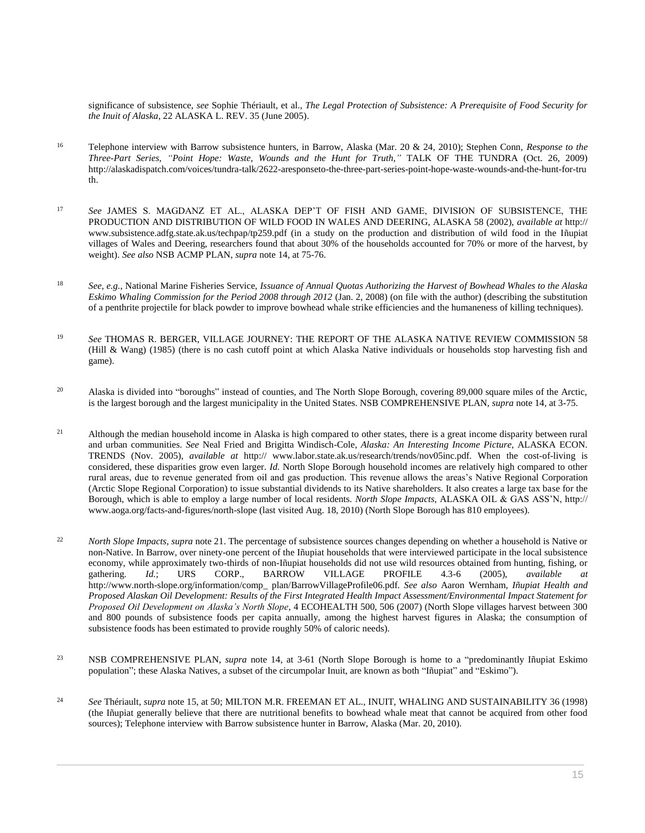significance of subsistence, *see* Sophie Thériault, et al., *[The Legal Protection of Subsistence: A Prerequisite of Food Security for](http://www.westlaw.com/Link/Document/FullText?findType=Y&serNum=0304268636&pubNum=0100168&originatingDoc=I0ecc82992df011e18b05fdf15589d8e8&refType=LR&originationContext=document&vr=3.0&rs=cblt1.0&transitionType=DocumentItem&contextData=(sc.Search))  the Inuit of Alaska*[, 22 ALASKA L. REV. 35 \(June 2005\).](http://www.westlaw.com/Link/Document/FullText?findType=Y&serNum=0304268636&pubNum=0100168&originatingDoc=I0ecc82992df011e18b05fdf15589d8e8&refType=LR&originationContext=document&vr=3.0&rs=cblt1.0&transitionType=DocumentItem&contextData=(sc.Search))

- <sup>16</sup> Telephone interview with Barrow subsistence hunters, in Barrow, Alaska (Mar. 20 & 24, 2010); Stephen Conn, *Response to the Three-Part Series, "Point Hope: Waste, Wounds and the Hunt for Truth,"* TALK OF THE TUNDRA (Oct. 26, 2009) http://alaskadispatch.com/voices/tundra-talk/2622-aresponseto-the-three-part-series-point-hope-waste-wounds-and-the-hunt-for-tru th.
- <sup>17</sup> *See* JAMES S. MAGDANZ ET AL., ALASKA DEP'T OF FISH AND GAME, DIVISION OF SUBSISTENCE, THE PRODUCTION AND DISTRIBUTION OF WILD FOOD IN WALES AND DEERING, ALASKA 58 (2002), *available at* http:// www.subsistence.adfg.state.ak.us/techpap/tp259.pdf (in a study on the production and distribution of wild food in the Iñupiat villages of Wales and Deering, researchers found that about 30% of the households accounted for 70% or more of the harvest, by weight). *See also* NSB ACMP PLAN, *supra* note 14, at 75-76.
- <sup>18</sup> *See, e.g.*, National Marine Fisheries Service, *Issuance of Annual Quotas Authorizing the Harvest of Bowhead Whales to the Alaska Eskimo Whaling Commission for the Period 2008 through 2012* (Jan. 2, 2008) (on file with the author) (describing the substitution of a penthrite projectile for black powder to improve bowhead whale strike efficiencies and the humaneness of killing techniques).
- <sup>19</sup> *See* THOMAS R. BERGER, VILLAGE JOURNEY: THE REPORT OF THE ALASKA NATIVE REVIEW COMMISSION 58 (Hill & Wang) (1985) (there is no cash cutoff point at which Alaska Native individuals or households stop harvesting fish and game).
- <sup>20</sup> Alaska is divided into "boroughs" instead of counties, and The North Slope Borough, covering 89,000 square miles of the Arctic, is the largest borough and the largest municipality in the United States. NSB COMPREHENSIVE PLAN, *supra* note 14, at 3-75.
- <sup>21</sup> Although the median household income in Alaska is high compared to other states, there is a great income disparity between rural and urban communities. *See* Neal Fried and Brigitta Windisch-Cole, *Alaska: An Interesting Income Picture*, ALASKA ECON. TRENDS (Nov. 2005), *available at* http:// www.labor.state.ak.us/research/trends/nov05inc.pdf. When the cost-of-living is considered, these disparities grow even larger. *Id.* North Slope Borough household incomes are relatively high compared to other rural areas, due to revenue generated from oil and gas production. This revenue allows the areas's Native Regional Corporation (Arctic Slope Regional Corporation) to issue substantial dividends to its Native shareholders. It also creates a large tax base for the Borough, which is able to employ a large number of local residents. *North Slope Impacts*, ALASKA OIL & GAS ASS'N, http:// www.aoga.org/facts-and-figures/north-slope (last visited Aug. 18, 2010) (North Slope Borough has 810 employees).
- <sup>22</sup> *North Slope Impacts*, *supra* note 21. The percentage of subsistence sources changes depending on whether a household is Native or non-Native. In Barrow, over ninety-one percent of the Iñupiat households that were interviewed participate in the local subsistence economy, while approximately two-thirds of non-Iñupiat households did not use wild resources obtained from hunting, fishing, or gathering. *Id.*; URS CORP., BARROW VILLAGE PROFILE 4.3-6 (2005), *available at* http://www.north-slope.org/information/comp\_ plan/BarrowVillageProfile06.pdf. *See also* Aaron Wernham, *Iñupiat Health and Proposed Alaskan Oil Development: Results of the First Integrated Health Impact Assessment/Environmental Impact Statement for Proposed Oil Development on Alaska's North Slope*, 4 ECOHEALTH 500, 506 (2007) (North Slope villages harvest between 300 and 800 pounds of subsistence foods per capita annually, among the highest harvest figures in Alaska; the consumption of subsistence foods has been estimated to provide roughly 50% of caloric needs).
- <sup>23</sup> NSB COMPREHENSIVE PLAN, *supra* note 14, at 3-61 (North Slope Borough is home to a "predominantly Iñupiat Eskimo population"; these Alaska Natives, a subset of the circumpolar Inuit, are known as both "Iñupiat" and "Eskimo").
- <sup>24</sup> *See* Thériault, *supra* note 15, at 50; MILTON M.R. FREEMAN ET AL., INUIT, WHALING AND SUSTAINABILITY 36 (1998) (the Iñupiat generally believe that there are nutritional benefits to bowhead whale meat that cannot be acquired from other food sources); Telephone interview with Barrow subsistence hunter in Barrow, Alaska (Mar. 20, 2010).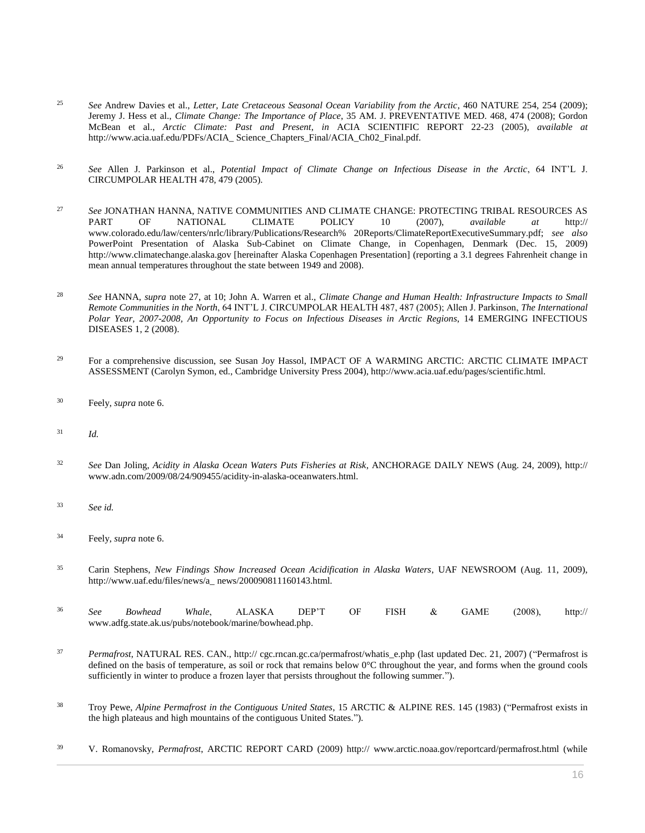- <sup>25</sup> See Andrew Davies et al., *Letter, Late Cretaceous Seasonal Ocean Variability from the Arctic*, 460 NATURE 254, 254 (2009); Jeremy J. Hess et al., *Climate Change: The Importance of Place*, 35 AM. J. PREVENTATIVE MED. 468, 474 (2008); Gordon McBean et al., *Arctic Climate: Past and Present*, *in* ACIA SCIENTIFIC REPORT 22-23 (2005), *available at* http://www.acia.uaf.edu/PDFs/ACIA\_ Science\_Chapters\_Final/ACIA\_Ch02\_Final.pdf.
- <sup>26</sup> *See* Allen J. Parkinson et al., *Potential Impact of Climate Change on Infectious Disease in the Arctic*, 64 INT'L J. CIRCUMPOLAR HEALTH 478, 479 (2005).
- <sup>27</sup> *See* JONATHAN HANNA, NATIVE COMMUNITIES AND CLIMATE CHANGE: PROTECTING TRIBAL RESOURCES AS PART OF NATIONAL CLIMATE POLICY 10 (2007), *available at* http:// www.colorado.edu/law/centers/nrlc/library/Publications/Research% 20Reports/ClimateReportExecutiveSummary.pdf; *see also* PowerPoint Presentation of Alaska Sub-Cabinet on Climate Change, in Copenhagen, Denmark (Dec. 15, 2009) http://www.climatechange.alaska.gov [hereinafter Alaska Copenhagen Presentation] (reporting a 3.1 degrees Fahrenheit change in mean annual temperatures throughout the state between 1949 and 2008).
- <sup>28</sup> *See* HANNA, *supra* note 27, at 10; John A. Warren et al., *Climate Change and Human Health: Infrastructure Impacts to Small Remote Communities in the North*, 64 INT'L J. CIRCUMPOLAR HEALTH 487, 487 (2005); Allen J. Parkinson, *The International Polar Year, 2007-2008, An Opportunity to Focus on Infectious Diseases in Arctic Regions*, 14 EMERGING INFECTIOUS DISEASES 1, 2 (2008).
- <sup>29</sup> For a comprehensive discussion, see Susan Joy Hassol, IMPACT OF A WARMING ARCTIC: ARCTIC CLIMATE IMPACT ASSESSMENT (Carolyn Symon, ed., Cambridge University Press 2004), http://www.acia.uaf.edu/pages/scientific.html.
- <sup>30</sup> Feely, *supra* note 6.
- <sup>31</sup> *Id.*
- <sup>32</sup> *See* Dan Joling, *Acidity in Alaska Ocean Waters Puts Fisheries at Risk*, ANCHORAGE DAILY NEWS (Aug. 24, 2009), http:// www.adn.com/2009/08/24/909455/acidity-in-alaska-oceanwaters.html.
- <sup>33</sup> *See id.*
- <sup>34</sup> Feely, *supra* note 6.
- <sup>35</sup> Carin Stephens, *New Findings Show Increased Ocean Acidification in Alaska Waters*, UAF NEWSROOM (Aug. 11, 2009), http://www.uaf.edu/files/news/a\_news/200090811160143.html.

| 36 | See                                                    | <i>Bowhead</i> | <i>Whale</i> , ALASKA |  | $DEF^T$ | OF | FISH & | <b>GAME</b> | $2008$ ). | http:// |
|----|--------------------------------------------------------|----------------|-----------------------|--|---------|----|--------|-------------|-----------|---------|
|    | www.adfg.state.ak.us/pubs/notebook/marine/bowhead.php. |                |                       |  |         |    |        |             |           |         |

- <sup>37</sup> *Permafrost*, NATURAL RES. CAN., http:// cgc.rncan.gc.ca/permafrost/whatis\_e.php (last updated Dec. 21, 2007) ("Permafrost is defined on the basis of temperature, as soil or rock that remains below 0°C throughout the year, and forms when the ground cools sufficiently in winter to produce a frozen layer that persists throughout the following summer.").
- <sup>38</sup> Troy Pewe, *Alpine Permafrost in the Contiguous United States*, 15 ARCTIC & ALPINE RES. 145 (1983) ("Permafrost exists in the high plateaus and high mountains of the contiguous United States.").
- <sup>39</sup> V. Romanovsky, *Permafrost*, ARCTIC REPORT CARD (2009) http:// www.arctic.noaa.gov/reportcard/permafrost.html (while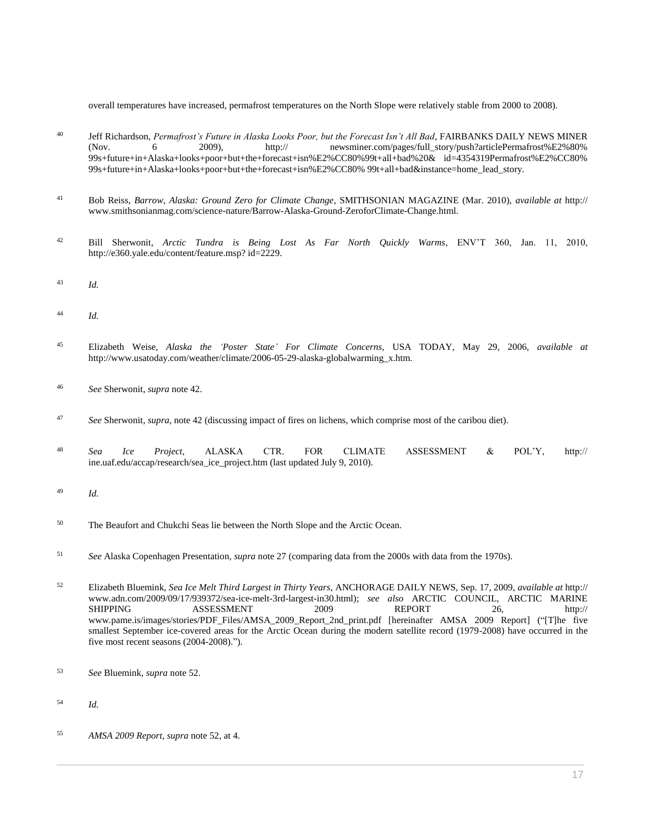overall temperatures have increased, permafrost temperatures on the North Slope were relatively stable from 2000 to 2008).

- <sup>40</sup> Jeff Richardson, *Permafrost's Future in Alaska Looks Poor, but the Forecast Isn't All Bad*, FAIRBANKS DAILY NEWS MINER (Nov. 6 2009), http:// newsminer.com/pages/full\_story/push?articlePermafrost%E2%80% 99s+future+in+Alaska+looks+poor+but+the+forecast+isn%E2%CC80%99t+all+bad%20& id=4354319Permafrost%E2%CC80% 99s+future+in+Alaska+looks+poor+but+the+forecast+isn%E2%CC80% 99t+all+bad&instance=home\_lead\_story.
- <sup>41</sup> Bob Reiss, *Barrow, Alaska: Ground Zero for Climate Change*, SMITHSONIAN MAGAZINE (Mar. 2010), *available at* http:// www.smithsonianmag.com/science-nature/Barrow-Alaska-Ground-ZeroforClimate-Change.html.
- <sup>42</sup> Bill Sherwonit, *Arctic Tundra is Being Lost As Far North Quickly Warms*, ENV'T 360, Jan. 11, 2010, http://e360.yale.edu/content/feature.msp? id=2229.
- <sup>43</sup> *Id.*
- <sup>44</sup> *Id.*
- <sup>45</sup> Elizabeth Weise, *Alaska the 'Poster State' For Climate Concerns*, USA TODAY, May 29, 2006, *available at* http://www.usatoday.com/weather/climate/2006-05-29-alaska-globalwarming\_x.htm.
- <sup>46</sup> *See* Sherwonit, *supra* note 42.
- <sup>47</sup> *See* Sherwonit, *supra*, note 42 (discussing impact of fires on lichens, which comprise most of the caribou diet).
- <sup>48</sup> *Sea Ice Project*, ALASKA CTR. FOR CLIMATE ASSESSMENT & POL'Y, http:// ine.uaf.edu/accap/research/sea\_ice\_project.htm (last updated July 9, 2010).
- <sup>49</sup> *Id.*
- <sup>50</sup> The Beaufort and Chukchi Seas lie between the North Slope and the Arctic Ocean.
- <sup>51</sup> *See* Alaska Copenhagen Presentation, *supra* note 27 (comparing data from the 2000s with data from the 1970s).
- <sup>52</sup> Elizabeth Bluemink, *Sea Ice Melt Third Largest in Thirty Years*, ANCHORAGE DAILY NEWS, Sep. 17, 2009, *available at* http:// www.adn.com/2009/09/17/939372/sea-ice-melt-3rd-largest-in30.html); *see also* ARCTIC COUNCIL, ARCTIC MARINE SHIPPING ASSESSMENT 2009 REPORT 26, http:// www.pame.is/images/stories/PDF\_Files/AMSA\_2009\_Report\_2nd\_print.pdf [hereinafter AMSA 2009 Report] ("[T]he five smallest September ice-covered areas for the Arctic Ocean during the modern satellite record (1979-2008) have occurred in the five most recent seasons (2004-2008).").
- <sup>53</sup> *See* Bluemink, *supra* note 52.
- <sup>54</sup> *Id.*
- <sup>55</sup> *AMSA 2009 Report*, *supra* note 52, at 4.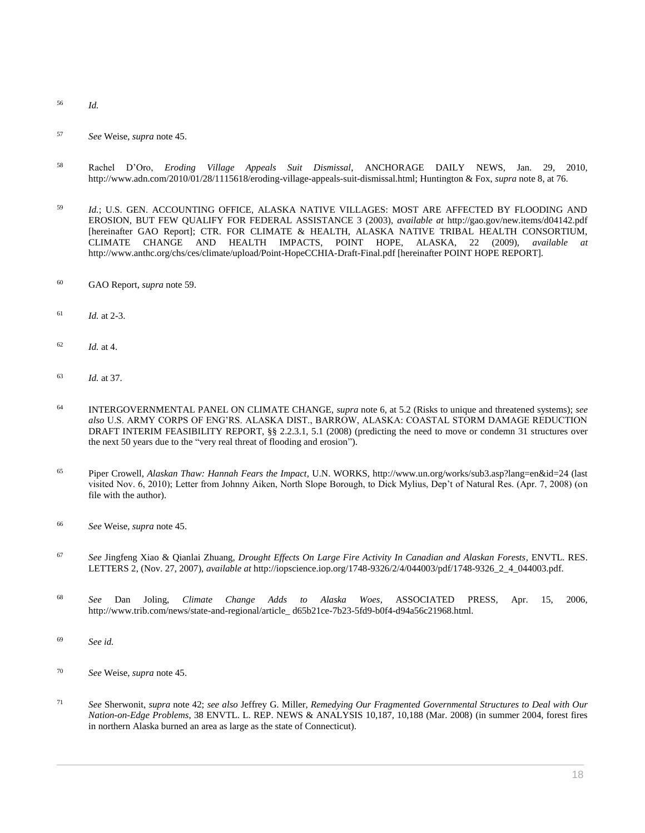- <sup>56</sup> *Id.*
- <sup>57</sup> *See* Weise, *supra* note 45.
- <sup>58</sup> Rachel D'Oro, *Eroding Village Appeals Suit Dismissal*, ANCHORAGE DAILY NEWS, Jan. 29, 2010, http://www.adn.com/2010/01/28/1115618/eroding-village-appeals-suit-dismissal.html; Huntington & Fox, *supra* note 8, at 76.
- <sup>59</sup> *Id.*; U.S. GEN. ACCOUNTING OFFICE, ALASKA NATIVE VILLAGES: MOST ARE AFFECTED BY FLOODING AND EROSION, BUT FEW QUALIFY FOR FEDERAL ASSISTANCE 3 (2003), *available at* http://gao.gov/new.items/d04142.pdf [hereinafter GAO Report]; CTR. FOR CLIMATE & HEALTH, ALASKA NATIVE TRIBAL HEALTH CONSORTIUM, CLIMATE CHANGE AND HEALTH IMPACTS, POINT HOPE, ALASKA, 22 (2009), *available at* http://www.anthc.org/chs/ces/climate/upload/Point-HopeCCHIA-Draft-Final.pdf [hereinafter POINT HOPE REPORT].
- <sup>60</sup> GAO Report, *supra* note 59.
- <sup>61</sup> *Id.* at 2-3.
- <sup>62</sup> *Id.* at 4.
- <sup>63</sup> *Id.* at 37.
- <sup>64</sup> INTERGOVERNMENTAL PANEL ON CLIMATE CHANGE, *supra* note 6, at 5.2 (Risks to unique and threatened systems); *see also* U.S. ARMY CORPS OF ENG'RS. ALASKA DIST., BARROW, ALASKA: COASTAL STORM DAMAGE REDUCTION DRAFT INTERIM FEASIBILITY REPORT, §§ 2.2.3.1, 5.1 (2008) (predicting the need to move or condemn 31 structures over the next 50 years due to the "very real threat of flooding and erosion").
- <sup>65</sup> Piper Crowell, *Alaskan Thaw: Hannah Fears the Impact*, U.N. WORKS, http://www.un.org/works/sub3.asp?lang=en&id=24 (last visited Nov. 6, 2010); Letter from Johnny Aiken, North Slope Borough, to Dick Mylius, Dep't of Natural Res. (Apr. 7, 2008) (on file with the author).
- <sup>66</sup> *See* Weise, *supra* note 45.
- <sup>67</sup> *See* Jingfeng Xiao & Qianlai Zhuang, *Drought Effects On Large Fire Activity In Canadian and Alaskan Forests*, ENVTL. RES. LETTERS 2, (Nov. 27, 2007), *available at* http://iopscience.iop.org/1748-9326/2/4/044003/pdf/1748-9326\_2\_4\_044003.pdf.
- <sup>68</sup> *See* Dan Joling, *Climate Change Adds to Alaska Woes*, ASSOCIATED PRESS, Apr. 15, 2006, http://www.trib.com/news/state-and-regional/article\_ d65b21ce-7b23-5fd9-b0f4-d94a56c21968.html.
- <sup>69</sup> *See id.*
- <sup>70</sup> *See* Weise, *supra* note 45.
- <sup>71</sup> *See* Sherwonit, *supra* note 42; *see also* Jeffrey G. Miller, *[Remedying Our Fragmented Governmental Structures to Deal with Our](http://www.westlaw.com/Link/Document/FullText?findType=Y&serNum=0339355854&pubNum=0204773&originatingDoc=I0ecc82992df011e18b05fdf15589d8e8&refType=LR&fi=co_pp_sp_204773_10188&originationContext=document&vr=3.0&rs=cblt1.0&transitionType=DocumentItem&contextData=(sc.Search)#co_pp_sp_204773_10188)  Nation-on-Edge Problems*[, 38 ENVTL. L. REP. NEWS & ANALYSIS 10,187, 10,188 \(Mar. 2008\)](http://www.westlaw.com/Link/Document/FullText?findType=Y&serNum=0339355854&pubNum=0204773&originatingDoc=I0ecc82992df011e18b05fdf15589d8e8&refType=LR&fi=co_pp_sp_204773_10188&originationContext=document&vr=3.0&rs=cblt1.0&transitionType=DocumentItem&contextData=(sc.Search)#co_pp_sp_204773_10188) (in summer 2004, forest fires in northern Alaska burned an area as large as the state of Connecticut).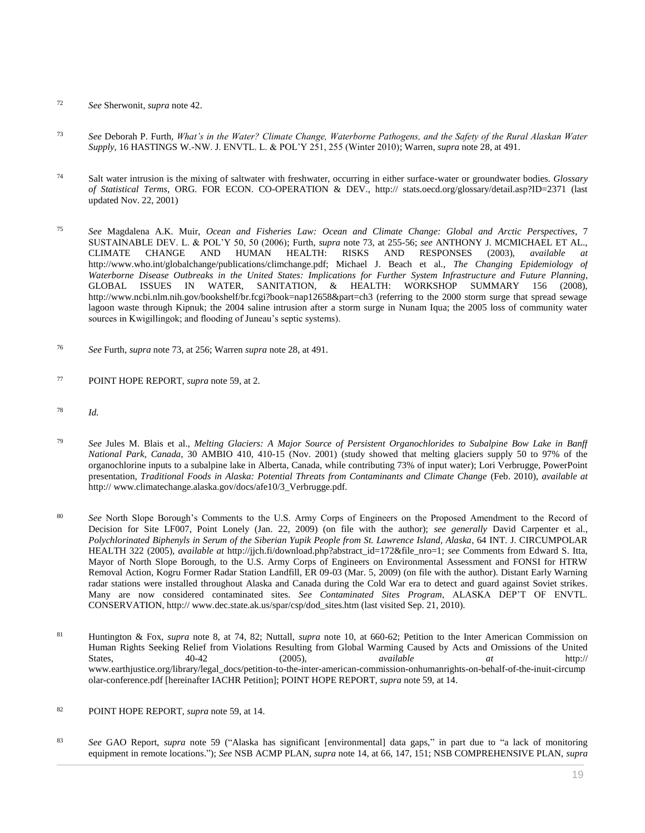- <sup>72</sup> *See* Sherwonit, *supra* note 42.
- <sup>73</sup> *See* Deborah P. Furth, *[What's in the Water? Climate Change, Waterborne Pathogens, and the Safety of the Rural Alaskan Water](http://www.westlaw.com/Link/Document/FullText?findType=Y&serNum=0349685373&pubNum=0109839&originatingDoc=I0ecc82992df011e18b05fdf15589d8e8&refType=LR&fi=co_pp_sp_109839_255&originationContext=document&vr=3.0&rs=cblt1.0&transitionType=DocumentItem&contextData=(sc.Search)#co_pp_sp_109839_255)  Supply*[, 16 HASTINGS W.-NW. J. ENVTL. L. & POL'Y 251, 255 \(Winter 2010\);](http://www.westlaw.com/Link/Document/FullText?findType=Y&serNum=0349685373&pubNum=0109839&originatingDoc=I0ecc82992df011e18b05fdf15589d8e8&refType=LR&fi=co_pp_sp_109839_255&originationContext=document&vr=3.0&rs=cblt1.0&transitionType=DocumentItem&contextData=(sc.Search)#co_pp_sp_109839_255) Warren, *supra* note 28, at 491.
- <sup>74</sup> Salt water intrusion is the mixing of saltwater with freshwater, occurring in either surface-water or groundwater bodies. *Glossary of Statistical Terms*, ORG. FOR ECON. CO-OPERATION & DEV., http:// stats.oecd.org/glossary/detail.asp?ID=2371 (last updated Nov. 22, 2001)
- <sup>75</sup> *See* Magdalena A.K. Muir, *Ocean and Fisheries Law: [Ocean and Climate Change: Global and Arctic Perspectives](http://www.westlaw.com/Link/Document/FullText?findType=Y&serNum=0330656533&pubNum=0196638&originatingDoc=I0ecc82992df011e18b05fdf15589d8e8&refType=LR&originationContext=document&vr=3.0&rs=cblt1.0&transitionType=DocumentItem&contextData=(sc.Search))*, 7 [SUSTAINABLE DEV. L. & POL'Y 50, 50 \(2006\);](http://www.westlaw.com/Link/Document/FullText?findType=Y&serNum=0330656533&pubNum=0196638&originatingDoc=I0ecc82992df011e18b05fdf15589d8e8&refType=LR&originationContext=document&vr=3.0&rs=cblt1.0&transitionType=DocumentItem&contextData=(sc.Search)) Furth, *supra* note 73, at 255-56; *see* ANTHONY J. MCMICHAEL ET AL., CLIMATE CHANGE AND HUMAN HEALTH: RISKS AND RESPONSES (2003), *available at* http://www.who.int/globalchange/publications/climchange.pdf; Michael J. Beach et al., *The Changing Epidemiology of Waterborne Disease Outbreaks in the United States: Implications for Further System Infrastructure and Future Planning*, GLOBAL ISSUES IN WATER, SANITATION, & HEALTH: WORKSHOP SUMMARY 156 (2008), http://www.ncbi.nlm.nih.gov/bookshelf/br.fcgi?book=nap12658&part=ch3 (referring to the 2000 storm surge that spread sewage lagoon waste through Kipnuk; the 2004 saline intrusion after a storm surge in Nunam Iqua; the 2005 loss of community water sources in Kwigillingok; and flooding of Juneau's septic systems).
- <sup>76</sup> *See* Furth, *supra* note 73, at 256; Warren *supra* note 28, at 491.
- <sup>77</sup> POINT HOPE REPORT, *supra* note 59, at 2.
- <sup>78</sup> *Id.*
- <sup>79</sup> *See* Jules M. Blais et al., *Melting Glaciers: A Major Source of Persistent Organochlorides to Subalpine Bow Lake in Banff National Park, Canada*, 30 AMBIO 410, 410-15 (Nov. 2001) (study showed that melting glaciers supply 50 to 97% of the organochlorine inputs to a subalpine lake in Alberta, Canada, while contributing 73% of input water); Lori Verbrugge, PowerPoint presentation, *Traditional Foods in Alaska: Potential Threats from Contaminants and Climate Change* (Feb. 2010), *available at* http:// www.climatechange.alaska.gov/docs/afe10/3\_Verbrugge.pdf.
- <sup>80</sup> *See* North Slope Borough's Comments to the U.S. Army Corps of Engineers on the Proposed Amendment to the Record of Decision for Site LF007, Point Lonely (Jan. 22, 2009) (on file with the author); *see generally* David Carpenter et al., *Polychlorinated Biphenyls in Serum of the Siberian Yupik People from St. Lawrence Island, Alaska*, 64 INT. J. CIRCUMPOLAR HEALTH 322 (2005), *available at* http://jjch.fi/download.php?abstract\_id=172&file\_nro=1; *see* Comments from Edward S. Itta, Mayor of North Slope Borough, to the U.S. Army Corps of Engineers on Environmental Assessment and FONSI for HTRW Removal Action, Kogru Former Radar Station Landfill, ER 09-03 (Mar. 5, 2009) (on file with the author). Distant Early Warning radar stations were installed throughout Alaska and Canada during the Cold War era to detect and guard against Soviet strikes. Many are now considered contaminated sites. *See Contaminated Sites Program*, ALASKA DEP'T OF ENVTL. CONSERVATION, http:// www.dec.state.ak.us/spar/csp/dod\_sites.htm (last visited Sep. 21, 2010).
- <sup>81</sup> Huntington & Fox, *supra* note 8, at 74, 82; Nuttall, *supra* note 10, at 660-62; Petition to the Inter American Commission on Human Rights Seeking Relief from Violations Resulting from Global Warming Caused by Acts and Omissions of the United States, 40-42 (2005), *available at* http:// www.earthjustice.org/library/legal\_docs/petition-to-the-inter-american-commission-onhumanrights-on-behalf-of-the-inuit-circump olar-conference.pdf [hereinafter IACHR Petition]; POINT HOPE REPORT, *supra* note 59, at 14.
- <sup>82</sup> POINT HOPE REPORT, *supra* note 59, at 14.
- <sup>83</sup> *See* GAO Report, *supra* note 59 ("Alaska has significant [environmental] data gaps," in part due to "a lack of monitoring equipment in remote locations."); *See* NSB ACMP PLAN, *supra* note 14, at 66, 147, 151; NSB COMPREHENSIVE PLAN, *supra*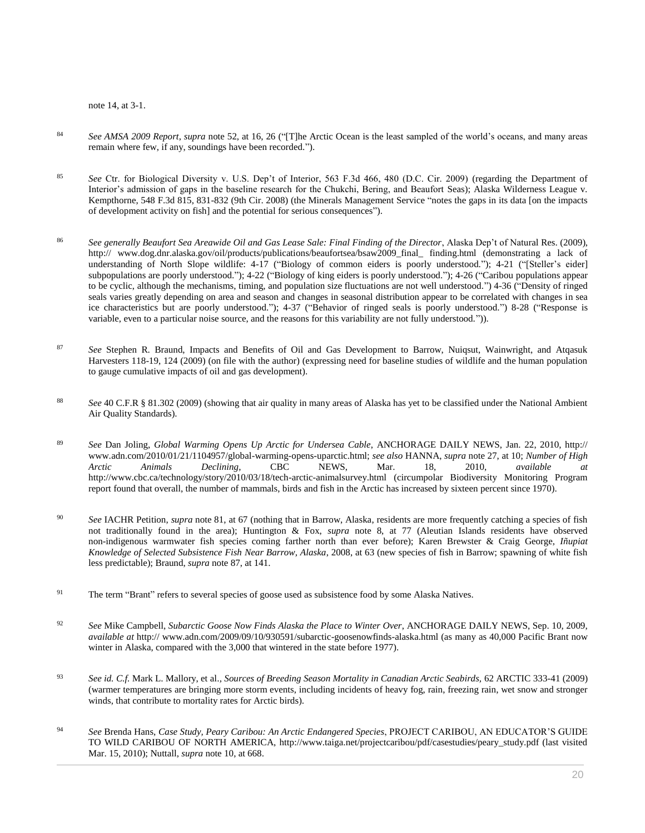note 14, at 3-1.

- <sup>84</sup> *See AMSA 2009 Report*, *supra* note 52, at 16, 26 ("[T]he Arctic Ocean is the least sampled of the world's oceans, and many areas remain where few, if any, soundings have been recorded.").
- <sup>85</sup> *See* [Ctr. for Biological Diversity v. U.S. Dep't of Interior, 563 F.3d 466, 480 \(D.C. Cir. 2009\)](http://www.westlaw.com/Link/Document/FullText?findType=Y&serNum=2018624931&pubNum=0000506&originatingDoc=I0ecc82992df011e18b05fdf15589d8e8&refType=RP&fi=co_pp_sp_506_480&originationContext=document&vr=3.0&rs=cblt1.0&transitionType=DocumentItem&contextData=(sc.Search)#co_pp_sp_506_480) (regarding the Department of Interior's admission of gaps in the baseline research for the Chukchi, Bering, and Beaufort Seas); [Alaska Wilderness League v.](http://www.westlaw.com/Link/Document/FullText?findType=Y&serNum=2017477094&pubNum=0000506&originatingDoc=I0ecc82992df011e18b05fdf15589d8e8&refType=RP&fi=co_pp_sp_506_831&originationContext=document&vr=3.0&rs=cblt1.0&transitionType=DocumentItem&contextData=(sc.Search)#co_pp_sp_506_831)  [Kempthorne, 548 F.3d 815, 831-832 \(9th Cir. 2008\)](http://www.westlaw.com/Link/Document/FullText?findType=Y&serNum=2017477094&pubNum=0000506&originatingDoc=I0ecc82992df011e18b05fdf15589d8e8&refType=RP&fi=co_pp_sp_506_831&originationContext=document&vr=3.0&rs=cblt1.0&transitionType=DocumentItem&contextData=(sc.Search)#co_pp_sp_506_831) (the Minerals Management Service "notes the gaps in its data [on the impacts of development activity on fish] and the potential for serious consequences").
- <sup>86</sup> *See generally Beaufort Sea Areawide Oil and Gas Lease Sale: Final Finding of the Director*, Alaska Dep't of Natural Res. (2009), http:// www.dog.dnr.alaska.gov/oil/products/publications/beaufortsea/bsaw2009\_final\_ finding.html (demonstrating a lack of understanding of North Slope wildlife: 4-17 ("Biology of common eiders is poorly understood."); 4-21 ("[Steller's eider] subpopulations are poorly understood."); 4-22 ("Biology of king eiders is poorly understood."); 4-26 ("Caribou populations appear to be cyclic, although the mechanisms, timing, and population size fluctuations are not well understood.") 4-36 ("Density of ringed seals varies greatly depending on area and season and changes in seasonal distribution appear to be correlated with changes in sea ice characteristics but are poorly understood."); 4-37 ("Behavior of ringed seals is poorly understood.") 8-28 ("Response is variable, even to a particular noise source, and the reasons for this variability are not fully understood.")).
- <sup>87</sup> *See* Stephen R. Braund, Impacts and Benefits of Oil and Gas Development to Barrow, Nuiqsut, Wainwright, and Atqasuk Harvesters 118-19, 124 (2009) (on file with the author) (expressing need for baseline studies of wildlife and the human population to gauge cumulative impacts of oil and gas development).
- <sup>88</sup> *See* [40 C.F.R § 81.302 \(2009\)](http://www.westlaw.com/Link/Document/FullText?findType=L&pubNum=1000547&cite=40CFRS81.302&originatingDoc=I0ecc82992df011e18b05fdf15589d8e8&refType=LQ&originationContext=document&vr=3.0&rs=cblt1.0&transitionType=DocumentItem&contextData=(sc.Search)) (showing that air quality in many areas of Alaska has yet to be classified under the National Ambient Air Quality Standards).
- <sup>89</sup> *See* Dan Joling, *Global Warming Opens Up Arctic for Undersea Cable*, ANCHORAGE DAILY NEWS, Jan. 22, 2010, http:// www.adn.com/2010/01/21/1104957/global-warming-opens-uparctic.html; *see also* HANNA, *supra* note 27, at 10; *Number of High Arctic Animals Declining*, CBC NEWS, Mar. 18, 2010, *available at* http://www.cbc.ca/technology/story/2010/03/18/tech-arctic-animalsurvey.html (circumpolar Biodiversity Monitoring Program report found that overall, the number of mammals, birds and fish in the Arctic has increased by sixteen percent since 1970).
- <sup>90</sup> *See* IACHR Petition, *supra* note 81, at 67 (nothing that in Barrow, Alaska, residents are more frequently catching a species of fish not traditionally found in the area); Huntington & Fox, *supra* note 8, at 77 (Aleutian Islands residents have observed non-indigenous warmwater fish species coming farther north than ever before); Karen Brewster & Craig George, *Iñupiat Knowledge of Selected Subsistence Fish Near Barrow, Alaska*, 2008, at 63 (new species of fish in Barrow; spawning of white fish less predictable); Braund, *supra* note 87, at 141.
- <sup>91</sup> The term "Brant" refers to several species of goose used as subsistence food by some Alaska Natives.
- <sup>92</sup> *See* Mike Campbell, *Subarctic Goose Now Finds Alaska the Place to Winter Over*, ANCHORAGE DAILY NEWS, Sep. 10, 2009, *available at* http:// www.adn.com/2009/09/10/930591/subarctic-goosenowfinds-alaska.html (as many as 40,000 Pacific Brant now winter in Alaska, compared with the 3,000 that wintered in the state before 1977).
- <sup>93</sup> *See id. C.f.* Mark L. Mallory, et al.*, Sources of Breeding Season Mortality in Canadian Arctic Seabirds,* 62 ARCTIC 333-41 (2009) (warmer temperatures are bringing more storm events, including incidents of heavy fog, rain, freezing rain, wet snow and stronger winds, that contribute to mortality rates for Arctic birds).
- <sup>94</sup> *See* Brenda Hans, *Case Study, Peary Caribou: An Arctic Endangered Species*, PROJECT CARIBOU, AN EDUCATOR'S GUIDE TO WILD CARIBOU OF NORTH AMERICA, http://www.taiga.net/projectcaribou/pdf/casestudies/peary\_study.pdf (last visited Mar. 15, 2010); Nuttall, *supra* note 10, at 668.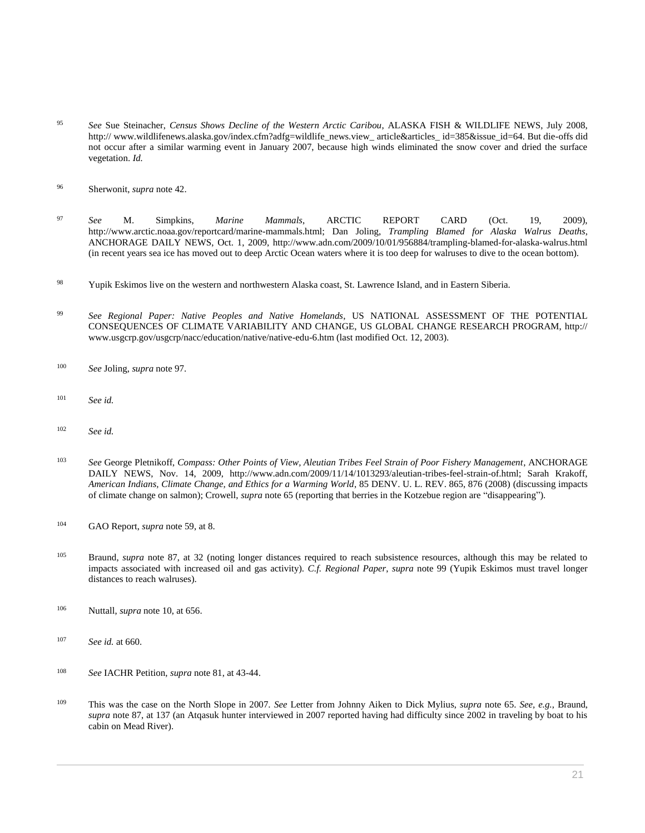- <sup>95</sup> *See* Sue Steinacher, *Census Shows Decline of the Western Arctic Caribou*, ALASKA FISH & WILDLIFE NEWS, July 2008, http://www.wildlifenews.alaska.gov/index.cfm?adfg=wildlife\_news.view\_article&articles\_id=385&issue\_id=64. But die-offs did not occur after a similar warming event in January 2007, because high winds eliminated the snow cover and dried the surface vegetation. *Id.*
- <sup>96</sup> Sherwonit, *supra* note 42.
- <sup>97</sup> *See* M. Simpkins, *Marine Mammals*, ARCTIC REPORT CARD (Oct. 19, 2009), http://www.arctic.noaa.gov/reportcard/marine-mammals.html; Dan Joling, *Trampling Blamed for Alaska Walrus Deaths*, ANCHORAGE DAILY NEWS, Oct. 1, 2009, http://www.adn.com/2009/10/01/956884/trampling-blamed-for-alaska-walrus.html (in recent years sea ice has moved out to deep Arctic Ocean waters where it is too deep for walruses to dive to the ocean bottom).
- <sup>98</sup> Yupik Eskimos live on the western and northwestern Alaska coast, St. Lawrence Island, and in Eastern Siberia.
- <sup>99</sup> *See Regional Paper: Native Peoples and Native Homelands*, US NATIONAL ASSESSMENT OF THE POTENTIAL CONSEQUENCES OF CLIMATE VARIABILITY AND CHANGE, US GLOBAL CHANGE RESEARCH PROGRAM, http:// www.usgcrp.gov/usgcrp/nacc/education/native/native-edu-6.htm (last modified Oct. 12, 2003).
- <sup>100</sup> *See* Joling, *supra* note 97.
- <sup>101</sup> *See id.*
- <sup>102</sup> *See id.*
- <sup>103</sup> *See* George Pletnikoff, *Compass: Other Points of View, Aleutian Tribes Feel Strain of Poor Fishery Management*, ANCHORAGE DAILY NEWS, Nov. 14, 2009, http://www.adn.com/2009/11/14/1013293/aleutian-tribes-feel-strain-of.html; Sarah Krakoff, *[American Indians, Climate Change, and Ethics for a Warming World](http://www.westlaw.com/Link/Document/FullText?findType=Y&serNum=0339468874&pubNum=0100171&originatingDoc=I0ecc82992df011e18b05fdf15589d8e8&refType=LR&fi=co_pp_sp_100171_876&originationContext=document&vr=3.0&rs=cblt1.0&transitionType=DocumentItem&contextData=(sc.Search)#co_pp_sp_100171_876)*, 85 DENV. U. L. REV. 865, 876 (2008) (discussing impacts of climate change on salmon); Crowell, *supra* note 65 (reporting that berries in the Kotzebue region are "disappearing").
- <sup>104</sup> GAO Report, *supra* note 59, at 8.
- <sup>105</sup> Braund, *supra* note 87, at 32 (noting longer distances required to reach subsistence resources, although this may be related to impacts associated with increased oil and gas activity). *C.f. Regional Paper*, *supra* note 99 (Yupik Eskimos must travel longer distances to reach walruses).
- <sup>106</sup> Nuttall, *supra* note 10, at 656.
- <sup>107</sup> *See id.* at 660.
- <sup>108</sup> *See* IACHR Petition, *supra* note 81, at 43-44.
- <sup>109</sup> This was the case on the North Slope in 2007. *See* Letter from Johnny Aiken to Dick Mylius, *supra* note 65. *See, e.g.*, Braund, *supra* note 87, at 137 (an Atqasuk hunter interviewed in 2007 reported having had difficulty since 2002 in traveling by boat to his cabin on Mead River).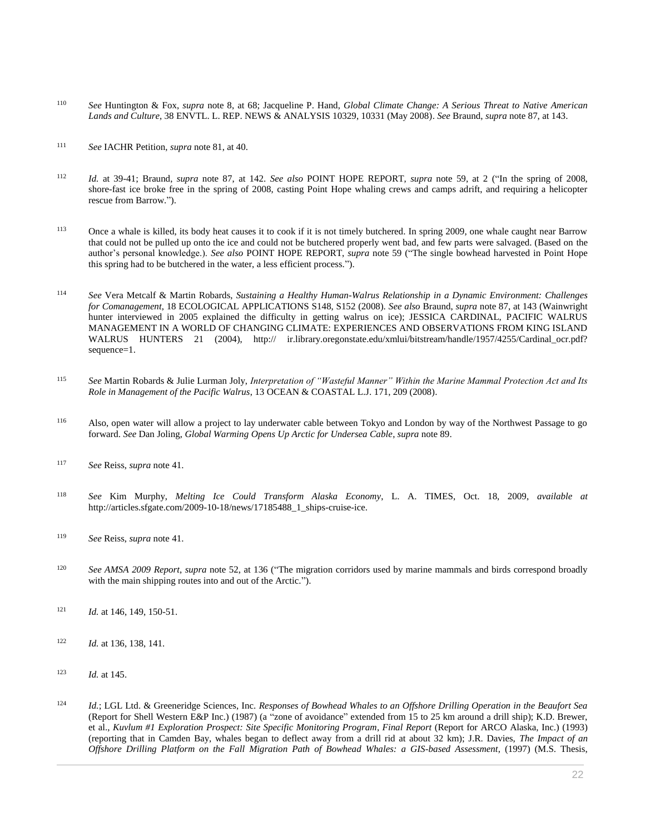- <sup>110</sup> *See* Huntington & Fox, *supra* note 8, at 68; Jacqueline P. Hand, *[Global Climate Change: A Serious Threat to Native American](http://www.westlaw.com/Link/Document/FullText?findType=Y&serNum=0340548562&pubNum=0204773&originatingDoc=I0ecc82992df011e18b05fdf15589d8e8&refType=LR&fi=co_pp_sp_204773_10331&originationContext=document&vr=3.0&rs=cblt1.0&transitionType=DocumentItem&contextData=(sc.Search)#co_pp_sp_204773_10331)  Lands and Culture*, 38 [ENVTL. L. REP. NEWS & ANALYSIS 10329, 10331 \(May 2008\).](http://www.westlaw.com/Link/Document/FullText?findType=Y&serNum=0340548562&pubNum=0204773&originatingDoc=I0ecc82992df011e18b05fdf15589d8e8&refType=LR&fi=co_pp_sp_204773_10331&originationContext=document&vr=3.0&rs=cblt1.0&transitionType=DocumentItem&contextData=(sc.Search)#co_pp_sp_204773_10331) *See* Braund, *supra* note 87, at 143.
- <sup>111</sup> *See* IACHR Petition, *supra* note 81, at 40.
- <sup>112</sup> *Id.* at 39-41; Braund, *supra* note 87, at 142. *See also* POINT HOPE REPORT, *supra* note 59, at 2 ("In the spring of 2008, shore-fast ice broke free in the spring of 2008, casting Point Hope whaling crews and camps adrift, and requiring a helicopter rescue from Barrow.").
- <sup>113</sup> Once a whale is killed, its body heat causes it to cook if it is not timely butchered. In spring 2009, one whale caught near Barrow that could not be pulled up onto the ice and could not be butchered properly went bad, and few parts were salvaged. (Based on the author's personal knowledge.). *See also* POINT HOPE REPORT, *supra* note 59 ("The single bowhead harvested in Point Hope this spring had to be butchered in the water, a less efficient process.").
- <sup>114</sup> *See* Vera Metcalf & Martin Robards, *Sustaining a Healthy Human-Walrus Relationship in a Dynamic Environment: Challenges for Comanagement*, 18 ECOLOGICAL APPLICATIONS S148, S152 (2008). *See also* Braund, *supra* note 87, at 143 (Wainwright hunter interviewed in 2005 explained the difficulty in getting walrus on ice); JESSICA CARDINAL, PACIFIC WALRUS MANAGEMENT IN A WORLD OF CHANGING CLIMATE: EXPERIENCES AND OBSERVATIONS FROM KING ISLAND WALRUS HUNTERS 21 (2004), http:// ir.library.oregonstate.edu/xmlui/bitstream/handle/1957/4255/Cardinal\_ocr.pdf? sequence=1.
- <sup>115</sup> *See* Martin Robards & Julie Lurman Joly, *[Interpretation of "Wasteful Manner" Within the Marine Mammal Protection Act and Its](http://www.westlaw.com/Link/Document/FullText?findType=Y&serNum=0340884204&pubNum=0102961&originatingDoc=I0ecc82992df011e18b05fdf15589d8e8&refType=LR&fi=co_pp_sp_102961_209&originationContext=document&vr=3.0&rs=cblt1.0&transitionType=DocumentItem&contextData=(sc.Search)#co_pp_sp_102961_209)  Role in Management of the Pacific Walrus*[, 13 OCEAN & COASTAL L.J. 171, 209 \(2008\).](http://www.westlaw.com/Link/Document/FullText?findType=Y&serNum=0340884204&pubNum=0102961&originatingDoc=I0ecc82992df011e18b05fdf15589d8e8&refType=LR&fi=co_pp_sp_102961_209&originationContext=document&vr=3.0&rs=cblt1.0&transitionType=DocumentItem&contextData=(sc.Search)#co_pp_sp_102961_209)
- <sup>116</sup> Also, open water will allow a project to lay underwater cable between Tokyo and London by way of the Northwest Passage to go forward. *See* Dan Joling, *Global Warming Opens Up Arctic for Undersea Cable*, *supra* note 89.
- <sup>117</sup> *See* Reiss, *supra* note 41.
- <sup>118</sup> *See* Kim Murphy, *Melting Ice Could Transform Alaska Economy*, L. A. TIMES, Oct. 18, 2009, *available at* http://articles.sfgate.com/2009-10-18/news/17185488\_1\_ships-cruise-ice.
- <sup>119</sup> *See* Reiss, *supra* note 41.
- <sup>120</sup> *See AMSA 2009 Report*, *supra* note 52, at 136 ("The migration corridors used by marine mammals and birds correspond broadly with the main shipping routes into and out of the Arctic.").
- <sup>121</sup> *Id.* at 146, 149, 150-51.
- <sup>122</sup> *Id.* at 136, 138, 141.
- <sup>123</sup> *Id.* at 145.
- <sup>124</sup> *Id.*; LGL Ltd. & Greeneridge Sciences, Inc. *Responses of Bowhead Whales to an Offshore Drilling Operation in the Beaufort Sea* (Report for Shell Western E&P Inc.) (1987) (a "zone of avoidance" extended from 15 to 25 km around a drill ship); K.D. Brewer, et al., *Kuvlum #1 Exploration Prospect: Site Specific Monitoring Program*, *Final Report* (Report for ARCO Alaska, Inc.) (1993) (reporting that in Camden Bay, whales began to deflect away from a drill rid at about 32 km); J.R. Davies, *The Impact of an Offshore Drilling Platform on the Fall Migration Path of Bowhead Whales: a GIS-based Assessment*, (1997) (M.S. Thesis,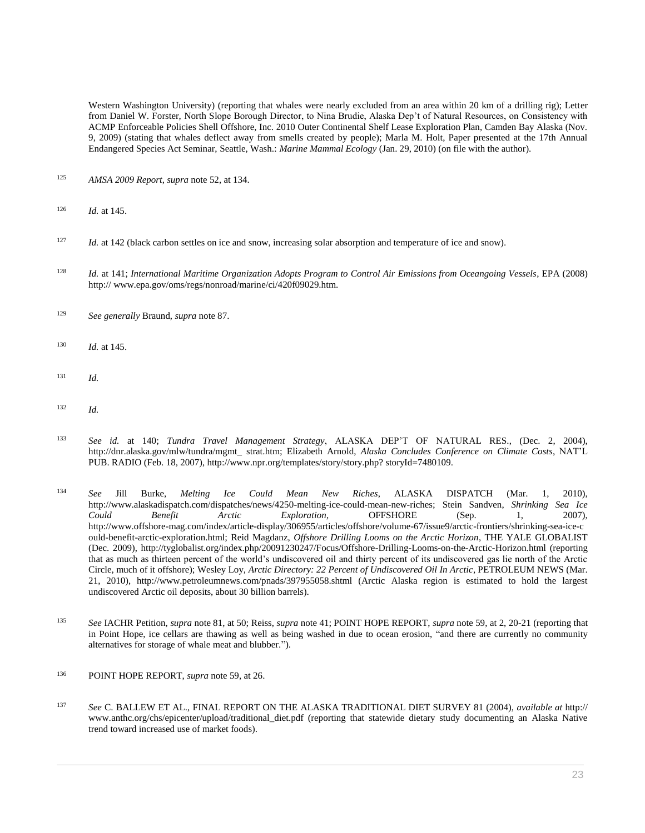Western Washington University) (reporting that whales were nearly excluded from an area within 20 km of a drilling rig); Letter from Daniel W. Forster, North Slope Borough Director, to Nina Brudie, Alaska Dep't of Natural Resources, on Consistency with ACMP Enforceable Policies Shell Offshore, Inc. 2010 Outer Continental Shelf Lease Exploration Plan, Camden Bay Alaska (Nov. 9, 2009) (stating that whales deflect away from smells created by people); Marla M. Holt, Paper presented at the 17th Annual Endangered Species Act Seminar, Seattle, Wash.: *Marine Mammal Ecology* (Jan. 29, 2010) (on file with the author).

- <sup>125</sup> *AMSA 2009 Report*, *supra* note 52, at 134.
- <sup>126</sup> *Id.* at 145.
- <sup>127</sup> *Id.* at 142 (black carbon settles on ice and snow, increasing solar absorption and temperature of ice and snow).
- <sup>128</sup> *Id.* at 141; *International Maritime Organization Adopts Program to Control Air Emissions from Oceangoing Vessels*, EPA (2008) http:// www.epa.gov/oms/regs/nonroad/marine/ci/420f09029.htm.
- <sup>129</sup> *See generally* Braund, *supra* note 87.
- <sup>130</sup> *Id.* at 145.
- <sup>131</sup> *Id.*
- <sup>132</sup> *Id.*
- <sup>133</sup> *See id.* at 140; *Tundra Travel Management Strategy*, ALASKA DEP'T OF NATURAL RES., (Dec. 2, 2004), http://dnr.alaska.gov/mlw/tundra/mgmt\_ strat.htm; Elizabeth Arnold, *Alaska Concludes Conference on Climate Costs*, NAT'L PUB. RADIO (Feb. 18, 2007), http://www.npr.org/templates/story/story.php? storyId=7480109.
- <sup>134</sup> *See* Jill Burke, *Melting Ice Could Mean New Riches*, ALASKA DISPATCH (Mar. 1, 2010), http://www.alaskadispatch.com/dispatches/news/4250-melting-ice-could-mean-new-riches; Stein Sandven, *Shrinking Sea Ice Could Benefit Arctic Exploration*, OFFSHORE (Sep. 1, 2007), http://www.offshore-mag.com/index/article-display/306955/articles/offshore/volume-67/issue9/arctic-frontiers/shrinking-sea-ice-c ould-benefit-arctic-exploration.html; Reid Magdanz, *Offshore Drilling Looms on the Arctic Horizon*, THE YALE GLOBALIST (Dec. 2009), http://tyglobalist.org/index.php/20091230247/Focus/Offshore-Drilling-Looms-on-the-Arctic-Horizon.html (reporting that as much as thirteen percent of the world's undiscovered oil and thirty percent of its undiscovered gas lie north of the Arctic Circle, much of it offshore); Wesley Loy, *Arctic Directory: 22 Percent of Undiscovered Oil In Arctic*, PETROLEUM NEWS (Mar. 21, 2010), http://www.petroleumnews.com/pnads/397955058.shtml (Arctic Alaska region is estimated to hold the largest undiscovered Arctic oil deposits, about 30 billion barrels).
- <sup>135</sup> *See* IACHR Petition, *supra* note 81, at 50; Reiss, *supra* note 41; POINT HOPE REPORT, *supra* note 59, at 2, 20-21 (reporting that in Point Hope, ice cellars are thawing as well as being washed in due to ocean erosion, "and there are currently no community alternatives for storage of whale meat and blubber.").
- <sup>136</sup> POINT HOPE REPORT, *supra* note 59, at 26.
- <sup>137</sup> *See* C. BALLEW ET AL., FINAL REPORT ON THE ALASKA TRADITIONAL DIET SURVEY 81 (2004), *available at* http:// www.anthc.org/chs/epicenter/upload/traditional\_diet.pdf (reporting that statewide dietary study documenting an Alaska Native trend toward increased use of market foods).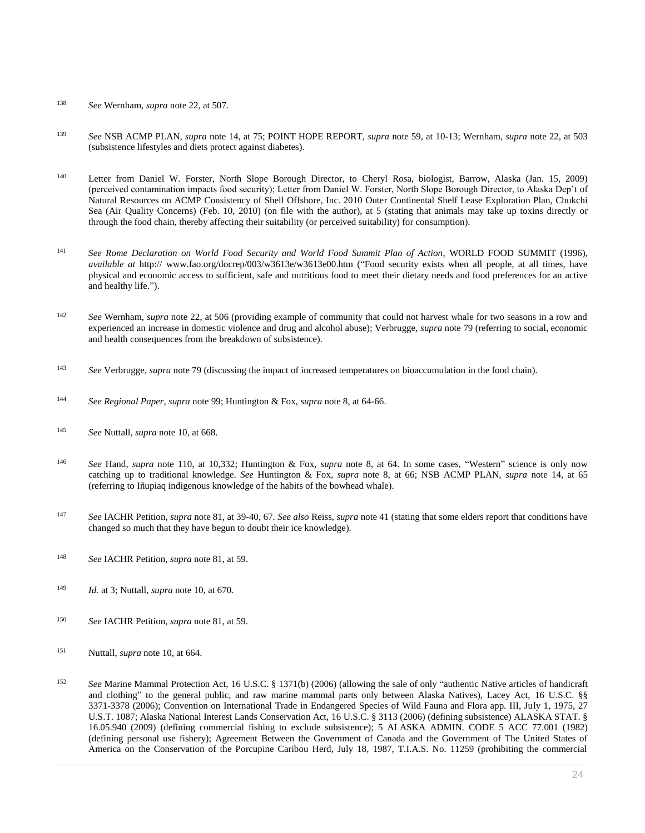- <sup>138</sup> *See* Wernham, *supra* note 22, at 507.
- <sup>139</sup> *See* NSB ACMP PLAN, *supra* note 14, at 75; POINT HOPE REPORT, *supra* note 59, at 10-13; Wernham, *supra* note 22, at 503 (subsistence lifestyles and diets protect against diabetes).
- <sup>140</sup> Letter from Daniel W. Forster, North Slope Borough Director, to Cheryl Rosa, biologist, Barrow, Alaska (Jan. 15, 2009) (perceived contamination impacts food security); Letter from Daniel W. Forster, North Slope Borough Director, to Alaska Dep't of Natural Resources on ACMP Consistency of Shell Offshore, Inc. 2010 Outer Continental Shelf Lease Exploration Plan, Chukchi Sea (Air Quality Concerns) (Feb. 10, 2010) (on file with the author), at 5 (stating that animals may take up toxins directly or through the food chain, thereby affecting their suitability (or perceived suitability) for consumption).
- <sup>141</sup> *See Rome Declaration on World Food Security and World Food Summit Plan of Action*, WORLD FOOD SUMMIT (1996), *available at* http:// www.fao.org/docrep/003/w3613e/w3613e00.htm ("Food security exists when all people, at all times, have physical and economic access to sufficient, safe and nutritious food to meet their dietary needs and food preferences for an active and healthy life.").
- <sup>142</sup> *See* Wernham, *supra* note 22, at 506 (providing example of community that could not harvest whale for two seasons in a row and experienced an increase in domestic violence and drug and alcohol abuse); Verbrugge, *supra* note 79 (referring to social, economic and health consequences from the breakdown of subsistence).
- <sup>143</sup> *See* Verbrugge, *supra* note 79 (discussing the impact of increased temperatures on bioaccumulation in the food chain).
- <sup>144</sup> *See Regional Paper*, *supra* note 99; Huntington & Fox, *supra* note 8, at 64-66.
- <sup>145</sup> *See* Nuttall, *supra* note 10, at 668.
- <sup>146</sup> *See* Hand, *supra* note 110, at 10,332; Huntington & Fox, *supra* note 8, at 64. In some cases, "Western" science is only now catching up to traditional knowledge. *See* Huntington & Fox, *supra* note 8, at 66; NSB ACMP PLAN, *supra* note 14, at 65 (referring to Iñupiaq indigenous knowledge of the habits of the bowhead whale).
- <sup>147</sup> *See* IACHR Petition, *supra* note 81, at 39-40, 67. *See also* Reiss, *supra* note 41 (stating that some elders report that conditions have changed so much that they have begun to doubt their ice knowledge).
- <sup>148</sup> *See* IACHR Petition, *supra* note 81, at 59.
- <sup>149</sup> *Id.* at 3; Nuttall, *supra* note 10, at 670.
- <sup>150</sup> *See* IACHR Petition, *supra* note 81, at 59.
- <sup>151</sup> Nuttall, *supra* note 10, at 664.
- <sup>152</sup> *See* Marine Mammal Protection Act, [16 U.S.C. § 1371\(b\) \(2006\)](http://www.westlaw.com/Link/Document/FullText?findType=L&pubNum=1000546&cite=16USCAS1371&originatingDoc=I0ecc82992df011e18b05fdf15589d8e8&refType=RB&originationContext=document&vr=3.0&rs=cblt1.0&transitionType=DocumentItem&contextData=(sc.Search)#co_pp_a83b000018c76) (allowing the sale of only "authentic Native articles of handicraft and clothing" to the general public, and raw marine mammal parts only between Alaska Natives), Lacey Act, [16 U.S.C. §§](http://www.westlaw.com/Link/Document/FullText?findType=L&pubNum=1000546&cite=16USCAS3371&originatingDoc=I0ecc82992df011e18b05fdf15589d8e8&refType=LQ&originationContext=document&vr=3.0&rs=cblt1.0&transitionType=DocumentItem&contextData=(sc.Search))  [3371](http://www.westlaw.com/Link/Document/FullText?findType=L&pubNum=1000546&cite=16USCAS3371&originatingDoc=I0ecc82992df011e18b05fdf15589d8e8&refType=LQ&originationContext=document&vr=3.0&rs=cblt1.0&transitionType=DocumentItem&contextData=(sc.Search))[-3378 \(2006\);](http://www.westlaw.com/Link/Document/FullText?findType=L&pubNum=1000546&cite=16USCAS3378&originatingDoc=I0ecc82992df011e18b05fdf15589d8e8&refType=LQ&originationContext=document&vr=3.0&rs=cblt1.0&transitionType=DocumentItem&contextData=(sc.Search)) Convention on International Trade in Endangered Species of Wild Fauna and Flora app. III, July 1, 1975, [27](http://www.westlaw.com/Link/Document/FullText?findType=Y&serNum=1975158422&pubNum=0006792&originatingDoc=I0ecc82992df011e18b05fdf15589d8e8&refType=CA&originationContext=document&vr=3.0&rs=cblt1.0&transitionType=DocumentItem&contextData=(sc.Search))  [U.S.T. 1087;](http://www.westlaw.com/Link/Document/FullText?findType=Y&serNum=1975158422&pubNum=0006792&originatingDoc=I0ecc82992df011e18b05fdf15589d8e8&refType=CA&originationContext=document&vr=3.0&rs=cblt1.0&transitionType=DocumentItem&contextData=(sc.Search)) Alaska National Interest Lands Conservation Act, [16 U.S.C. § 3113 \(2006\)](http://www.westlaw.com/Link/Document/FullText?findType=L&pubNum=1000546&cite=16USCAS3113&originatingDoc=I0ecc82992df011e18b05fdf15589d8e8&refType=LQ&originationContext=document&vr=3.0&rs=cblt1.0&transitionType=DocumentItem&contextData=(sc.Search)) (defining subsistence[\) ALASKA STAT. §](http://www.westlaw.com/Link/Document/FullText?findType=L&pubNum=1000003&cite=AKSTS16.05.940&originatingDoc=I0ecc82992df011e18b05fdf15589d8e8&refType=LQ&originationContext=document&vr=3.0&rs=cblt1.0&transitionType=DocumentItem&contextData=(sc.Search))  [16.05.940 \(2009\)](http://www.westlaw.com/Link/Document/FullText?findType=L&pubNum=1000003&cite=AKSTS16.05.940&originatingDoc=I0ecc82992df011e18b05fdf15589d8e8&refType=LQ&originationContext=document&vr=3.0&rs=cblt1.0&transitionType=DocumentItem&contextData=(sc.Search)) (defining commercial fishing to exclude subsistence); 5 ALASKA ADMIN. CODE 5 ACC 77.001 (1982) (defining personal use fishery); Agreement Between the Government of Canada and the Government of The United States of America on the Conservation of the Porcupine Caribou Herd, July 18, 1987, T.I.A.S. No. 11259 (prohibiting the commercial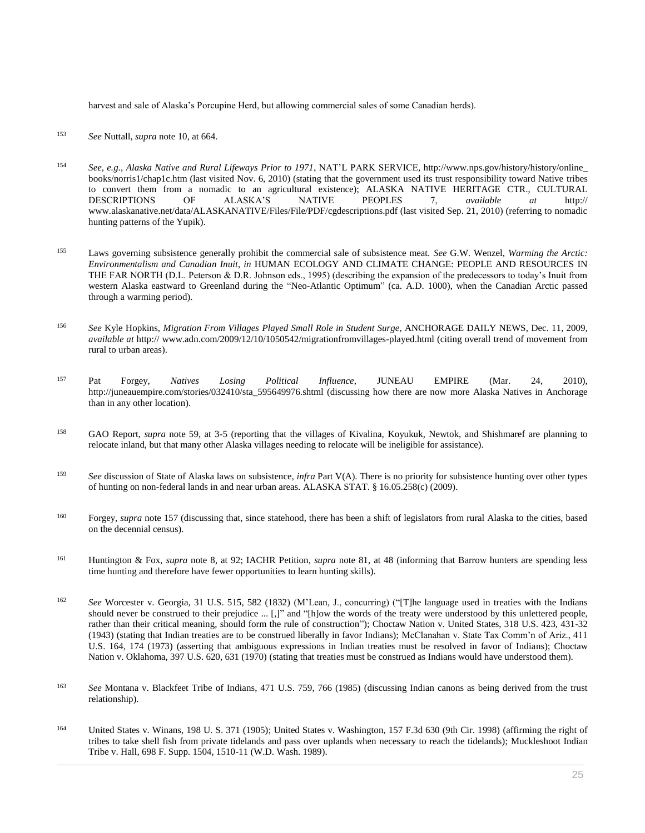harvest and sale of Alaska's Porcupine Herd, but allowing commercial sales of some Canadian herds).

- <sup>153</sup> *See* Nuttall, *supra* note 10, at 664.
- <sup>154</sup> *See, e.g.*, *Alaska Native and Rural Lifeways Prior to 1971*, NAT'L PARK SERVICE, http://www.nps.gov/history/history/online\_ books/norris1/chap1c.htm (last visited Nov. 6, 2010) (stating that the government used its trust responsibility toward Native tribes to convert them from a nomadic to an agricultural existence); ALASKA NATIVE HERITAGE CTR., CULTURAL DESCRIPTIONS OF ALASKA'S NATIVE PEOPLES 7, *available at* http:// www.alaskanative.net/data/ALASKANATIVE/Files/File/PDF/cgdescriptions.pdf (last visited Sep. 21, 2010) (referring to nomadic hunting patterns of the Yupik).
- <sup>155</sup> Laws governing subsistence generally prohibit the commercial sale of subsistence meat. *See* G.W. Wenzel, *Warming the Arctic: Environmentalism and Canadian Inuit*, *in* HUMAN ECOLOGY AND CLIMATE CHANGE: PEOPLE AND RESOURCES IN THE FAR NORTH (D.L. Peterson & D.R. Johnson eds., 1995) (describing the expansion of the predecessors to today's Inuit from western Alaska eastward to Greenland during the "Neo-Atlantic Optimum" (ca. A.D. 1000), when the Canadian Arctic passed through a warming period).
- <sup>156</sup> *See* Kyle Hopkins, *Migration From Villages Played Small Role in Student Surge*, ANCHORAGE DAILY NEWS, Dec. 11, 2009, *available at* http:// www.adn.com/2009/12/10/1050542/migrationfromvillages-played.html (citing overall trend of movement from rural to urban areas).
- <sup>157</sup> Pat Forgey, *Natives Losing Political Influence*, JUNEAU EMPIRE (Mar. 24, 2010), http://juneauempire.com/stories/032410/sta\_595649976.shtml (discussing how there are now more Alaska Natives in Anchorage than in any other location).
- <sup>158</sup> GAO Report, *supra* note 59, at 3-5 (reporting that the villages of Kivalina, Koyukuk, Newtok, and Shishmaref are planning to relocate inland, but that many other Alaska villages needing to relocate will be ineligible for assistance).
- <sup>159</sup> *See* discussion of State of Alaska laws on subsistence, *infra* Part V(A). There is no priority for subsistence hunting over other types of hunting on non-federal lands in and near urban areas[. ALASKA STAT. § 16.05.258\(c\) \(2009\).](http://www.westlaw.com/Link/Document/FullText?findType=L&pubNum=1000003&cite=AKSTS16.05.258&originatingDoc=I0ecc82992df011e18b05fdf15589d8e8&refType=LQ&originationContext=document&vr=3.0&rs=cblt1.0&transitionType=DocumentItem&contextData=(sc.Search))
- <sup>160</sup> Forgey, *supra* note 157 (discussing that, since statehood, there has been a shift of legislators from rural Alaska to the cities, based on the decennial census).
- <sup>161</sup> Huntington & Fox, *supra* note 8, at 92; IACHR Petition, *supra* note 81, at 48 (informing that Barrow hunters are spending less time hunting and therefore have fewer opportunities to learn hunting skills).
- <sup>162</sup> *See* [Worcester v. Georgia, 31 U.S. 515, 582 \(1832\)](http://www.westlaw.com/Link/Document/FullText?findType=Y&serNum=1800140351&pubNum=0000780&originatingDoc=I0ecc82992df011e18b05fdf15589d8e8&refType=RP&fi=co_pp_sp_780_582&originationContext=document&vr=3.0&rs=cblt1.0&transitionType=DocumentItem&contextData=(sc.Search)#co_pp_sp_780_582) (M'Lean, J., concurring) ("[T]he language used in treaties with the Indians should never be construed to their prejudice ... [,]" and "[h]ow the words of the treaty were understood by this unlettered people, rather than their critical meaning, should form the rule of construction")[; Choctaw Nation v. United States, 318 U.S. 423, 431-32](http://www.westlaw.com/Link/Document/FullText?findType=Y&serNum=1943121194&pubNum=0000780&originatingDoc=I0ecc82992df011e18b05fdf15589d8e8&refType=RP&fi=co_pp_sp_780_431&originationContext=document&vr=3.0&rs=cblt1.0&transitionType=DocumentItem&contextData=(sc.Search)#co_pp_sp_780_431)  [\(1943\)](http://www.westlaw.com/Link/Document/FullText?findType=Y&serNum=1943121194&pubNum=0000780&originatingDoc=I0ecc82992df011e18b05fdf15589d8e8&refType=RP&fi=co_pp_sp_780_431&originationContext=document&vr=3.0&rs=cblt1.0&transitionType=DocumentItem&contextData=(sc.Search)#co_pp_sp_780_431) (stating that Indian treaties are to be construed liberally in favor Indians); [McClanahan v. State Tax Comm'n of Ariz., 411](http://www.westlaw.com/Link/Document/FullText?findType=Y&serNum=1973126361&pubNum=0000780&originatingDoc=I0ecc82992df011e18b05fdf15589d8e8&refType=RP&fi=co_pp_sp_780_174&originationContext=document&vr=3.0&rs=cblt1.0&transitionType=DocumentItem&contextData=(sc.Search)#co_pp_sp_780_174)  [U.S. 164, 174 \(1973\)](http://www.westlaw.com/Link/Document/FullText?findType=Y&serNum=1973126361&pubNum=0000780&originatingDoc=I0ecc82992df011e18b05fdf15589d8e8&refType=RP&fi=co_pp_sp_780_174&originationContext=document&vr=3.0&rs=cblt1.0&transitionType=DocumentItem&contextData=(sc.Search)#co_pp_sp_780_174) (asserting that ambiguous expressions in Indian treaties must be resolved in favor of Indians); [Choctaw](http://www.westlaw.com/Link/Document/FullText?findType=Y&serNum=1970134218&pubNum=0000780&originatingDoc=I0ecc82992df011e18b05fdf15589d8e8&refType=RP&fi=co_pp_sp_780_631&originationContext=document&vr=3.0&rs=cblt1.0&transitionType=DocumentItem&contextData=(sc.Search)#co_pp_sp_780_631)  [Nation v. Oklahoma, 397 U.S. 620, 631 \(1970\)](http://www.westlaw.com/Link/Document/FullText?findType=Y&serNum=1970134218&pubNum=0000780&originatingDoc=I0ecc82992df011e18b05fdf15589d8e8&refType=RP&fi=co_pp_sp_780_631&originationContext=document&vr=3.0&rs=cblt1.0&transitionType=DocumentItem&contextData=(sc.Search)#co_pp_sp_780_631) (stating that treaties must be construed as Indians would have understood them).
- <sup>163</sup> *See* [Montana v. Blackfeet Tribe of Indians, 471 U.S. 759, 766 \(1985\)](http://www.westlaw.com/Link/Document/FullText?findType=Y&serNum=1985127858&pubNum=0000780&originatingDoc=I0ecc82992df011e18b05fdf15589d8e8&refType=RP&fi=co_pp_sp_780_766&originationContext=document&vr=3.0&rs=cblt1.0&transitionType=DocumentItem&contextData=(sc.Search)#co_pp_sp_780_766) (discussing Indian canons as being derived from the trust relationship).
- <sup>164</sup> [United States v. Winans, 198 U. S. 371 \(1905\);](http://www.westlaw.com/Link/Document/FullText?findType=Y&serNum=1905100306&pubNum=0000780&originatingDoc=I0ecc82992df011e18b05fdf15589d8e8&refType=RP&originationContext=document&vr=3.0&rs=cblt1.0&transitionType=DocumentItem&contextData=(sc.Search)) [United States v. Washington, 157 F.3d 630 \(9th Cir. 1998\)](http://www.westlaw.com/Link/Document/FullText?findType=Y&serNum=1998197695&pubNum=0000506&originatingDoc=I0ecc82992df011e18b05fdf15589d8e8&refType=RP&originationContext=document&vr=3.0&rs=cblt1.0&transitionType=DocumentItem&contextData=(sc.Search)) (affirming the right of tribes to take shell fish from private tidelands and pass over uplands when necessary to reach the tidelands); [Muckleshoot Indian](http://www.westlaw.com/Link/Document/FullText?findType=Y&serNum=1988143628&pubNum=0000345&originatingDoc=I0ecc82992df011e18b05fdf15589d8e8&refType=RP&fi=co_pp_sp_345_1510&originationContext=document&vr=3.0&rs=cblt1.0&transitionType=DocumentItem&contextData=(sc.Search)#co_pp_sp_345_1510)  [Tribe v. Hall, 698 F. Supp. 1504, 1510-11 \(W.D. Wash. 1989\).](http://www.westlaw.com/Link/Document/FullText?findType=Y&serNum=1988143628&pubNum=0000345&originatingDoc=I0ecc82992df011e18b05fdf15589d8e8&refType=RP&fi=co_pp_sp_345_1510&originationContext=document&vr=3.0&rs=cblt1.0&transitionType=DocumentItem&contextData=(sc.Search)#co_pp_sp_345_1510)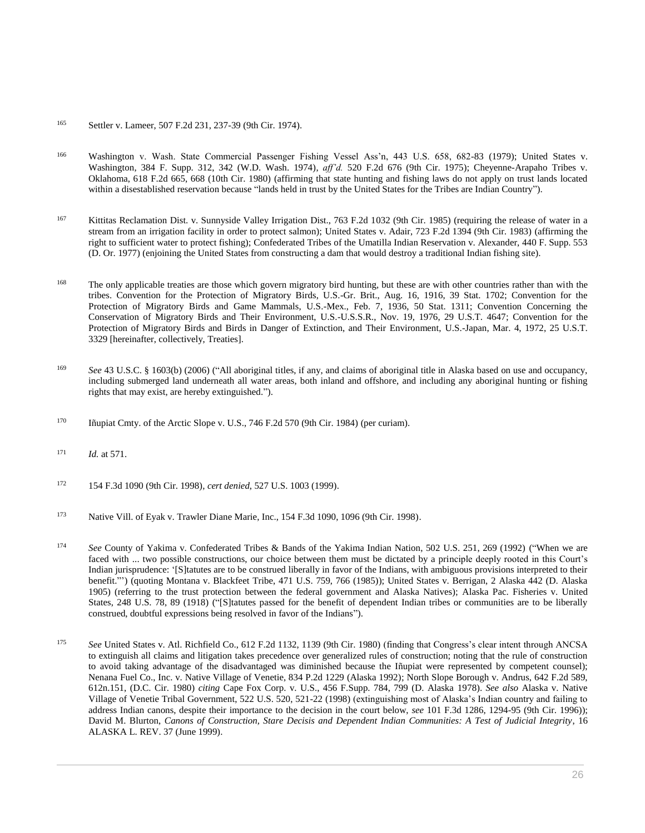- <sup>165</sup> [Settler v. Lameer, 507 F.2d 231, 237-39 \(9th Cir. 1974\).](http://www.westlaw.com/Link/Document/FullText?findType=Y&serNum=1974112927&pubNum=0000350&originatingDoc=I0ecc82992df011e18b05fdf15589d8e8&refType=RP&fi=co_pp_sp_350_237&originationContext=document&vr=3.0&rs=cblt1.0&transitionType=DocumentItem&contextData=(sc.Search)#co_pp_sp_350_237)
- <sup>166</sup> Washington [v. Wash. State Commercial Passenger Fishing Vessel Ass'n, 443 U.S. 658, 682-83 \(1979\);](http://www.westlaw.com/Link/Document/FullText?findType=Y&serNum=1979135182&pubNum=0000780&originatingDoc=I0ecc82992df011e18b05fdf15589d8e8&refType=RP&fi=co_pp_sp_780_682&originationContext=document&vr=3.0&rs=cblt1.0&transitionType=DocumentItem&contextData=(sc.Search)#co_pp_sp_780_682) [United States v.](http://www.westlaw.com/Link/Document/FullText?findType=Y&serNum=1974107573&pubNum=0000345&originatingDoc=I0ecc82992df011e18b05fdf15589d8e8&refType=RP&fi=co_pp_sp_345_342&originationContext=document&vr=3.0&rs=cblt1.0&transitionType=DocumentItem&contextData=(sc.Search)#co_pp_sp_345_342)  [Washington, 384 F. Supp. 312, 342 \(W.D. Wash. 1974\),](http://www.westlaw.com/Link/Document/FullText?findType=Y&serNum=1974107573&pubNum=0000345&originatingDoc=I0ecc82992df011e18b05fdf15589d8e8&refType=RP&fi=co_pp_sp_345_342&originationContext=document&vr=3.0&rs=cblt1.0&transitionType=DocumentItem&contextData=(sc.Search)#co_pp_sp_345_342) *aff'd.* [520 F.2d 676 \(9th Cir. 1975\);](http://www.westlaw.com/Link/Document/FullText?findType=Y&serNum=1975111888&pubNum=0000350&originatingDoc=I0ecc82992df011e18b05fdf15589d8e8&refType=RP&originationContext=document&vr=3.0&rs=cblt1.0&transitionType=DocumentItem&contextData=(sc.Search)) [Cheyenne-Arapaho Tribes v.](http://www.westlaw.com/Link/Document/FullText?findType=Y&serNum=1980112678&pubNum=0000350&originatingDoc=I0ecc82992df011e18b05fdf15589d8e8&refType=RP&fi=co_pp_sp_350_668&originationContext=document&vr=3.0&rs=cblt1.0&transitionType=DocumentItem&contextData=(sc.Search)#co_pp_sp_350_668)  [Oklahoma, 618 F.2d 665, 668 \(10th Cir. 1980\)](http://www.westlaw.com/Link/Document/FullText?findType=Y&serNum=1980112678&pubNum=0000350&originatingDoc=I0ecc82992df011e18b05fdf15589d8e8&refType=RP&fi=co_pp_sp_350_668&originationContext=document&vr=3.0&rs=cblt1.0&transitionType=DocumentItem&contextData=(sc.Search)#co_pp_sp_350_668) (affirming that state hunting and fishing laws do not apply on trust lands located within a disestablished reservation because "lands held in trust by the United States for the Tribes are Indian Country").
- 167 [Kittitas Reclamation Dist. v. Sunnyside Valley Irrigation Dist., 763 F.2d 1032 \(9th Cir. 1985\)](http://www.westlaw.com/Link/Document/FullText?findType=Y&serNum=1985130494&pubNum=0000350&originatingDoc=I0ecc82992df011e18b05fdf15589d8e8&refType=RP&originationContext=document&vr=3.0&rs=cblt1.0&transitionType=DocumentItem&contextData=(sc.Search)) (requiring the release of water in a stream from an irrigation facility in order to protect salmon); [United States v. Adair, 723 F.2d 1394 \(9th Cir. 1983\)](http://www.westlaw.com/Link/Document/FullText?findType=Y&serNum=1983152051&pubNum=0000350&originatingDoc=I0ecc82992df011e18b05fdf15589d8e8&refType=RP&originationContext=document&vr=3.0&rs=cblt1.0&transitionType=DocumentItem&contextData=(sc.Search)) (affirming the right to sufficient water to protect fishing); [Confederated Tribes of the Umatilla Indian Reservation v. Alexander, 440 F. Supp. 553](http://www.westlaw.com/Link/Document/FullText?findType=Y&serNum=1977126791&pubNum=0000345&originatingDoc=I0ecc82992df011e18b05fdf15589d8e8&refType=RP&originationContext=document&vr=3.0&rs=cblt1.0&transitionType=DocumentItem&contextData=(sc.Search))  [\(D. Or. 1977\)](http://www.westlaw.com/Link/Document/FullText?findType=Y&serNum=1977126791&pubNum=0000345&originatingDoc=I0ecc82992df011e18b05fdf15589d8e8&refType=RP&originationContext=document&vr=3.0&rs=cblt1.0&transitionType=DocumentItem&contextData=(sc.Search)) (enjoining the United States from constructing a dam that would destroy a traditional Indian fishing site).
- <sup>168</sup> The only applicable treaties are those which govern migratory bird hunting, but these are with other countries rather than with the tribes. Convention for the Protection of Migratory Birds, U.S.-Gr. Brit., Aug. 16, 1916, 39 Stat. 1702; Convention for the Protection of Migratory Birds and Game Mammals, U.S.-Mex., Feb. 7, 1936, 50 Stat. 1311; Convention Concerning the [Conservation of Migratory Birds and Their Environment, U.S.-U.S.S.R., Nov. 19, 1976, 29 U.S.T. 4647;](http://www.westlaw.com/Link/Document/FullText?findType=Y&serNum=1978165446&pubNum=0006792&originatingDoc=I0ecc82992df011e18b05fdf15589d8e8&refType=CA&originationContext=document&vr=3.0&rs=cblt1.0&transitionType=DocumentItem&contextData=(sc.Search)) Convention for the Protection of Migratory Birds and Birds in Danger of Extinction, and Their Environment, [U.S.-Japan, Mar. 4, 1972, 25 U.S.T.](http://www.westlaw.com/Link/Document/FullText?findType=Y&serNum=1974156716&pubNum=0006792&originatingDoc=I0ecc82992df011e18b05fdf15589d8e8&refType=CA&originationContext=document&vr=3.0&rs=cblt1.0&transitionType=DocumentItem&contextData=(sc.Search))  [3329](http://www.westlaw.com/Link/Document/FullText?findType=Y&serNum=1974156716&pubNum=0006792&originatingDoc=I0ecc82992df011e18b05fdf15589d8e8&refType=CA&originationContext=document&vr=3.0&rs=cblt1.0&transitionType=DocumentItem&contextData=(sc.Search)) [hereinafter, collectively, Treaties].
- <sup>169</sup> *See* [43 U.S.C. § 1603\(b\) \(2006\)](http://www.westlaw.com/Link/Document/FullText?findType=L&pubNum=1000546&cite=43USCAS1603&originatingDoc=I0ecc82992df011e18b05fdf15589d8e8&refType=RB&originationContext=document&vr=3.0&rs=cblt1.0&transitionType=DocumentItem&contextData=(sc.Search)#co_pp_a83b000018c76) ("All aboriginal titles, if any, and claims of aboriginal title in Alaska based on use and occupancy, including submerged land underneath all water areas, both inland and offshore, and including any aboriginal hunting or fishing rights that may exist, are hereby extinguished.").
- <sup>170</sup> [Iñupiat Cmty. of the Arctic Slope v. U.S., 746 F.2d 570 \(9th Cir. 1984\)](http://www.westlaw.com/Link/Document/FullText?findType=Y&serNum=1984151272&pubNum=0000350&originatingDoc=I0ecc82992df011e18b05fdf15589d8e8&refType=RP&originationContext=document&vr=3.0&rs=cblt1.0&transitionType=DocumentItem&contextData=(sc.Search)) (per curiam).
- <sup>171</sup> *Id.* [at 571.](http://www.westlaw.com/Link/Document/FullText?findType=Y&serNum=1984151272&originatingDoc=I0ecc82992df011e18b05fdf15589d8e8&refType=RP&originationContext=document&vr=3.0&rs=cblt1.0&transitionType=DocumentItem&contextData=(sc.Search))
- <sup>172</sup> [154 F.3d 1090 \(9th Cir. 1998\),](http://www.westlaw.com/Link/Document/FullText?findType=Y&serNum=1998186771&pubNum=0000506&originatingDoc=I0ecc82992df011e18b05fdf15589d8e8&refType=RP&originationContext=document&vr=3.0&rs=cblt1.0&transitionType=DocumentItem&contextData=(sc.Search)) *cert denied*[, 527 U.S. 1003 \(1999\).](http://www.westlaw.com/Link/Document/FullText?findType=Y&serNum=1999082317&pubNum=0000780&originatingDoc=I0ecc82992df011e18b05fdf15589d8e8&refType=RP&originationContext=document&vr=3.0&rs=cblt1.0&transitionType=DocumentItem&contextData=(sc.Search))
- <sup>173</sup> [Native Vill. of Eyak v. Trawler Diane Marie, Inc., 154 F.3d 1090, 1096 \(9th Cir. 1998\).](http://www.westlaw.com/Link/Document/FullText?findType=Y&serNum=1998186771&pubNum=0000506&originatingDoc=I0ecc82992df011e18b05fdf15589d8e8&refType=RP&fi=co_pp_sp_506_1096&originationContext=document&vr=3.0&rs=cblt1.0&transitionType=DocumentItem&contextData=(sc.Search)#co_pp_sp_506_1096)
- <sup>174</sup> *See* [County of Yakima v. Confederated Tribes & Bands of the Yakima Indian Nation, 502 U.S. 251, 269 \(1992\)](http://www.westlaw.com/Link/Document/FullText?findType=Y&serNum=1992022722&pubNum=0000780&originatingDoc=I0ecc82992df011e18b05fdf15589d8e8&refType=RP&fi=co_pp_sp_780_269&originationContext=document&vr=3.0&rs=cblt1.0&transitionType=DocumentItem&contextData=(sc.Search)#co_pp_sp_780_269) ("When we are faced with ... two possible constructions, our choice between them must be dictated by a principle deeply rooted in this Court's Indian jurisprudence: '[S]tatutes are to be construed liberally in favor of the Indians, with ambiguous provisions interpreted to their benefit."') (quoting [Montana v. Blackfeet Tribe, 471 U.S. 759, 766 \(1985\)\)](http://www.westlaw.com/Link/Document/FullText?findType=Y&serNum=1985127858&pubNum=0000780&originatingDoc=I0ecc82992df011e18b05fdf15589d8e8&refType=RP&fi=co_pp_sp_780_766&originationContext=document&vr=3.0&rs=cblt1.0&transitionType=DocumentItem&contextData=(sc.Search)#co_pp_sp_780_766); [United States v. Berrigan, 2 Alaska 442 \(D. Alaska](http://www.westlaw.com/Link/Document/FullText?findType=Y&serNum=1905021836&pubNum=0000126&originatingDoc=I0ecc82992df011e18b05fdf15589d8e8&refType=RP&originationContext=document&vr=3.0&rs=cblt1.0&transitionType=DocumentItem&contextData=(sc.Search))  [1905\)](http://www.westlaw.com/Link/Document/FullText?findType=Y&serNum=1905021836&pubNum=0000126&originatingDoc=I0ecc82992df011e18b05fdf15589d8e8&refType=RP&originationContext=document&vr=3.0&rs=cblt1.0&transitionType=DocumentItem&contextData=(sc.Search)) (referring to the trust protection between the federal government and Alaska Natives); [Alaska Pac. Fisheries v. United](http://www.westlaw.com/Link/Document/FullText?findType=Y&serNum=1918100449&pubNum=0000780&originatingDoc=I0ecc82992df011e18b05fdf15589d8e8&refType=RP&fi=co_pp_sp_780_89&originationContext=document&vr=3.0&rs=cblt1.0&transitionType=DocumentItem&contextData=(sc.Search)#co_pp_sp_780_89)  [States, 248 U.S. 78, 89 \(1918\)](http://www.westlaw.com/Link/Document/FullText?findType=Y&serNum=1918100449&pubNum=0000780&originatingDoc=I0ecc82992df011e18b05fdf15589d8e8&refType=RP&fi=co_pp_sp_780_89&originationContext=document&vr=3.0&rs=cblt1.0&transitionType=DocumentItem&contextData=(sc.Search)#co_pp_sp_780_89) ("[S]tatutes passed for the benefit of dependent Indian tribes or communities are to be liberally construed, doubtful expressions being resolved in favor of the Indians").
- <sup>175</sup> *See* [United States v. Atl. Richfield Co., 612 F.2d 1132, 1139 \(9th Cir. 1980\)](http://www.westlaw.com/Link/Document/FullText?findType=Y&serNum=1980302158&pubNum=0000350&originatingDoc=I0ecc82992df011e18b05fdf15589d8e8&refType=RP&fi=co_pp_sp_350_1139&originationContext=document&vr=3.0&rs=cblt1.0&transitionType=DocumentItem&contextData=(sc.Search)#co_pp_sp_350_1139) (finding that Congress's clear intent through ANCSA to extinguish all claims and litigation takes precedence over generalized rules of construction; noting that the rule of construction to avoid taking advantage of the disadvantaged was diminished because the Iñupiat were represented by competent counsel); Nenana [Fuel Co., Inc. v. Native Village of Venetie, 834 P.2d 1229 \(Alaska 1992\);](http://www.westlaw.com/Link/Document/FullText?findType=Y&serNum=1992132440&pubNum=0000661&originatingDoc=I0ecc82992df011e18b05fdf15589d8e8&refType=RP&originationContext=document&vr=3.0&rs=cblt1.0&transitionType=DocumentItem&contextData=(sc.Search)) [North Slope Borough v. Andrus, 642 F.2d 589,](http://www.westlaw.com/Link/Document/FullText?findType=Y&serNum=1980143694&pubNum=350&originatingDoc=I0ecc82992df011e18b05fdf15589d8e8&refType=RP&originationContext=document&vr=3.0&rs=cblt1.0&transitionType=DocumentItem&contextData=(sc.Search))  [612n.](http://www.westlaw.com/Link/Document/FullText?findType=Y&serNum=1980143694&pubNum=350&originatingDoc=I0ecc82992df011e18b05fdf15589d8e8&refType=RP&originationContext=document&vr=3.0&rs=cblt1.0&transitionType=DocumentItem&contextData=(sc.Search))151, (D.C. Cir. 1980) *citing* [Cape Fox Corp. v. U.S., 456 F.Supp. 784, 799 \(D. Alaska](http://www.westlaw.com/Link/Document/FullText?findType=Y&serNum=1978123009&pubNum=0000345&originatingDoc=I0ecc82992df011e18b05fdf15589d8e8&refType=RP&fi=co_pp_sp_345_799&originationContext=document&vr=3.0&rs=cblt1.0&transitionType=DocumentItem&contextData=(sc.Search)#co_pp_sp_345_799) 1978). *See also* [Alaska v. Native](http://www.westlaw.com/Link/Document/FullText?findType=Y&serNum=1998058454&pubNum=0000780&originatingDoc=I0ecc82992df011e18b05fdf15589d8e8&refType=RP&fi=co_pp_sp_780_521&originationContext=document&vr=3.0&rs=cblt1.0&transitionType=DocumentItem&contextData=(sc.Search)#co_pp_sp_780_521)  [Village of Venetie Tribal Government, 522 U.S. 520, 521-22 \(1998\)](http://www.westlaw.com/Link/Document/FullText?findType=Y&serNum=1998058454&pubNum=0000780&originatingDoc=I0ecc82992df011e18b05fdf15589d8e8&refType=RP&fi=co_pp_sp_780_521&originationContext=document&vr=3.0&rs=cblt1.0&transitionType=DocumentItem&contextData=(sc.Search)#co_pp_sp_780_521) (extinguishing most of Alaska's Indian country and failing to address Indian canons, despite their importance to the decision in the court below, *see* [101 F.3d 1286, 1294-95 \(9th Cir. 1996\)\)](http://www.westlaw.com/Link/Document/FullText?findType=Y&serNum=1996258527&pubNum=0000506&originatingDoc=I0ecc82992df011e18b05fdf15589d8e8&refType=RP&fi=co_pp_sp_506_1294&originationContext=document&vr=3.0&rs=cblt1.0&transitionType=DocumentItem&contextData=(sc.Search)#co_pp_sp_506_1294); David M. Blurton, *[Canons of Construction, Stare Decisis and Dependent Indian Communities: A Test of Judicial Integrity](http://www.westlaw.com/Link/Document/FullText?findType=Y&serNum=0111991747&pubNum=0100168&originatingDoc=I0ecc82992df011e18b05fdf15589d8e8&refType=LR&originationContext=document&vr=3.0&rs=cblt1.0&transitionType=DocumentItem&contextData=(sc.Search))*, 16 [ALASKA L. REV. 37 \(June 1999\).](http://www.westlaw.com/Link/Document/FullText?findType=Y&serNum=0111991747&pubNum=0100168&originatingDoc=I0ecc82992df011e18b05fdf15589d8e8&refType=LR&originationContext=document&vr=3.0&rs=cblt1.0&transitionType=DocumentItem&contextData=(sc.Search))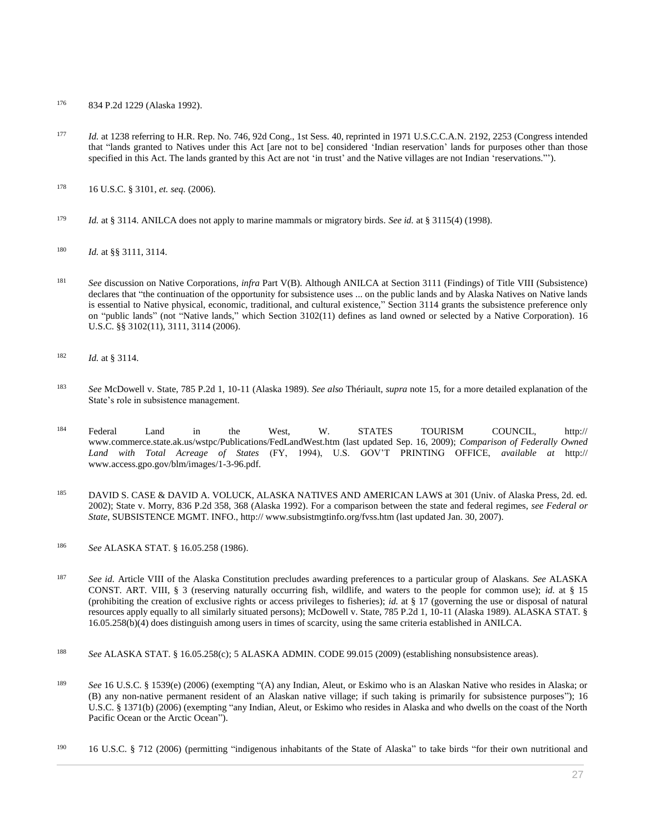- <sup>176</sup> [834 P.2d 1229 \(Alaska 1992\).](http://www.westlaw.com/Link/Document/FullText?findType=Y&serNum=1992132440&pubNum=0000661&originatingDoc=I0ecc82992df011e18b05fdf15589d8e8&refType=RP&originationContext=document&vr=3.0&rs=cblt1.0&transitionType=DocumentItem&contextData=(sc.Search))
- 177 *Id.* [at 1238](http://www.westlaw.com/Link/Document/FullText?findType=Y&serNum=1992132440&pubNum=0000661&originatingDoc=I0ecc82992df011e18b05fdf15589d8e8&refType=RP&fi=co_pp_sp_661_1238&originationContext=document&vr=3.0&rs=cblt1.0&transitionType=DocumentItem&contextData=(sc.Search)#co_pp_sp_661_1238) referring to H.R. Rep. No. 746, 92d Cong., 1st Sess. 40, reprinted in 1971 U.S.C.C.A.N. 2192, 2253 (Congress intended that "lands granted to Natives under this Act [are not to be] considered 'Indian reservation' lands for purposes other than those specified in this Act. The lands granted by this Act are not 'in trust' and the Native villages are not Indian 'reservations."').
- <sup>178</sup> [16 U.S.C. § 3101,](http://www.westlaw.com/Link/Document/FullText?findType=L&pubNum=1000546&cite=16USCAS3101&originatingDoc=I0ecc82992df011e18b05fdf15589d8e8&refType=LQ&originationContext=document&vr=3.0&rs=cblt1.0&transitionType=DocumentItem&contextData=(sc.Search)) *et. seq.* (2006).
- <sup>179</sup> *Id.* at § 3114. ANILCA does not apply to marine mammals or migratory birds. *See id.* at § 3115(4) (1998).
- <sup>180</sup> *Id.* at §§ 3111, 3114.
- <sup>181</sup> *See* discussion on Native Corporations, *infra* Part V(B). Although ANILCA at Section 3111 (Findings) of Title VIII (Subsistence) declares that "the continuation of the opportunity for subsistence uses ... on the public lands and by Alaska Natives on Native lands is essential to Native physical, economic, traditional, and cultural existence," Section 3114 grants the subsistence preference only on "public lands" (not "Native lands," which Section 3102(11) defines as land owned or selected by a Native Corporation). [16](http://www.westlaw.com/Link/Document/FullText?findType=L&pubNum=1000546&cite=16USCAS3102&originatingDoc=I0ecc82992df011e18b05fdf15589d8e8&refType=RB&originationContext=document&vr=3.0&rs=cblt1.0&transitionType=DocumentItem&contextData=(sc.Search)#co_pp_9da60000c3824)  [U.S.C. §§ 3102\(11\),](http://www.westlaw.com/Link/Document/FullText?findType=L&pubNum=1000546&cite=16USCAS3102&originatingDoc=I0ecc82992df011e18b05fdf15589d8e8&refType=RB&originationContext=document&vr=3.0&rs=cblt1.0&transitionType=DocumentItem&contextData=(sc.Search)#co_pp_9da60000c3824) [3111,](http://www.westlaw.com/Link/Document/FullText?findType=L&pubNum=1000546&cite=16USCAS3111&originatingDoc=I0ecc82992df011e18b05fdf15589d8e8&refType=LQ&originationContext=document&vr=3.0&rs=cblt1.0&transitionType=DocumentItem&contextData=(sc.Search)) [3114 \(2006\).](http://www.westlaw.com/Link/Document/FullText?findType=L&pubNum=1000546&cite=16USCAS3114&originatingDoc=I0ecc82992df011e18b05fdf15589d8e8&refType=LQ&originationContext=document&vr=3.0&rs=cblt1.0&transitionType=DocumentItem&contextData=(sc.Search))
- <sup>182</sup> *Id.* [at § 3114.](http://www.westlaw.com/Link/Document/FullText?findType=L&pubNum=1000546&cite=16USCAS3114&originatingDoc=I0ecc82992df011e18b05fdf15589d8e8&refType=LQ&originationContext=document&vr=3.0&rs=cblt1.0&transitionType=DocumentItem&contextData=(sc.Search))
- <sup>183</sup> *See* [McDowell v. State, 785 P.2d 1, 10-11 \(Alaska 1989\).](http://www.westlaw.com/Link/Document/FullText?findType=Y&serNum=1990015469&pubNum=0000661&originatingDoc=I0ecc82992df011e18b05fdf15589d8e8&refType=RP&fi=co_pp_sp_661_10&originationContext=document&vr=3.0&rs=cblt1.0&transitionType=DocumentItem&contextData=(sc.Search)#co_pp_sp_661_10) *See also* Thériault, *supra* note 15, for a more detailed explanation of the State's role in subsistence management.
- <sup>184</sup> Federal Land in the West, W. STATES TOURISM COUNCIL, http:// www.commerce.state.ak.us/wstpc/Publications/FedLandWest.htm (last updated Sep. 16, 2009); *Comparison of Federally Owned Land with Total Acreage of States* (FY, 1994), U.S. GOV'T PRINTING OFFICE, *available at* http:// www.access.gpo.gov/blm/images/1-3-96.pdf.
- 185 DAVID S. CASE & DAVID A. VOLUCK, ALASKA NATIVES AND AMERICAN LAWS at 301 (Univ. of Alaska Press, 2d. ed. 2002); [State v. Morry, 836 P.2d 358, 368 \(Alaska 1992\).](http://www.westlaw.com/Link/Document/FullText?findType=Y&serNum=1992123874&pubNum=0000661&originatingDoc=I0ecc82992df011e18b05fdf15589d8e8&refType=RP&fi=co_pp_sp_661_368&originationContext=document&vr=3.0&rs=cblt1.0&transitionType=DocumentItem&contextData=(sc.Search)#co_pp_sp_661_368) For a comparison between the state and federal regimes, *see Federal or State*, SUBSISTENCE MGMT. INFO., http:// www.subsistmgtinfo.org/fvss.htm (last updated Jan. 30, 2007).
- <sup>186</sup> *See* ALASKA STAT. [§ 16.05.258 \(1986\).](http://www.westlaw.com/Link/Document/FullText?findType=L&pubNum=1000003&cite=AKSTS16.05.258&originatingDoc=I0ecc82992df011e18b05fdf15589d8e8&refType=LQ&originationContext=document&vr=3.0&rs=cblt1.0&transitionType=DocumentItem&contextData=(sc.Search))
- <sup>187</sup> *See id.* Article VIII of the Alaska Constitution precludes awarding preferences to a particular group of Alaskans. *See* [ALASKA](http://www.westlaw.com/Link/Document/FullText?findType=L&pubNum=1000373&cite=AKCNART8S3&originatingDoc=I0ecc82992df011e18b05fdf15589d8e8&refType=LQ&originationContext=document&vr=3.0&rs=cblt1.0&transitionType=DocumentItem&contextData=(sc.Search))  [CONST. ART. VIII, § 3](http://www.westlaw.com/Link/Document/FullText?findType=L&pubNum=1000373&cite=AKCNART8S3&originatingDoc=I0ecc82992df011e18b05fdf15589d8e8&refType=LQ&originationContext=document&vr=3.0&rs=cblt1.0&transitionType=DocumentItem&contextData=(sc.Search)) (reserving naturally occurring fish, wildlife, and waters to the people for common use); *id.* at § 15 (prohibiting the creation of exclusive rights or access privileges to fisheries); *id.* at § 17 (governing the use or disposal of natural resources apply equally to all similarly situated persons); [McDowell v. State, 785 P.2d 1, 10-11 \(Alaska 1989\).](http://www.westlaw.com/Link/Document/FullText?findType=Y&serNum=1990015469&pubNum=0000661&originatingDoc=I0ecc82992df011e18b05fdf15589d8e8&refType=RP&fi=co_pp_sp_661_10&originationContext=document&vr=3.0&rs=cblt1.0&transitionType=DocumentItem&contextData=(sc.Search)#co_pp_sp_661_10) [ALASKA STAT. §](http://www.westlaw.com/Link/Document/FullText?findType=L&pubNum=1000003&cite=AKSTS16.05.258&originatingDoc=I0ecc82992df011e18b05fdf15589d8e8&refType=LQ&originationContext=document&vr=3.0&rs=cblt1.0&transitionType=DocumentItem&contextData=(sc.Search))  [16.05.258\(b\)\(4\)](http://www.westlaw.com/Link/Document/FullText?findType=L&pubNum=1000003&cite=AKSTS16.05.258&originatingDoc=I0ecc82992df011e18b05fdf15589d8e8&refType=LQ&originationContext=document&vr=3.0&rs=cblt1.0&transitionType=DocumentItem&contextData=(sc.Search)) does distinguish among users in times of scarcity, using the same criteria established in ANILCA.
- <sup>188</sup> *See* [ALASKA STAT. § 16.05.258\(c\);](http://www.westlaw.com/Link/Document/FullText?findType=L&pubNum=1000003&cite=AKSTS16.05.258&originatingDoc=I0ecc82992df011e18b05fdf15589d8e8&refType=LQ&originationContext=document&vr=3.0&rs=cblt1.0&transitionType=DocumentItem&contextData=(sc.Search)) [5 ALASKA ADMIN. CODE 99.015 \(2009\)](http://www.westlaw.com/Link/Document/FullText?findType=L&pubNum=1013146&cite=5AKADC99.015&originatingDoc=I0ecc82992df011e18b05fdf15589d8e8&refType=LQ&originationContext=document&vr=3.0&rs=cblt1.0&transitionType=DocumentItem&contextData=(sc.Search)) (establishing nonsubsistence areas).
- <sup>189</sup> *See* [16 U.S.C. § 1539\(e\) \(2006\)](http://www.westlaw.com/Link/Document/FullText?findType=L&pubNum=1000546&cite=16USCAS1539&originatingDoc=I0ecc82992df011e18b05fdf15589d8e8&refType=RB&originationContext=document&vr=3.0&rs=cblt1.0&transitionType=DocumentItem&contextData=(sc.Search)#co_pp_7fdd00001ca15) (exempting "(A) any Indian, Aleut, or Eskimo who is an Alaskan Native who resides in Alaska; or (B) any non-native permanent resident of an Alaskan native village; if such taking is primarily for subsistence purposes"); [16](http://www.westlaw.com/Link/Document/FullText?findType=L&pubNum=1000546&cite=16USCAS1371&originatingDoc=I0ecc82992df011e18b05fdf15589d8e8&refType=RB&originationContext=document&vr=3.0&rs=cblt1.0&transitionType=DocumentItem&contextData=(sc.Search)#co_pp_a83b000018c76)  [U.S.C. § 1371\(b\) \(2006\)](http://www.westlaw.com/Link/Document/FullText?findType=L&pubNum=1000546&cite=16USCAS1371&originatingDoc=I0ecc82992df011e18b05fdf15589d8e8&refType=RB&originationContext=document&vr=3.0&rs=cblt1.0&transitionType=DocumentItem&contextData=(sc.Search)#co_pp_a83b000018c76) (exempting "any Indian, Aleut, or Eskimo who resides in Alaska and who dwells on the coast of the North Pacific Ocean or the Arctic Ocean").
- <sup>190</sup> [16 U.S.C. § 712 \(2006\)](http://www.westlaw.com/Link/Document/FullText?findType=L&pubNum=1000546&cite=16USCAS712&originatingDoc=I0ecc82992df011e18b05fdf15589d8e8&refType=LQ&originationContext=document&vr=3.0&rs=cblt1.0&transitionType=DocumentItem&contextData=(sc.Search)) (permitting "indigenous inhabitants of the State of Alaska" to take birds "for their own nutritional and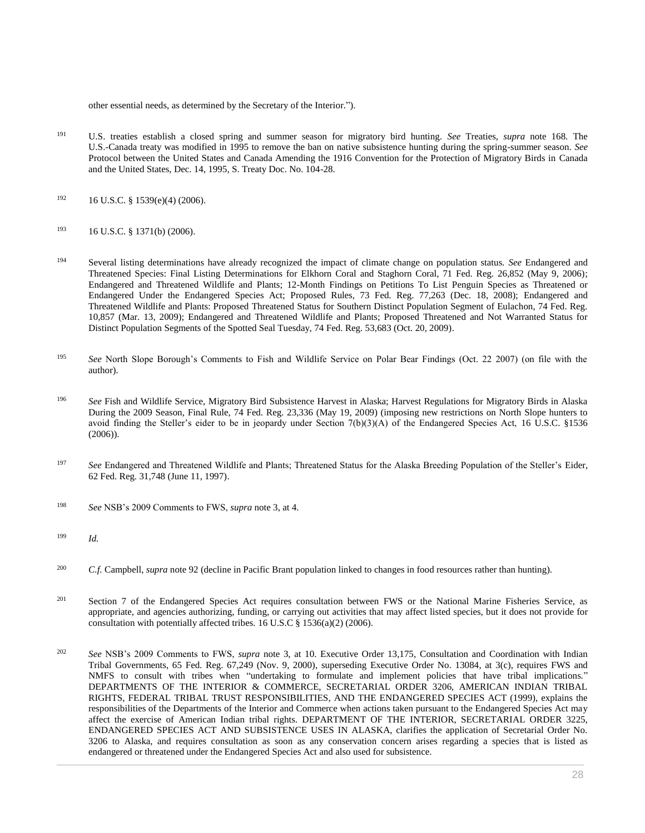other essential needs, as determined by the Secretary of the Interior.").

- <sup>191</sup> U.S. treaties establish a closed spring and summer season for migratory bird hunting. *See* Treaties, *supra* note 168. The U.S.-Canada treaty was modified in 1995 to remove the ban on native subsistence hunting during the spring-summer season. *See* Protocol between the United States and Canada Amending the 1916 Convention for the Protection of Migratory Birds in Canada and the United States, Dec. 14, 1995, S. Treaty Doc. No. 104-28.
- $192$  [16 U.S.C. § 1539\(e\)\(4\) \(2006\).](http://www.westlaw.com/Link/Document/FullText?findType=L&pubNum=1000546&cite=16USCAS1539&originatingDoc=I0ecc82992df011e18b05fdf15589d8e8&refType=RB&originationContext=document&vr=3.0&rs=cblt1.0&transitionType=DocumentItem&contextData=(sc.Search)#co_pp_22700000861f0)
- <sup>193</sup> [16 U.S.C. § 1371\(b\) \(2006\).](http://www.westlaw.com/Link/Document/FullText?findType=L&pubNum=1000546&cite=16USCAS1371&originatingDoc=I0ecc82992df011e18b05fdf15589d8e8&refType=RB&originationContext=document&vr=3.0&rs=cblt1.0&transitionType=DocumentItem&contextData=(sc.Search)#co_pp_a83b000018c76)
- <sup>194</sup> Several listing determinations have already recognized the impact of climate change on population status. *See* [Endangered and](http://www.westlaw.com/Link/Document/FullText?findType=l&pubNum=0001037&cite=UUID(I1F5B2530DF4711DAAD69F812D15A77E4)&originatingDoc=I0ecc82992df011e18b05fdf15589d8e8&refType=CP&fi=co_pp_sp_1037_26852&originationContext=document&vr=3.0&rs=cblt1.0&transitionType=DocumentItem&contextData=(sc.Search)#co_pp_sp_1037_26852)  [Threatened Species: Final Listing Determinations for Elkhorn Coral and Staghorn Coral, 71 Fed. Reg. 26,852 \(May 9, 2006\);](http://www.westlaw.com/Link/Document/FullText?findType=l&pubNum=0001037&cite=UUID(I1F5B2530DF4711DAAD69F812D15A77E4)&originatingDoc=I0ecc82992df011e18b05fdf15589d8e8&refType=CP&fi=co_pp_sp_1037_26852&originationContext=document&vr=3.0&rs=cblt1.0&transitionType=DocumentItem&contextData=(sc.Search)#co_pp_sp_1037_26852) [Endangered and Threatened Wildlife and Plants;](http://www.westlaw.com/Link/Document/FullText?findType=l&pubNum=0001037&cite=UUID(I08F274C00FB811DE9B22F141C0305AE8)&originatingDoc=I0ecc82992df011e18b05fdf15589d8e8&refType=CP&fi=co_pp_sp_1037_10857&originationContext=document&vr=3.0&rs=cblt1.0&transitionType=DocumentItem&contextData=(sc.Search)#co_pp_sp_1037_10857) 12-Month Findings on Petitions To List Penguin Species as Threatened or Endangered Under the Endangered Species Act; Proposed Rules, 73 Fed. Reg. 77,263 (Dec. 18, 2008); [Endangered and](http://www.westlaw.com/Link/Document/FullText?findType=l&pubNum=0001037&cite=UUID(I08F274C00FB811DE9B22F141C0305AE8)&originatingDoc=I0ecc82992df011e18b05fdf15589d8e8&refType=CP&fi=co_pp_sp_1037_10857&originationContext=document&vr=3.0&rs=cblt1.0&transitionType=DocumentItem&contextData=(sc.Search)#co_pp_sp_1037_10857)  [Threatened Wildlife and Plants: Proposed Threatened Status for Southern Distinct Population Segment of Eulachon, 74 Fed. Reg.](http://www.westlaw.com/Link/Document/FullText?findType=l&pubNum=0001037&cite=UUID(I08F274C00FB811DE9B22F141C0305AE8)&originatingDoc=I0ecc82992df011e18b05fdf15589d8e8&refType=CP&fi=co_pp_sp_1037_10857&originationContext=document&vr=3.0&rs=cblt1.0&transitionType=DocumentItem&contextData=(sc.Search)#co_pp_sp_1037_10857)  [10,857 \(Mar. 13, 2009\);](http://www.westlaw.com/Link/Document/FullText?findType=l&pubNum=0001037&cite=UUID(I08F274C00FB811DE9B22F141C0305AE8)&originatingDoc=I0ecc82992df011e18b05fdf15589d8e8&refType=CP&fi=co_pp_sp_1037_10857&originationContext=document&vr=3.0&rs=cblt1.0&transitionType=DocumentItem&contextData=(sc.Search)#co_pp_sp_1037_10857) [Endangered and Threatened Wildlife and Plants; Proposed Threatened and Not Warranted Status for](http://www.westlaw.com/Link/Document/FullText?findType=l&pubNum=0001037&cite=UUID(IA8FB7C50BD5F11DE9660F985033E48AB)&originatingDoc=I0ecc82992df011e18b05fdf15589d8e8&refType=CP&fi=co_pp_sp_1037_53683&originationContext=document&vr=3.0&rs=cblt1.0&transitionType=DocumentItem&contextData=(sc.Search)#co_pp_sp_1037_53683)  [Distinct Population Segments of the Spotted Seal Tuesday, 74 Fed. Reg. 53,683 \(Oct. 20, 2009\).](http://www.westlaw.com/Link/Document/FullText?findType=l&pubNum=0001037&cite=UUID(IA8FB7C50BD5F11DE9660F985033E48AB)&originatingDoc=I0ecc82992df011e18b05fdf15589d8e8&refType=CP&fi=co_pp_sp_1037_53683&originationContext=document&vr=3.0&rs=cblt1.0&transitionType=DocumentItem&contextData=(sc.Search)#co_pp_sp_1037_53683)
- <sup>195</sup> *See* North Slope Borough's Comments to Fish and Wildlife Service on Polar Bear Findings (Oct. 22 2007) (on file with the author).
- <sup>196</sup> *See* Fish and Wildlife Service, [Migratory Bird Subsistence Harvest in Alaska; Harvest Regulations for Migratory Birds in Alaska](http://www.westlaw.com/Link/Document/FullText?findType=l&pubNum=0001037&cite=UUID(I71CBA580446911DEB2959AE0FBE58FB6)&originatingDoc=I0ecc82992df011e18b05fdf15589d8e8&refType=CP&fi=co_pp_sp_1037_23336&originationContext=document&vr=3.0&rs=cblt1.0&transitionType=DocumentItem&contextData=(sc.Search)#co_pp_sp_1037_23336)  [During the 2009 Season, Final Rule, 74 Fed. Reg. 23,336 \(May 19, 2009\)](http://www.westlaw.com/Link/Document/FullText?findType=l&pubNum=0001037&cite=UUID(I71CBA580446911DEB2959AE0FBE58FB6)&originatingDoc=I0ecc82992df011e18b05fdf15589d8e8&refType=CP&fi=co_pp_sp_1037_23336&originationContext=document&vr=3.0&rs=cblt1.0&transitionType=DocumentItem&contextData=(sc.Search)#co_pp_sp_1037_23336) (imposing new restrictions on North Slope hunters to avoid finding the Steller's eider to be in jeopardy under Section 7(b)(3)(A) of the Endangered Species Act, [16 U.S.C. §1536](http://www.westlaw.com/Link/Document/FullText?findType=L&pubNum=1000546&cite=16USCAS1536&originatingDoc=I0ecc82992df011e18b05fdf15589d8e8&refType=LQ&originationContext=document&vr=3.0&rs=cblt1.0&transitionType=DocumentItem&contextData=(sc.Search))   $(2006)$ ).
- <sup>197</sup> *See* [Endangered and Threatened Wildlife and Plants; Threatened Status for the Alaska Breeding Population of the Steller's Eider,](http://www.westlaw.com/Link/Document/FullText?findType=l&pubNum=0001037&cite=UUID(IE2759960304711DA8794AB47DD0CABB0)&originatingDoc=I0ecc82992df011e18b05fdf15589d8e8&refType=CP&fi=co_pp_sp_1037_31748&originationContext=document&vr=3.0&rs=cblt1.0&transitionType=DocumentItem&contextData=(sc.Search)#co_pp_sp_1037_31748)  [62 Fed. Reg. 31,748 \(June 11, 1997\).](http://www.westlaw.com/Link/Document/FullText?findType=l&pubNum=0001037&cite=UUID(IE2759960304711DA8794AB47DD0CABB0)&originatingDoc=I0ecc82992df011e18b05fdf15589d8e8&refType=CP&fi=co_pp_sp_1037_31748&originationContext=document&vr=3.0&rs=cblt1.0&transitionType=DocumentItem&contextData=(sc.Search)#co_pp_sp_1037_31748)
- <sup>198</sup> *See* NSB's 2009 Comments to FWS, *supra* note 3, at 4.
- <sup>199</sup> *Id.*
- <sup>200</sup> *C.f.* Campbell, *supra* note 92 (decline in Pacific Brant population linked to changes in food resources rather than hunting).
- <sup>201</sup> Section 7 of the Endangered Species Act requires consultation between FWS or the National Marine Fisheries Service, as appropriate, and agencies authorizing, funding, or carrying out activities that may affect listed species, but it does not provide for consultation with potentially affected tribes. [16 U.S.C § 1536\(a\)\(2\) \(2006\).](http://www.westlaw.com/Link/Document/FullText?findType=L&pubNum=1000546&cite=16USCAS1536&originatingDoc=I0ecc82992df011e18b05fdf15589d8e8&refType=RB&originationContext=document&vr=3.0&rs=cblt1.0&transitionType=DocumentItem&contextData=(sc.Search)#co_pp_d86d0000be040)
- <sup>202</sup> *See* NSB's 2009 Comments to FWS, *supra* note 3, at 10. [Executive Order 13,175,](http://www.westlaw.com/Link/Document/FullText?findType=Y&serNum=2000955756&pubNum=0001043&originatingDoc=I0ecc82992df011e18b05fdf15589d8e8&refType=CA&originationContext=document&vr=3.0&rs=cblt1.0&transitionType=DocumentItem&contextData=(sc.Search)) [Consultation and Coordination with Indian](http://www.westlaw.com/Link/Document/FullText?findType=l&pubNum=0001037&cite=UUID(I80DF5790309211DAAECA8D28B8108CB8)&originatingDoc=I0ecc82992df011e18b05fdf15589d8e8&refType=CP&fi=co_pp_sp_1037_67249&originationContext=document&vr=3.0&rs=cblt1.0&transitionType=DocumentItem&contextData=(sc.Search)#co_pp_sp_1037_67249)  [Tribal Governments, 65 Fed. Reg. 67,249 \(Nov. 9, 2000\),](http://www.westlaw.com/Link/Document/FullText?findType=l&pubNum=0001037&cite=UUID(I80DF5790309211DAAECA8D28B8108CB8)&originatingDoc=I0ecc82992df011e18b05fdf15589d8e8&refType=CP&fi=co_pp_sp_1037_67249&originationContext=document&vr=3.0&rs=cblt1.0&transitionType=DocumentItem&contextData=(sc.Search)#co_pp_sp_1037_67249) superseding [Executive Order No. 13084,](http://www.westlaw.com/Link/Document/FullText?findType=Y&serNum=1998666953&pubNum=0001043&originatingDoc=I0ecc82992df011e18b05fdf15589d8e8&refType=CA&originationContext=document&vr=3.0&rs=cblt1.0&transitionType=DocumentItem&contextData=(sc.Search)) at 3(c), requires FWS and NMFS to consult with tribes when "undertaking to formulate and implement policies that have tribal implications." DEPARTMENTS OF THE INTERIOR & COMMERCE, SECRETARIAL ORDER 3206, AMERICAN INDIAN TRIBAL RIGHTS, FEDERAL TRIBAL TRUST RESPONSIBILITIES, AND THE ENDANGERED SPECIES ACT (1999), explains the responsibilities of the Departments of the Interior and Commerce when actions taken pursuant to the Endangered Species Act may affect the exercise of American Indian tribal rights. DEPARTMENT OF THE INTERIOR, SECRETARIAL ORDER 3225, ENDANGERED SPECIES ACT AND SUBSISTENCE USES IN ALASKA, clarifies the application of Secretarial Order No. 3206 to Alaska, and requires consultation as soon as any conservation concern arises regarding a species that is listed as endangered or threatened under the Endangered Species Act and also used for subsistence.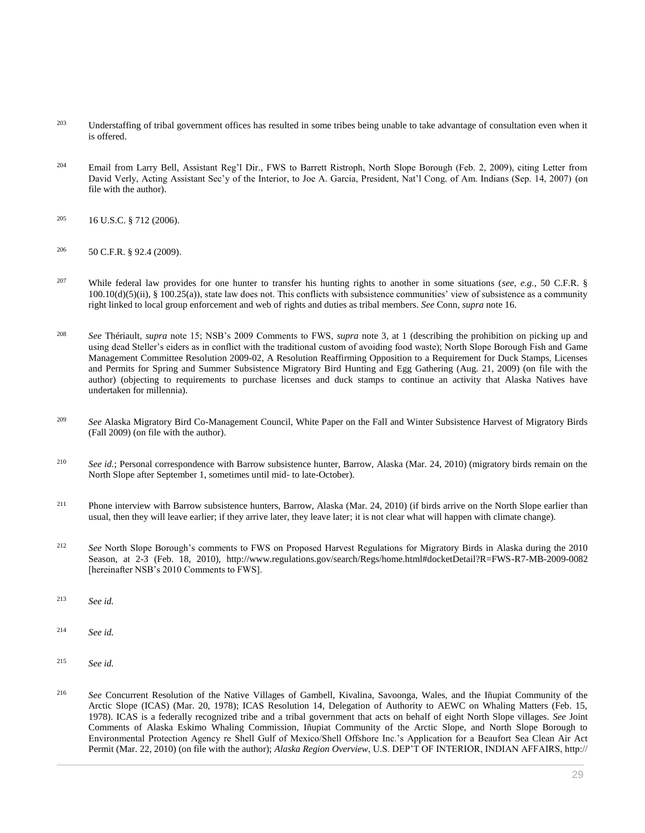- <sup>203</sup> Understaffing of tribal government offices has resulted in some tribes being unable to take advantage of consultation even when it is offered.
- <sup>204</sup> Email from Larry Bell, Assistant Reg'l Dir., FWS to Barrett Ristroph, North Slope Borough (Feb. 2, 2009), citing Letter from David Verly, Acting Assistant Sec'y of the Interior, to Joe A. Garcia, President, Nat'l Cong. of Am. Indians (Sep. 14, 2007) (on file with the author).
- <sup>205</sup> [16 U.S.C. § 712 \(2006\).](http://www.westlaw.com/Link/Document/FullText?findType=L&pubNum=1000546&cite=16USCAS712&originatingDoc=I0ecc82992df011e18b05fdf15589d8e8&refType=LQ&originationContext=document&vr=3.0&rs=cblt1.0&transitionType=DocumentItem&contextData=(sc.Search))
- <sup>206</sup> [50 C.F.R. § 92.4 \(2009\).](http://www.westlaw.com/Link/Document/FullText?findType=L&pubNum=1000547&cite=50CFRS92.4&originatingDoc=I0ecc82992df011e18b05fdf15589d8e8&refType=LQ&originationContext=document&vr=3.0&rs=cblt1.0&transitionType=DocumentItem&contextData=(sc.Search))
- <sup>207</sup> While federal law provides for one hunter to transfer his hunting rights to another in some situations (*see, e.g.*, [50 C.F.R. §](http://www.westlaw.com/Link/Document/FullText?findType=L&pubNum=1000547&cite=50CFRS100.10&originatingDoc=I0ecc82992df011e18b05fdf15589d8e8&refType=RB&originationContext=document&vr=3.0&rs=cblt1.0&transitionType=DocumentItem&contextData=(sc.Search)#co_pp_eb060000b8592)   $100.10(d)(5)(ii)$ , §  $100.25(a)$ , state law does not. This conflicts with subsistence communities' view of subsistence as a community right linked to local group enforcement and web of rights and duties as tribal members. *See* Conn, *supra* note 16.
- <sup>208</sup> *See* Thériault, *supra* note 15; NSB's 2009 Comments to FWS, *supra* note 3, at 1 (describing the prohibition on picking up and using dead Steller's eiders as in conflict with the traditional custom of avoiding food waste); North Slope Borough Fish and Game Management Committee Resolution 2009-02, A Resolution Reaffirming Opposition to a Requirement for Duck Stamps, Licenses and Permits for Spring and Summer Subsistence Migratory Bird Hunting and Egg Gathering (Aug. 21, 2009) (on file with the author) (objecting to requirements to purchase licenses and duck stamps to continue an activity that Alaska Natives have undertaken for millennia).
- <sup>209</sup> *See* Alaska Migratory Bird Co-Management Council, White Paper on the Fall and Winter Subsistence Harvest of Migratory Birds (Fall 2009) (on file with the author).
- <sup>210</sup> *See id.*; Personal correspondence with Barrow subsistence hunter, Barrow, Alaska (Mar. 24, 2010) (migratory birds remain on the North Slope after September 1, sometimes until mid- to late-October).
- <sup>211</sup> Phone interview with Barrow subsistence hunters, Barrow, Alaska (Mar. 24, 2010) (if birds arrive on the North Slope earlier than usual, then they will leave earlier; if they arrive later, they leave later; it is not clear what will happen with climate change).
- <sup>212</sup> *See* North Slope Borough's comments to FWS on Proposed Harvest Regulations for Migratory Birds in Alaska during the 2010 Season, at 2-3 (Feb. 18, 2010), http://www.regulations.gov/search/Regs/home.html#docketDetail?R=FWS-R7-MB-2009-0082 [hereinafter NSB's 2010 Comments to FWS].
- <sup>213</sup> *See id.*
- <sup>214</sup> *See id.*
- <sup>215</sup> *See id.*
- <sup>216</sup> *See* Concurrent Resolution of the Native Villages of Gambell, Kivalina, Savoonga, Wales, and the Iñupiat Community of the Arctic Slope (ICAS) (Mar. 20, 1978); ICAS Resolution 14, Delegation of Authority to AEWC on Whaling Matters (Feb. 15, 1978). ICAS is a federally recognized tribe and a tribal government that acts on behalf of eight North Slope villages. *See* Joint Comments of Alaska Eskimo Whaling Commission, Iñupiat Community of the Arctic Slope, and North Slope Borough to Environmental Protection Agency re Shell Gulf of Mexico/Shell Offshore Inc.'s Application for a Beaufort Sea Clean Air Act Permit (Mar. 22, 2010) (on file with the author); *Alaska Region Overview*, U.S. DEP'T OF INTERIOR, INDIAN AFFAIRS, http://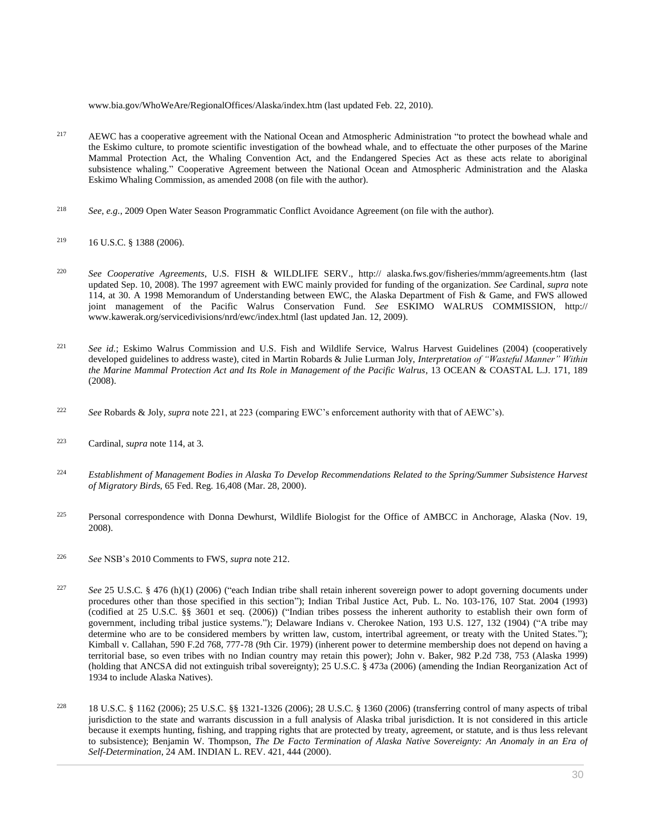www.bia.gov/WhoWeAre/RegionalOffices/Alaska/index.htm (last updated Feb. 22, 2010).

- <sup>217</sup> AEWC has a cooperative agreement with the National Ocean and Atmospheric Administration "to protect the bowhead whale and the Eskimo culture, to promote scientific investigation of the bowhead whale, and to effectuate the other purposes of the Marine Mammal Protection Act, the Whaling Convention Act, and the Endangered Species Act as these acts relate to aboriginal subsistence whaling." Cooperative Agreement between the National Ocean and Atmospheric Administration and the Alaska Eskimo Whaling Commission, as amended 2008 (on file with the author).
- <sup>218</sup> *See*, *e.g.*, 2009 Open Water Season Programmatic Conflict Avoidance Agreement (on file with the author).
- <sup>219</sup> [16 U.S.C. § 1388 \(2006\).](http://www.westlaw.com/Link/Document/FullText?findType=L&pubNum=1000546&cite=16USCAS1388&originatingDoc=I0ecc82992df011e18b05fdf15589d8e8&refType=LQ&originationContext=document&vr=3.0&rs=cblt1.0&transitionType=DocumentItem&contextData=(sc.Search))
- <sup>220</sup> *See Cooperative Agreements*, U.S. FISH & WILDLIFE SERV., http:// alaska.fws.gov/fisheries/mmm/agreements.htm (last updated Sep. 10, 2008). The 1997 agreement with EWC mainly provided for funding of the organization. *See* Cardinal, *supra* note 114, at 30. A 1998 Memorandum of Understanding between EWC, the Alaska Department of Fish & Game, and FWS allowed joint management of the Pacific Walrus Conservation Fund. *See* ESKIMO WALRUS COMMISSION, http:// www.kawerak.org/servicedivisions/nrd/ewc/index.html (last updated Jan. 12, 2009).
- <sup>221</sup> *See id.*; Eskimo Walrus Commission and U.S. Fish and Wildlife Service, Walrus Harvest Guidelines (2004) (cooperatively developed guidelines to address waste), cited in Martin Robards & Julie Lurman Joly, *[Interpretation of "Wasteful Manner" Within](http://www.westlaw.com/Link/Document/FullText?findType=Y&serNum=0340884204&pubNum=0102961&originatingDoc=I0ecc82992df011e18b05fdf15589d8e8&refType=LR&fi=co_pp_sp_102961_189&originationContext=document&vr=3.0&rs=cblt1.0&transitionType=DocumentItem&contextData=(sc.Search)#co_pp_sp_102961_189)  [the Marine Mammal Protection Act and Its Role in Management of the Pacific Walrus](http://www.westlaw.com/Link/Document/FullText?findType=Y&serNum=0340884204&pubNum=0102961&originatingDoc=I0ecc82992df011e18b05fdf15589d8e8&refType=LR&fi=co_pp_sp_102961_189&originationContext=document&vr=3.0&rs=cblt1.0&transitionType=DocumentItem&contextData=(sc.Search)#co_pp_sp_102961_189)*, 13 OCEAN & COASTAL L.J. 171, 189 [\(2008\).](http://www.westlaw.com/Link/Document/FullText?findType=Y&serNum=0340884204&pubNum=0102961&originatingDoc=I0ecc82992df011e18b05fdf15589d8e8&refType=LR&fi=co_pp_sp_102961_189&originationContext=document&vr=3.0&rs=cblt1.0&transitionType=DocumentItem&contextData=(sc.Search)#co_pp_sp_102961_189)
- <sup>222</sup> *See* Robards & Joly, *supra* note 221, at 223 (comparing EWC's enforcement authority with that of AEWC's).
- <sup>223</sup> Cardinal, *supra* note 114, at 3.
- <sup>224</sup> *Establishment of Management Bodies in Alaska To [Develop Recommendations Related to the Spring/Summer Subsistence Harvest](http://www.westlaw.com/Link/Document/FullText?findType=l&pubNum=0001037&cite=UUID(I3CFDA7D02FBA11DAAE9ABB7EB80F7B3D)&originatingDoc=I0ecc82992df011e18b05fdf15589d8e8&refType=CP&fi=co_pp_sp_1037_16408&originationContext=document&vr=3.0&rs=cblt1.0&transitionType=DocumentItem&contextData=(sc.Search)#co_pp_sp_1037_16408)  of Migratory Birds*[, 65 Fed. Reg. 16,408 \(Mar. 28, 2000\).](http://www.westlaw.com/Link/Document/FullText?findType=l&pubNum=0001037&cite=UUID(I3CFDA7D02FBA11DAAE9ABB7EB80F7B3D)&originatingDoc=I0ecc82992df011e18b05fdf15589d8e8&refType=CP&fi=co_pp_sp_1037_16408&originationContext=document&vr=3.0&rs=cblt1.0&transitionType=DocumentItem&contextData=(sc.Search)#co_pp_sp_1037_16408)
- <sup>225</sup> Personal correspondence with Donna Dewhurst, Wildlife Biologist for the Office of AMBCC in Anchorage, Alaska (Nov. 19, 2008).
- <sup>226</sup> *See* NSB's 2010 Comments to FWS, *supra* note 212.
- <sup>227</sup> *See* [25 U.S.C. § 476 \(h\)\(1\) \(2006\)](http://www.westlaw.com/Link/Document/FullText?findType=L&pubNum=1000546&cite=25USCAS476&originatingDoc=I0ecc82992df011e18b05fdf15589d8e8&refType=RB&originationContext=document&vr=3.0&rs=cblt1.0&transitionType=DocumentItem&contextData=(sc.Search)#co_pp_b4e500006fdf6) ("each Indian tribe shall retain inherent sovereign power to adopt governing documents under procedures other than those specified in this section"); Indian Tribal Justice Act, [Pub. L. No. 103-176, 107 Stat. 2004 \(1993\)](http://www.westlaw.com/Link/Document/FullText?findType=l&pubNum=1077005&cite=UUID(I2560B1E089-BA4DF2955CA-C17D9DB07E7)&originatingDoc=I0ecc82992df011e18b05fdf15589d8e8&refType=SL&originationContext=document&vr=3.0&rs=cblt1.0&transitionType=DocumentItem&contextData=(sc.Search)) (codified at [25 U.S.C. §§ 3601 et seq. \(2006\)\)](http://www.westlaw.com/Link/Document/FullText?findType=L&pubNum=1000546&cite=25USCAS3601&originatingDoc=I0ecc82992df011e18b05fdf15589d8e8&refType=LQ&originationContext=document&vr=3.0&rs=cblt1.0&transitionType=DocumentItem&contextData=(sc.Search)) ("Indian tribes possess the inherent authority to establish their own form of government, including tribal justice systems."); [Delaware Indians v. Cherokee Nation, 193 U.S. 127, 132 \(1904\)](http://www.westlaw.com/Link/Document/FullText?findType=Y&serNum=1904100272&pubNum=0000780&originatingDoc=I0ecc82992df011e18b05fdf15589d8e8&refType=RP&fi=co_pp_sp_780_132&originationContext=document&vr=3.0&rs=cblt1.0&transitionType=DocumentItem&contextData=(sc.Search)#co_pp_sp_780_132) ("A tribe may determine who are to be considered members by written law, custom, intertribal agreement, or treaty with the United States."); [Kimball v. Callahan, 590 F.2d 768, 777-78 \(9th Cir. 1979\)](http://www.westlaw.com/Link/Document/FullText?findType=Y&serNum=1979101624&pubNum=0000350&originatingDoc=I0ecc82992df011e18b05fdf15589d8e8&refType=RP&fi=co_pp_sp_350_777&originationContext=document&vr=3.0&rs=cblt1.0&transitionType=DocumentItem&contextData=(sc.Search)#co_pp_sp_350_777) (inherent power to determine membership does not depend on having a territorial base, so even tribes with no Indian country may retain this power); [John v. Baker, 982 P.2d 738, 753 \(Alaska 1999\)](http://www.westlaw.com/Link/Document/FullText?findType=Y&serNum=1999206359&pubNum=0000661&originatingDoc=I0ecc82992df011e18b05fdf15589d8e8&refType=RP&fi=co_pp_sp_661_753&originationContext=document&vr=3.0&rs=cblt1.0&transitionType=DocumentItem&contextData=(sc.Search)#co_pp_sp_661_753) (holding that ANCSA did not extinguish tribal sovereignty); [25 U.S.C. § 473a \(2006\)](http://www.westlaw.com/Link/Document/FullText?findType=L&pubNum=1000546&cite=25USCAS473A&originatingDoc=I0ecc82992df011e18b05fdf15589d8e8&refType=LQ&originationContext=document&vr=3.0&rs=cblt1.0&transitionType=DocumentItem&contextData=(sc.Search)) (amending the Indian Reorganization Act of 1934 to include Alaska Natives).
- <sup>228</sup> [18 U.S.C. § 1162 \(2006\);](http://www.westlaw.com/Link/Document/FullText?findType=L&pubNum=1000546&cite=18USCAS1162&originatingDoc=I0ecc82992df011e18b05fdf15589d8e8&refType=LQ&originationContext=document&vr=3.0&rs=cblt1.0&transitionType=DocumentItem&contextData=(sc.Search)) [25 U.S.C. §§ 1321](http://www.westlaw.com/Link/Document/FullText?findType=L&pubNum=1000546&cite=25USCAS1321&originatingDoc=I0ecc82992df011e18b05fdf15589d8e8&refType=LQ&originationContext=document&vr=3.0&rs=cblt1.0&transitionType=DocumentItem&contextData=(sc.Search))[-1326 \(2006\);](http://www.westlaw.com/Link/Document/FullText?findType=L&pubNum=1000546&cite=25USCAS1326&originatingDoc=I0ecc82992df011e18b05fdf15589d8e8&refType=LQ&originationContext=document&vr=3.0&rs=cblt1.0&transitionType=DocumentItem&contextData=(sc.Search)) [28 U.S.C. § 1360 \(2006\)](http://www.westlaw.com/Link/Document/FullText?findType=L&pubNum=1000546&cite=28USCAS1360&originatingDoc=I0ecc82992df011e18b05fdf15589d8e8&refType=LQ&originationContext=document&vr=3.0&rs=cblt1.0&transitionType=DocumentItem&contextData=(sc.Search)) (transferring control of many aspects of tribal jurisdiction to the state and warrants discussion in a full analysis of Alaska tribal jurisdiction. It is not considered in this article because it exempts hunting, fishing, and trapping rights that are protected by treaty, agreement, or statute, and is thus less relevant to subsistence); Benjamin W. Thompson, *[The De Facto Termination of Alaska Native Sovereignty: An Anomaly in an Era of](http://www.westlaw.com/Link/Document/FullText?findType=Y&serNum=0282226901&pubNum=0001087&originatingDoc=I0ecc82992df011e18b05fdf15589d8e8&refType=LR&fi=co_pp_sp_1087_444&originationContext=document&vr=3.0&rs=cblt1.0&transitionType=DocumentItem&contextData=(sc.Search)#co_pp_sp_1087_444)  Self-Determination*[, 24 AM. INDIAN L. REV. 421, 444 \(2000\).](http://www.westlaw.com/Link/Document/FullText?findType=Y&serNum=0282226901&pubNum=0001087&originatingDoc=I0ecc82992df011e18b05fdf15589d8e8&refType=LR&fi=co_pp_sp_1087_444&originationContext=document&vr=3.0&rs=cblt1.0&transitionType=DocumentItem&contextData=(sc.Search)#co_pp_sp_1087_444)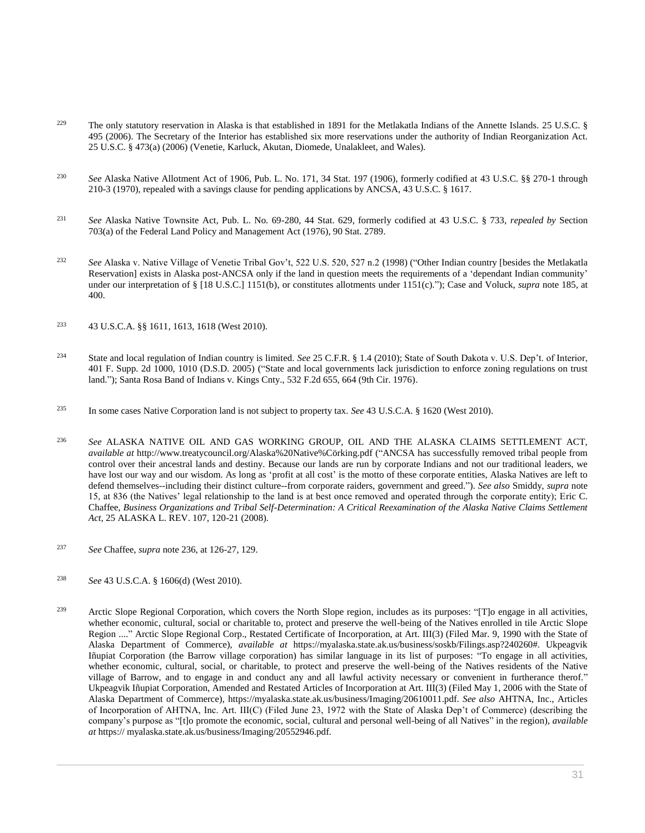- <sup>229</sup> The only statutory reservation in Alaska is that established in 1891 for the Metlakatla Indians of the Annette Islands. 25 U.S.C. § [495 \(2006\).](http://www.westlaw.com/Link/Document/FullText?findType=L&pubNum=1000546&cite=25USCAS495&originatingDoc=I0ecc82992df011e18b05fdf15589d8e8&refType=LQ&originationContext=document&vr=3.0&rs=cblt1.0&transitionType=DocumentItem&contextData=(sc.Search)) The Secretary of the Interior has established six more reservations under the authority of Indian Reorganization Act. [25 U.S.C. § 473\(a\) \(2006\)](http://www.westlaw.com/Link/Document/FullText?findType=L&pubNum=1000546&cite=25USCAS473&originatingDoc=I0ecc82992df011e18b05fdf15589d8e8&refType=LQ&originationContext=document&vr=3.0&rs=cblt1.0&transitionType=DocumentItem&contextData=(sc.Search)) (Venetie, Karluck, Akutan, Diomede, Unalakleet, and Wales).
- <sup>230</sup> *See* Alaska Native Allotment Act of 1906, Pub. L. No. 171, 34 Stat. 197 (1906), formerly codified at [43 U.S.C. §§ 270-1](http://www.westlaw.com/Link/Document/FullText?findType=L&pubNum=1000546&cite=43USCAS270-1&originatingDoc=I0ecc82992df011e18b05fdf15589d8e8&refType=LQ&originationContext=document&vr=3.0&rs=cblt1.0&transitionType=DocumentItem&contextData=(sc.Search)) through [210](http://www.westlaw.com/Link/Document/FullText?findType=L&pubNum=1000546&cite=43USCAS210&originatingDoc=I0ecc82992df011e18b05fdf15589d8e8&refType=LQ&originationContext=document&vr=3.0&rs=cblt1.0&transitionType=DocumentItem&contextData=(sc.Search))[-3 \(1970\),](http://www.westlaw.com/Link/Document/FullText?findType=L&pubNum=1000546&cite=43USCAS3&originatingDoc=I0ecc82992df011e18b05fdf15589d8e8&refType=LQ&originationContext=document&vr=3.0&rs=cblt1.0&transitionType=DocumentItem&contextData=(sc.Search)) repealed with a savings clause for pending applications by ANCSA, [43 U.S.C. § 1617.](http://www.westlaw.com/Link/Document/FullText?findType=L&pubNum=1000546&cite=43USCAS1617&originatingDoc=I0ecc82992df011e18b05fdf15589d8e8&refType=LQ&originationContext=document&vr=3.0&rs=cblt1.0&transitionType=DocumentItem&contextData=(sc.Search))
- <sup>231</sup> *See* Alaska Native Townsite Act, Pub. L. No. 69-280, 44 Stat. 629, formerly codified at [43 U.S.C. § 733,](http://www.westlaw.com/Link/Document/FullText?findType=L&pubNum=1000546&cite=43USCAS733&originatingDoc=I0ecc82992df011e18b05fdf15589d8e8&refType=LQ&originationContext=document&vr=3.0&rs=cblt1.0&transitionType=DocumentItem&contextData=(sc.Search)) *repealed by* Section 703(a) of the Federal Land Policy and Management Act (1976), 90 Stat. 2789.
- <sup>232</sup> *See* [Alaska v. Native Village of Venetie Tribal Gov't, 522 U.S. 520, 527 n.2 \(1998\)](http://www.westlaw.com/Link/Document/FullText?findType=Y&serNum=1998058454&pubNum=0000780&originatingDoc=I0ecc82992df011e18b05fdf15589d8e8&refType=RP&fi=co_pp_sp_780_527&originationContext=document&vr=3.0&rs=cblt1.0&transitionType=DocumentItem&contextData=(sc.Search)#co_pp_sp_780_527) ("Other Indian country [besides the Metlakatla Reservation] exists in Alaska post-ANCSA only if the land in question meets the requirements of a 'dependant Indian community' under our interpretation of § [\[18 U.S.C.\] 1151\(b\),](http://www.westlaw.com/Link/Document/FullText?findType=L&pubNum=1000546&cite=18USCAS1151&originatingDoc=I0ecc82992df011e18b05fdf15589d8e8&refType=LQ&originationContext=document&vr=3.0&rs=cblt1.0&transitionType=DocumentItem&contextData=(sc.Search)) or constitutes allotments under 1151(c)."); Case and Voluck, *supra* note 185, at 400.
- <sup>233</sup> [43 U.S.C.A. §§ 1611,](http://www.westlaw.com/Link/Document/FullText?findType=L&pubNum=1000546&cite=43USCAS1611&originatingDoc=I0ecc82992df011e18b05fdf15589d8e8&refType=LQ&originationContext=document&vr=3.0&rs=cblt1.0&transitionType=DocumentItem&contextData=(sc.Search)) [1613,](http://www.westlaw.com/Link/Document/FullText?findType=L&pubNum=1000546&cite=43USCAS1613&originatingDoc=I0ecc82992df011e18b05fdf15589d8e8&refType=LQ&originationContext=document&vr=3.0&rs=cblt1.0&transitionType=DocumentItem&contextData=(sc.Search)) [1618 \(West 2010\).](http://www.westlaw.com/Link/Document/FullText?findType=L&pubNum=1000546&cite=43USCAS1618&originatingDoc=I0ecc82992df011e18b05fdf15589d8e8&refType=LQ&originationContext=document&vr=3.0&rs=cblt1.0&transitionType=DocumentItem&contextData=(sc.Search))
- <sup>234</sup> State and local regulation of Indian country is limited. *See* [25 C.F.R. § 1.4 \(2010\);](http://www.westlaw.com/Link/Document/FullText?findType=L&pubNum=1000547&cite=25CFRS1.4&originatingDoc=I0ecc82992df011e18b05fdf15589d8e8&refType=LQ&originationContext=document&vr=3.0&rs=cblt1.0&transitionType=DocumentItem&contextData=(sc.Search)) [State of South Dakota v. U.S. Dep't. of Interior,](http://www.westlaw.com/Link/Document/FullText?findType=Y&serNum=2007725011&pubNum=0004637&originatingDoc=I0ecc82992df011e18b05fdf15589d8e8&refType=RP&fi=co_pp_sp_4637_1010&originationContext=document&vr=3.0&rs=cblt1.0&transitionType=DocumentItem&contextData=(sc.Search)#co_pp_sp_4637_1010)  [401 F. Supp. 2d 1000, 1010 \(D.S.D. 2005\)](http://www.westlaw.com/Link/Document/FullText?findType=Y&serNum=2007725011&pubNum=0004637&originatingDoc=I0ecc82992df011e18b05fdf15589d8e8&refType=RP&fi=co_pp_sp_4637_1010&originationContext=document&vr=3.0&rs=cblt1.0&transitionType=DocumentItem&contextData=(sc.Search)#co_pp_sp_4637_1010) ("State and local governments lack jurisdiction to enforce zoning regulations on trust land.")[; Santa Rosa Band of Indians v. Kings Cnty., 532 F.2d 655, 664 \(9th Cir. 1976\).](http://www.westlaw.com/Link/Document/FullText?findType=Y&serNum=1975143039&pubNum=0000350&originatingDoc=I0ecc82992df011e18b05fdf15589d8e8&refType=RP&fi=co_pp_sp_350_664&originationContext=document&vr=3.0&rs=cblt1.0&transitionType=DocumentItem&contextData=(sc.Search)#co_pp_sp_350_664)
- <sup>235</sup> In some cases Native Corporation land is not subject to property tax. *See* [43 U.S.C.A. § 1620 \(West 2010\).](http://www.westlaw.com/Link/Document/FullText?findType=L&pubNum=1000546&cite=43USCAS1620&originatingDoc=I0ecc82992df011e18b05fdf15589d8e8&refType=LQ&originationContext=document&vr=3.0&rs=cblt1.0&transitionType=DocumentItem&contextData=(sc.Search))
- <sup>236</sup> *See* ALASKA NATIVE OIL AND GAS WORKING GROUP, OIL AND THE ALASKA CLAIMS SETTLEMENT ACT, *available at* http://www.treatycouncil.org/Alaska%20Native%Cörking.pdf ("ANCSA has successfully removed tribal people from control over their ancestral lands and destiny. Because our lands are run by corporate Indians and not our traditional leaders, we have lost our way and our wisdom. As long as 'profit at all cost' is the motto of these corporate entities, Alaska Natives are left to defend themselves--including their distinct culture--from corporate raiders, government and greed."). *See also* Smiddy, *supra* note 15, at 836 (the Natives' legal relationship to the land is at best once removed and operated through the corporate entity); Eric C. Chaffee, *[Business Organizations and Tribal Self-Determination: A Critical Reexamination of the Alaska Native Claims Settlement](http://www.westlaw.com/Link/Document/FullText?findType=Y&serNum=0338994570&pubNum=0100168&originatingDoc=I0ecc82992df011e18b05fdf15589d8e8&refType=LR&fi=co_pp_sp_100168_120&originationContext=document&vr=3.0&rs=cblt1.0&transitionType=DocumentItem&contextData=(sc.Search)#co_pp_sp_100168_120)  Act*[, 25 ALASKA L. REV. 107, 120-21 \(2008\).](http://www.westlaw.com/Link/Document/FullText?findType=Y&serNum=0338994570&pubNum=0100168&originatingDoc=I0ecc82992df011e18b05fdf15589d8e8&refType=LR&fi=co_pp_sp_100168_120&originationContext=document&vr=3.0&rs=cblt1.0&transitionType=DocumentItem&contextData=(sc.Search)#co_pp_sp_100168_120)
- <sup>237</sup> *See* Chaffee, *supra* note 236, at 126-27, 129.
- <sup>238</sup> *See* [43 U.S.C.A. § 1606\(d\)](http://www.westlaw.com/Link/Document/FullText?findType=L&pubNum=1000546&cite=43USCAS1606&originatingDoc=I0ecc82992df011e18b05fdf15589d8e8&refType=RB&originationContext=document&vr=3.0&rs=cblt1.0&transitionType=DocumentItem&contextData=(sc.Search)#co_pp_5ba1000067d06) (West 2010).
- <sup>239</sup> Arctic Slope Regional Corporation, which covers the North Slope region, includes as its purposes: "[T]o engage in all activities, whether economic, cultural, social or charitable to, protect and preserve the well-being of the Natives enrolled in tile Arctic Slope Region ...." Arctic Slope Regional Corp., Restated Certificate of Incorporation, at Art. III(3) (Filed Mar. 9, 1990 with the State of Alaska Department of Commerce), *available at* https://myalaska.state.ak.us/business/soskb/Filings.asp?240260#. Ukpeagvik Iñupiat Corporation (the Barrow village corporation) has similar language in its list of purposes: "To engage in all activities, whether economic, cultural, social, or charitable, to protect and preserve the well-being of the Natives residents of the Native village of Barrow, and to engage in and conduct any and all lawful activity necessary or convenient in furtherance therof." Ukpeagvik Iñupiat Corporation, Amended and Restated Articles of Incorporation at Art. III(3) (Filed May 1, 2006 with the State of Alaska Department of Commerce), https://myalaska.state.ak.us/business/Imaging/20610011.pdf. *See also* AHTNA, Inc., Articles of Incorporation of AHTNA, Inc. Art. III(C) (Filed June 23, 1972 with the State of Alaska Dep't of Commerce) (describing the company's purpose as "[t]o promote the economic, social, cultural and personal well-being of all Natives" in the region), *available at* https:// myalaska.state.ak.us/business/Imaging/20552946.pdf.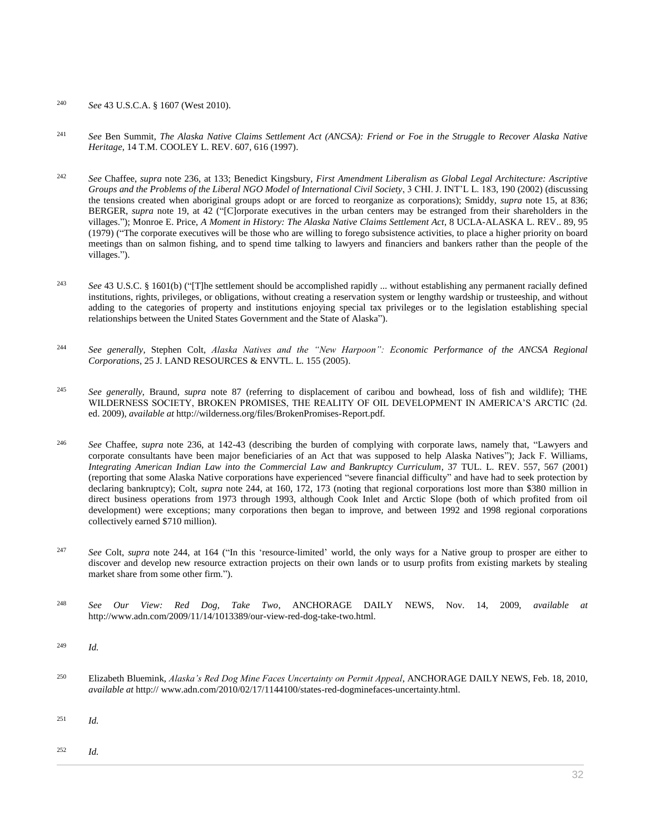## <sup>240</sup> *See* [43 U.S.C.A. § 1607 \(West 2010\).](http://www.westlaw.com/Link/Document/FullText?findType=L&pubNum=1000546&cite=43USCAS1607&originatingDoc=I0ecc82992df011e18b05fdf15589d8e8&refType=LQ&originationContext=document&vr=3.0&rs=cblt1.0&transitionType=DocumentItem&contextData=(sc.Search))

- <sup>241</sup> *See* Ben Summit, *[The Alaska Native Claims Settlement Act \(ANCSA\): Friend or Foe in the Struggle to Recover Alaska Native](http://www.westlaw.com/Link/Document/FullText?findType=Y&serNum=0108765906&pubNum=0101790&originatingDoc=I0ecc82992df011e18b05fdf15589d8e8&refType=LR&fi=co_pp_sp_101790_616&originationContext=document&vr=3.0&rs=cblt1.0&transitionType=DocumentItem&contextData=(sc.Search)#co_pp_sp_101790_616)  Heritage*[, 14 T.M. COOLEY L. REV. 607, 616 \(1997\).](http://www.westlaw.com/Link/Document/FullText?findType=Y&serNum=0108765906&pubNum=0101790&originatingDoc=I0ecc82992df011e18b05fdf15589d8e8&refType=LR&fi=co_pp_sp_101790_616&originationContext=document&vr=3.0&rs=cblt1.0&transitionType=DocumentItem&contextData=(sc.Search)#co_pp_sp_101790_616)
- <sup>242</sup> *See* Chaffee, *supra* note 236, at 133; Benedict Kingsbury, *[First Amendment Liberalism as Global Legal Architecture: Ascriptive](http://www.westlaw.com/Link/Document/FullText?findType=Y&serNum=0289406015&pubNum=0127769&originatingDoc=I0ecc82992df011e18b05fdf15589d8e8&refType=LR&fi=co_pp_sp_127769_190&originationContext=document&vr=3.0&rs=cblt1.0&transitionType=DocumentItem&contextData=(sc.Search)#co_pp_sp_127769_190)  [Groups and the Problems of the Liberal NGO Model of International Civil Society](http://www.westlaw.com/Link/Document/FullText?findType=Y&serNum=0289406015&pubNum=0127769&originatingDoc=I0ecc82992df011e18b05fdf15589d8e8&refType=LR&fi=co_pp_sp_127769_190&originationContext=document&vr=3.0&rs=cblt1.0&transitionType=DocumentItem&contextData=(sc.Search)#co_pp_sp_127769_190)*, 3 CHI. J. INT'L L. 183, 190 (2002) (discussing the tensions created when aboriginal groups adopt or are forced to reorganize as corporations); Smiddy, *supra* note 15, at 836; BERGER, *supra* note 19, at 42 ("[C]orporate executives in the urban centers may be estranged from their shareholders in the villages."); Monroe E. Price, *A Moment in History: The Alaska Native Claims Settlement Act*, 8 UCLA-ALASKA L. REV.. 89, 95 (1979) ("The corporate executives will be those who are willing to forego subsistence activities, to place a higher priority on board meetings than on salmon fishing, and to spend time talking to lawyers and financiers and bankers rather than the people of the villages.").
- <sup>243</sup> *See* [43 U.S.C. § 1601\(b\)](http://www.westlaw.com/Link/Document/FullText?findType=L&pubNum=1000546&cite=43USCAS1601&originatingDoc=I0ecc82992df011e18b05fdf15589d8e8&refType=RB&originationContext=document&vr=3.0&rs=cblt1.0&transitionType=DocumentItem&contextData=(sc.Search)#co_pp_a83b000018c76) ("[T]he settlement should be accomplished rapidly ... without establishing any permanent racially defined institutions, rights, privileges, or obligations, without creating a reservation system or lengthy wardship or trusteeship, and without adding to the categories of property and institutions enjoying special tax privileges or to the legislation establishing special relationships between the United States Government and the State of Alaska").
- <sup>244</sup> *See generally*, Stephen Colt, *[Alaska Natives and the "New Harpoon": Economic Performance of the ANCSA Regional](http://www.westlaw.com/Link/Document/FullText?findType=Y&serNum=0306426364&pubNum=0114095&originatingDoc=I0ecc82992df011e18b05fdf15589d8e8&refType=LR&originationContext=document&vr=3.0&rs=cblt1.0&transitionType=DocumentItem&contextData=(sc.Search))  Corporations*[, 25 J. LAND RESOURCES & ENVTL. L. 155 \(2005\).](http://www.westlaw.com/Link/Document/FullText?findType=Y&serNum=0306426364&pubNum=0114095&originatingDoc=I0ecc82992df011e18b05fdf15589d8e8&refType=LR&originationContext=document&vr=3.0&rs=cblt1.0&transitionType=DocumentItem&contextData=(sc.Search))
- <sup>245</sup> *See generally*, Braund, *supra* note 87 (referring to displacement of caribou and bowhead, loss of fish and wildlife); THE WILDERNESS SOCIETY, BROKEN PROMISES, THE REALITY OF OIL DEVELOPMENT IN AMERICA'S ARCTIC (2d. ed. 2009), *available at* http://wilderness.org/files/BrokenPromises-Report.pdf.
- <sup>246</sup> *See* Chaffee, *supra* note 236, at 142-43 (describing the burden of complying with corporate laws, namely that, "Lawyers and corporate consultants have been major beneficiaries of an Act that was supposed to help Alaska Natives"); Jack F. Williams, *Integrating American Indian Law into the Commercial Law and Bankruptcy Curriculum*, 37 TUL. L. REV. 557, 567 (2001) (reporting that some Alaska Native corporations have experienced "severe financial difficulty" and have had to seek protection by declaring bankruptcy); Colt, *supra* note 244, at 160, 172, 173 (noting that regional corporations lost more than \$380 million in direct business operations from 1973 through 1993, although Cook Inlet and Arctic Slope (both of which profited from oil development) were exceptions; many corporations then began to improve, and between 1992 and 1998 regional corporations collectively earned \$710 million).
- <sup>247</sup> *See* Colt, *supra* note 244, at 164 ("In this 'resource-limited' world, the only ways for a Native group to prosper are either to discover and develop new resource extraction projects on their own lands or to usurp profits from existing markets by stealing market share from some other firm.").
- <sup>248</sup> *See Our View: Red Dog, Take Two*, ANCHORAGE DAILY NEWS, Nov. 14, 2009, *available at* http://www.adn.com/2009/11/14/1013389/our-view-red-dog-take-two.html.
- <sup>249</sup> *Id.*
- <sup>250</sup> Elizabeth Bluemink, *Alaska's Red Dog Mine Faces Uncertainty on Permit Appeal*, ANCHORAGE DAILY NEWS, Feb. 18, 2010, *available at* http:// www.adn.com/2010/02/17/1144100/states-red-dogminefaces-uncertainty.html.
- <sup>251</sup> *Id.*
- <sup>252</sup> *Id.*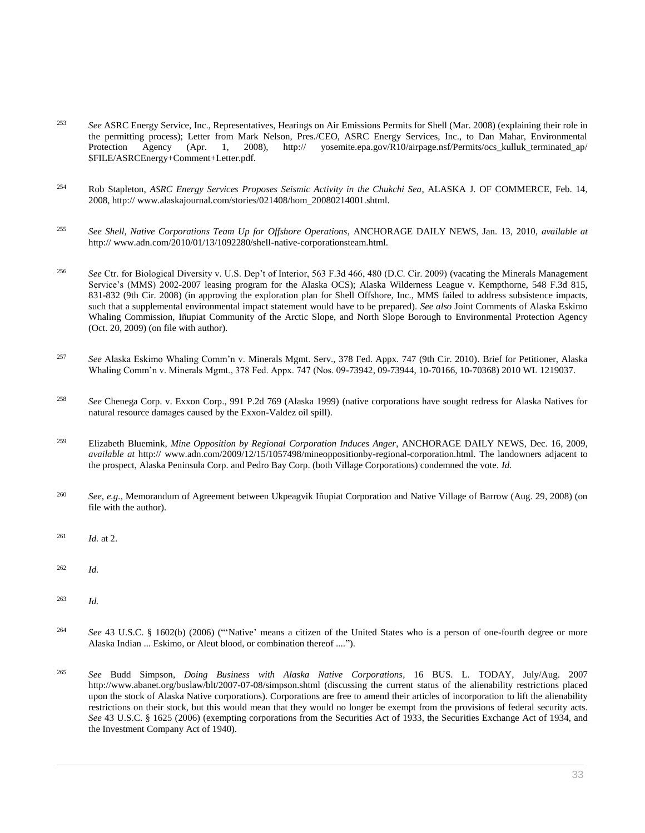- <sup>253</sup> *See* ASRC Energy Service, Inc., Representatives, Hearings on Air Emissions Permits for Shell (Mar. 2008) (explaining their role in the permitting process); Letter from Mark Nelson, Pres./CEO, ASRC Energy Services, Inc., to Dan Mahar, Environmental Protection Agency (Apr. 1, 2008), http:// yosemite.epa.gov/R10/airpage.nsf/Permits/ocs\_kulluk\_terminated\_ap/ \$FILE/ASRCEnergy+Comment+Letter.pdf.
- <sup>254</sup> Rob Stapleton, *ASRC Energy Services Proposes Seismic Activity in the Chukchi Sea*, ALASKA J. OF COMMERCE, Feb. 14, 2008, http:// www.alaskajournal.com/stories/021408/hom\_20080214001.shtml.
- <sup>255</sup> *See Shell, Native Corporations Team Up for Offshore Operations*, ANCHORAGE DAILY NEWS, Jan. 13, 2010, *available at* http:// www.adn.com/2010/01/13/1092280/shell-native-corporationsteam.html.
- <sup>256</sup> *See* [Ctr. for Biological Diversity v. U.S. Dep't of Interior, 563 F.3d 466, 480 \(D.C. Cir. 2009\)](http://www.westlaw.com/Link/Document/FullText?findType=Y&serNum=2018624931&pubNum=0000506&originatingDoc=I0ecc82992df011e18b05fdf15589d8e8&refType=RP&fi=co_pp_sp_506_480&originationContext=document&vr=3.0&rs=cblt1.0&transitionType=DocumentItem&contextData=(sc.Search)#co_pp_sp_506_480) (vacating the Minerals Management Service's (MMS) 2002-2007 leasing program for the Alaska OCS); [Alaska Wilderness League v. Kempthorne, 548 F.3d 815,](http://www.westlaw.com/Link/Document/FullText?findType=Y&serNum=2017477094&pubNum=0000506&originatingDoc=I0ecc82992df011e18b05fdf15589d8e8&refType=RP&fi=co_pp_sp_506_831&originationContext=document&vr=3.0&rs=cblt1.0&transitionType=DocumentItem&contextData=(sc.Search)#co_pp_sp_506_831)  [831-832 \(9th Cir. 2008\)](http://www.westlaw.com/Link/Document/FullText?findType=Y&serNum=2017477094&pubNum=0000506&originatingDoc=I0ecc82992df011e18b05fdf15589d8e8&refType=RP&fi=co_pp_sp_506_831&originationContext=document&vr=3.0&rs=cblt1.0&transitionType=DocumentItem&contextData=(sc.Search)#co_pp_sp_506_831) (in approving the exploration plan for Shell Offshore, Inc., MMS failed to address subsistence impacts, such that a supplemental environmental impact statement would have to be prepared). *See also* Joint Comments of Alaska Eskimo Whaling Commission, Iñupiat Community of the Arctic Slope, and North Slope Borough to Environmental Protection Agency (Oct. 20, 2009) (on file with author).
- <sup>257</sup> *See* Alaska Eskimo Whaling Comm'n v. [Minerals Mgmt. Serv., 378 Fed. Appx. 747 \(9th Cir. 2010\).](http://www.westlaw.com/Link/Document/FullText?findType=Y&serNum=2021987329&pubNum=0006538&originatingDoc=I0ecc82992df011e18b05fdf15589d8e8&refType=RP&originationContext=document&vr=3.0&rs=cblt1.0&transitionType=DocumentItem&contextData=(sc.Search)) Brief for Petitioner, Alaska Whaling Comm'n v. Minerals Mgmt., 378 Fed. Appx. 747 (Nos. 09-73942, 09-73944, 10-70166, 10-70368) 2010 WL 1219037.
- <sup>258</sup> *See* [Chenega Corp. v. Exxon Corp., 991 P.2d 769 \(Alaska 1999\)](http://www.westlaw.com/Link/Document/FullText?findType=Y&serNum=1999257075&pubNum=0000661&originatingDoc=I0ecc82992df011e18b05fdf15589d8e8&refType=RP&originationContext=document&vr=3.0&rs=cblt1.0&transitionType=DocumentItem&contextData=(sc.Search)) (native corporations have sought redress for Alaska Natives for natural resource damages caused by the Exxon-Valdez oil spill).
- <sup>259</sup> Elizabeth Bluemink, *Mine Opposition by Regional Corporation Induces Anger*, ANCHORAGE DAILY NEWS, Dec. 16, 2009, *available at* http:// www.adn.com/2009/12/15/1057498/mineoppositionby-regional-corporation.html. The landowners adjacent to the prospect, Alaska Peninsula Corp. and Pedro Bay Corp. (both Village Corporations) condemned the vote. *Id.*
- <sup>260</sup> *See*, *e.g.*, Memorandum of Agreement between Ukpeagvik Iñupiat Corporation and Native Village of Barrow (Aug. 29, 2008) (on file with the author).
- <sup>261</sup> *Id.* at 2.
- <sup>262</sup> *Id.*
- <sup>263</sup> *Id.*
- <sup>264</sup> *See* [43 U.S.C. § 1602\(b\) \(2006\)](http://www.westlaw.com/Link/Document/FullText?findType=L&pubNum=1000546&cite=43USCAS1602&originatingDoc=I0ecc82992df011e18b05fdf15589d8e8&refType=RB&originationContext=document&vr=3.0&rs=cblt1.0&transitionType=DocumentItem&contextData=(sc.Search)#co_pp_a83b000018c76) ("'Native' means a citizen of the United States who is a person of one-fourth degree or more Alaska Indian ... Eskimo, or Aleut blood, or combination thereof ....").
- <sup>265</sup> *See* Budd Simpson, *Doing Business with Alaska Native Corporations*, 16 BUS. L. TODAY, July/Aug. 2007 http://www.abanet.org/buslaw/blt/2007-07-08/simpson.shtml (discussing the current status of the alienability restrictions placed upon the stock of Alaska Native corporations). Corporations are free to amend their articles of incorporation to lift the alienability restrictions on their stock, but this would mean that they would no longer be exempt from the provisions of federal security acts. *See* [43 U.S.C. § 1625 \(2006\)](http://www.westlaw.com/Link/Document/FullText?findType=L&pubNum=1000546&cite=43USCAS1625&originatingDoc=I0ecc82992df011e18b05fdf15589d8e8&refType=LQ&originationContext=document&vr=3.0&rs=cblt1.0&transitionType=DocumentItem&contextData=(sc.Search)) (exempting corporations from the Securities Act of 1933, the Securities Exchange Act of 1934, and the Investment Company Act of 1940).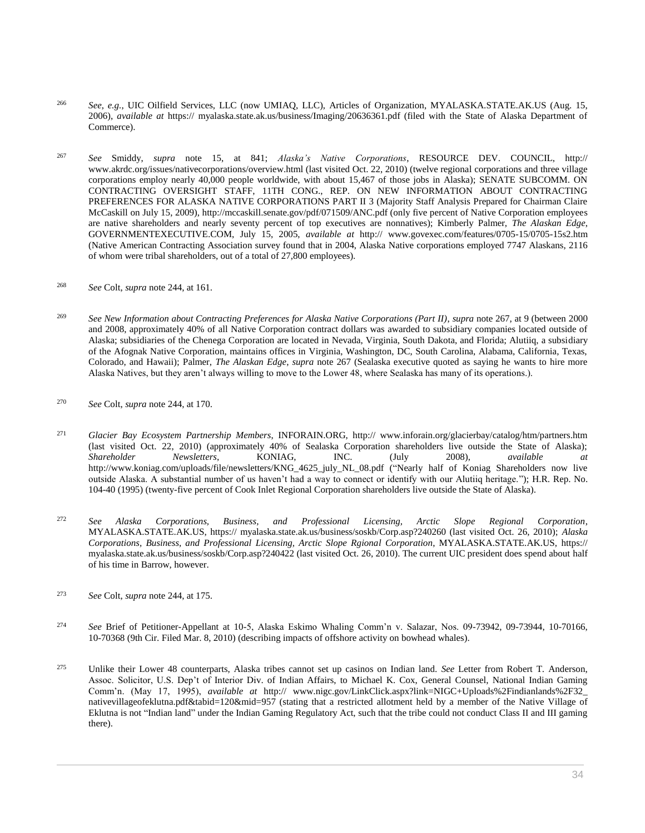- <sup>266</sup> *See*, *e.g.*, UIC Oilfield Services, LLC (now UMIAQ, LLC), Articles of Organization, MYALASKA.STATE.AK.US (Aug. 15, 2006), *available at* https:// myalaska.state.ak.us/business/Imaging/20636361.pdf (filed with the State of Alaska Department of Commerce).
- <sup>267</sup> *See* Smiddy, *supra* note 15, at 841; *Alaska's Native Corporations*, RESOURCE DEV. COUNCIL, http:// www.akrdc.org/issues/nativecorporations/overview.html (last visited Oct. 22, 2010) (twelve regional corporations and three village corporations employ nearly 40,000 people worldwide, with about 15,467 of those jobs in Alaska); SENATE SUBCOMM. ON CONTRACTING OVERSIGHT STAFF, 11TH CONG., REP. ON NEW INFORMATION ABOUT CONTRACTING PREFERENCES FOR ALASKA NATIVE CORPORATIONS PART II 3 (Majority Staff Analysis Prepared for Chairman Claire McCaskill on July 15, 2009), http://mccaskill.senate.gov/pdf/071509/ANC.pdf (only five percent of Native Corporation employees are native shareholders and nearly seventy percent of top executives are nonnatives); Kimberly Palmer, *The Alaskan Edge*, GOVERNMENTEXECUTIVE.COM, July 15, 2005, *available at* http:// www.govexec.com/features/0705-15/0705-15s2.htm (Native American Contracting Association survey found that in 2004, Alaska Native corporations employed 7747 Alaskans, 2116 of whom were tribal shareholders, out of a total of 27,800 employees).
- <sup>268</sup> *See* Colt, *supra* note 244, at 161.
- <sup>269</sup> *See New Information about Contracting Preferences for Alaska Native Corporations (Part II)*, *supra* note 267, at 9 (between 2000 and 2008, approximately 40% of all Native Corporation contract dollars was awarded to subsidiary companies located outside of Alaska; subsidiaries of the Chenega Corporation are located in Nevada, Virginia, South Dakota, and Florida; Alutiiq, a subsidiary of the Afognak Native Corporation, maintains offices in Virginia, Washington, DC, South Carolina, Alabama, California, Texas, Colorado, and Hawaii); Palmer, *The Alaskan Edge*, *supra* note 267 (Sealaska executive quoted as saying he wants to hire more Alaska Natives, but they aren't always willing to move to the Lower 48, where Sealaska has many of its operations.).
- <sup>270</sup> *See* Colt, *supra* note 244, at 170.
- <sup>271</sup> *Glacier Bay Ecosystem Partnership Members*, INFORAIN.ORG, http:// www.inforain.org/glacierbay/catalog/htm/partners.htm (last visited Oct. 22, 2010) (approximately 40% of Sealaska Corporation shareholders live outside the State of Alaska); *Shareholder Newsletters*, KONIAG, INC. (July 2008), *available at* http://www.koniag.com/uploads/file/newsletters/KNG\_4625\_july\_NL\_08.pdf ("Nearly half of Koniag Shareholders now live outside Alaska. A substantial number of us haven't had a way to connect or identify with our Alutiiq heritage."); [H.R. Rep. No.](http://www.westlaw.com/Link/Document/FullText?findType=Y&serNum=0104958255&pubNum=0100014&originatingDoc=I0ecc82992df011e18b05fdf15589d8e8&refType=TV&originationContext=document&vr=3.0&rs=cblt1.0&transitionType=DocumentItem&contextData=(sc.Search))  [104-40 \(1995\)](http://www.westlaw.com/Link/Document/FullText?findType=Y&serNum=0104958255&pubNum=0100014&originatingDoc=I0ecc82992df011e18b05fdf15589d8e8&refType=TV&originationContext=document&vr=3.0&rs=cblt1.0&transitionType=DocumentItem&contextData=(sc.Search)) (twenty-five percent of Cook Inlet Regional Corporation shareholders live outside the State of Alaska).
- <sup>272</sup> *See Alaska Corporations, Business, and Professional Licensing, Arctic Slope Regional Corporation*, MYALASKA.STATE.AK.US, https:// myalaska.state.ak.us/business/soskb/Corp.asp?240260 (last visited Oct. 26, 2010); *Alaska Corporations, Business, and Professional Licensing, Arctic Slope Rgional Corporation*, MYALASKA.STATE.AK.US, https:// myalaska.state.ak.us/business/soskb/Corp.asp?240422 (last visited Oct. 26, 2010). The current UIC president does spend about half of his time in Barrow, however.
- <sup>273</sup> *See* Colt, *supra* note 244, at 175.
- <sup>274</sup> *See* Brief of Petitioner-Appellant at 10-5, Alaska Eskimo Whaling Comm'n v. Salazar, Nos. 09-73942, 09-73944, 10-70166, 10-70368 (9th Cir. Filed Mar. 8, 2010) (describing impacts of offshore activity on bowhead whales).
- <sup>275</sup> Unlike their Lower 48 counterparts, Alaska tribes cannot set up casinos on Indian land. *See* Letter from Robert T. Anderson, Assoc. Solicitor, U.S. Dep't of Interior Div. of Indian Affairs, to Michael K. Cox, General Counsel, National Indian Gaming Comm'n. (May 17, 1995), *available at* http:// www.nigc.gov/LinkClick.aspx?link=NIGC+Uploads%2Findianlands%2F32\_ nativevillageofeklutna.pdf&tabid=120&mid=957 (stating that a restricted allotment held by a member of the Native Village of Eklutna is not "Indian land" under the Indian Gaming Regulatory Act, such that the tribe could not conduct Class II and III gaming there).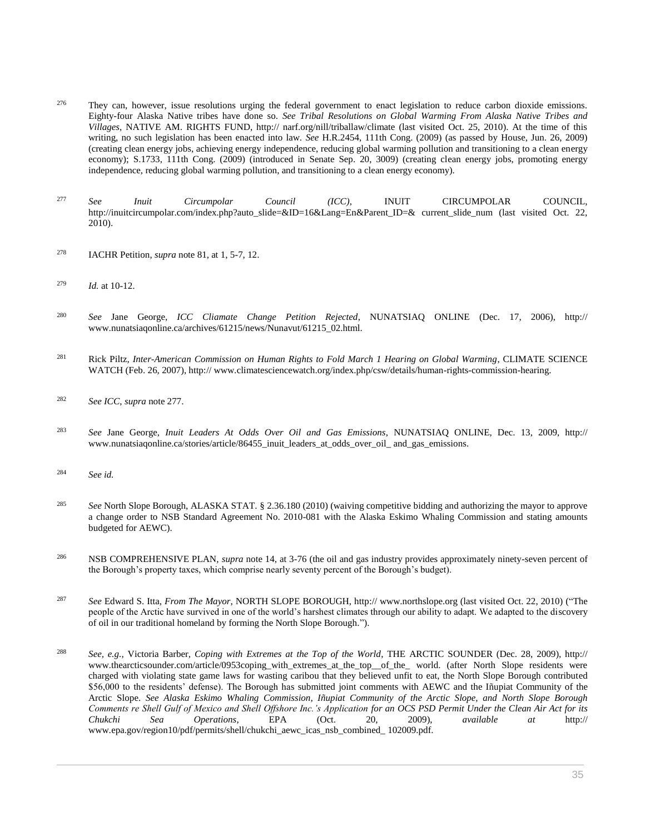- <sup>276</sup> They can, however, issue resolutions urging the federal government to enact legislation to reduce carbon dioxide emissions. Eighty-four Alaska Native tribes have done so. *See Tribal Resolutions on Global Warming From Alaska Native Tribes and Villages*, NATIVE AM. RIGHTS FUND, http:// narf.org/nill/triballaw/climate (last visited Oct. 25, 2010). At the time of this writing, no such legislation has been enacted into law. *See* H.R.2454, 111th Cong. (2009) (as passed by House, Jun. 26, 2009) (creating clean energy jobs, achieving energy independence, reducing global warming pollution and transitioning to a clean energy economy); S.1733, 111th Cong. (2009) (introduced in Senate Sep. 20, 3009) (creating clean energy jobs, promoting energy independence, reducing global warming pollution, and transitioning to a clean energy economy).
- <sup>277</sup> *See Inuit Circumpolar Council (ICC)*, INUIT CIRCUMPOLAR COUNCIL, http://inuitcircumpolar.com/index.php?auto\_slide=&ID=16&Lang=En&Parent\_ID=& current\_slide\_num (last visited Oct. 22, 2010).
- <sup>278</sup> IACHR Petition, *supra* note 81, at 1, 5-7, 12.
- <sup>279</sup> *Id.* at 10-12.
- <sup>280</sup> *See* Jane George, *ICC Cliamate Change Petition Rejected*, NUNATSIAQ ONLINE (Dec. 17, 2006), http:// www.nunatsiaqonline.ca/archives/61215/news/Nunavut/61215\_02.html.
- <sup>281</sup> Rick Piltz, *Inter-American Commission on Human Rights to Fold March 1 Hearing on Global Warming*, CLIMATE SCIENCE WATCH (Feb. 26, 2007), http:// www.climatesciencewatch.org/index.php/csw/details/human-rights-commission-hearing.
- <sup>282</sup> *See ICC*, *supra* note 277.
- <sup>283</sup> *See* Jane George, *Inuit Leaders At Odds Over Oil and Gas Emissions*, NUNATSIAQ ONLINE, Dec. 13, 2009, http:// www.nunatsiaqonline.ca/stories/article/86455\_inuit\_leaders\_at\_odds\_over\_oil\_ and\_gas\_emissions.
- <sup>284</sup> *See id.*
- <sup>285</sup> *See* North Slope Borough, ALASKA STAT. § 2.36.180 (2010) (waiving competitive bidding and authorizing the mayor to approve a change order to NSB Standard Agreement No. 2010-081 with the Alaska Eskimo Whaling Commission and stating amounts budgeted for AEWC).
- <sup>286</sup> NSB COMPREHENSIVE PLAN, *supra* note 14, at 3-76 (the oil and gas industry provides approximately ninety-seven percent of the Borough's property taxes, which comprise nearly seventy percent of the Borough's budget).
- <sup>287</sup> *See* Edward S. Itta, *From The Mayor*, NORTH SLOPE BOROUGH, http:// www.northslope.org (last visited Oct. 22, 2010) ("The people of the Arctic have survived in one of the world's harshest climates through our ability to adapt. We adapted to the discovery of oil in our traditional homeland by forming the North Slope Borough.").
- <sup>288</sup> *See, e.g.,* Victoria Barber, *Coping with Extremes at the Top of the World*, THE ARCTIC SOUNDER (Dec. 28, 2009), http:// www.thearcticsounder.com/article/0953coping\_with\_extremes\_at\_the\_top\_\_of\_the\_ world. (after North Slope residents were charged with violating state game laws for wasting caribou that they believed unfit to eat, the North Slope Borough contributed \$56,000 to the residents' defense). The Borough has submitted joint comments with AEWC and the Iñupiat Community of the Arctic Slope. *See Alaska Eskimo Whaling Commission, Iñupiat Community of the Arctic Slope, and North Slope Borough Comments re Shell Gulf of Mexico and Shell Offshore Inc.'s Application for an OCS PSD Permit Under the Clean Air Act for its Chukchi Sea Operations*, EPA (Oct. 20, 2009), *available at* http:// www.epa.gov/region10/pdf/permits/shell/chukchi\_aewc\_icas\_nsb\_combined\_ 102009.pdf.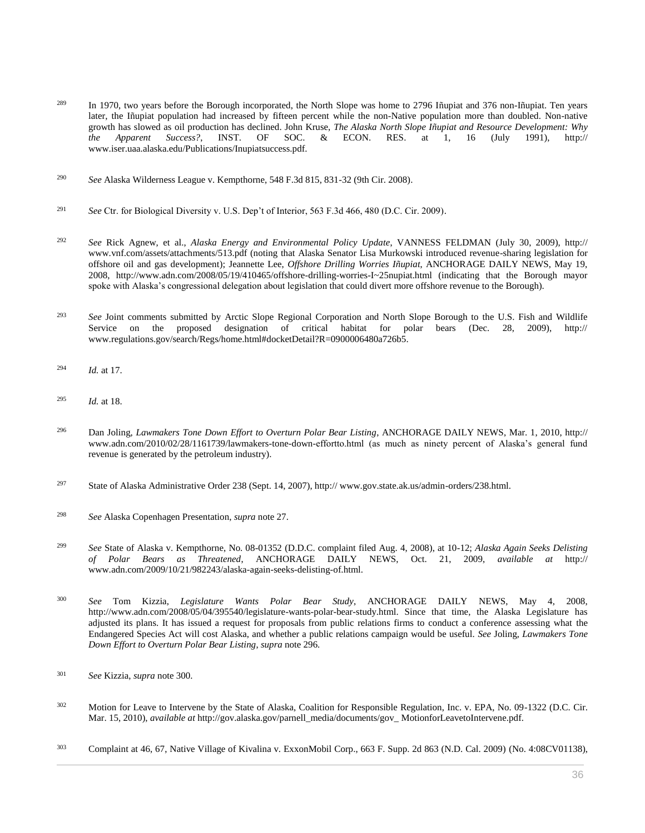- <sup>289</sup> In 1970, two years before the Borough incorporated, the North Slope was home to 2796 Iñupiat and 376 non-Iñupiat. Ten years later, the Iñupiat population had increased by fifteen percent while the non-Native population more than doubled. Non-native growth has slowed as oil production has declined. John Kruse, *The Alaska North Slope Iñupiat and Resource Development: Why the Apparent Success?*, INST. OF SOC. & ECON. RES. at 1, 16 (July 1991), http:// www.iser.uaa.alaska.edu/Publications/Inupiatsuccess.pdf.
- <sup>290</sup> *See* [Alaska Wilderness League v. Kempthorne, 548 F.3d 815, 831-32 \(9th Cir. 2008\).](http://www.westlaw.com/Link/Document/FullText?findType=Y&serNum=2017477094&pubNum=0000506&originatingDoc=I0ecc82992df011e18b05fdf15589d8e8&refType=RP&fi=co_pp_sp_506_831&originationContext=document&vr=3.0&rs=cblt1.0&transitionType=DocumentItem&contextData=(sc.Search)#co_pp_sp_506_831)
- <sup>291</sup> *See* [Ctr. for Biological Diversity v. U.S. Dep't of Interior, 563 F.3d 466, 480 \(D.C. Cir. 2009\).](http://www.westlaw.com/Link/Document/FullText?findType=Y&serNum=2018624931&pubNum=0000506&originatingDoc=I0ecc82992df011e18b05fdf15589d8e8&refType=RP&fi=co_pp_sp_506_480&originationContext=document&vr=3.0&rs=cblt1.0&transitionType=DocumentItem&contextData=(sc.Search)#co_pp_sp_506_480)
- <sup>292</sup> *See* Rick Agnew, et al., *Alaska Energy and Environmental Policy Update*, VANNESS FELDMAN (July 30, 2009), http:// www.vnf.com/assets/attachments/513.pdf (noting that Alaska Senator Lisa Murkowski introduced revenue-sharing legislation for offshore oil and gas development); Jeannette Lee, *Offshore Drilling Worries Iñupiat*, ANCHORAGE DAILY NEWS, May 19, 2008, http://www.adn.com/2008/05/19/410465/offshore-drilling-worries-I~25nupiat.html (indicating that the Borough mayor spoke with Alaska's congressional delegation about legislation that could divert more offshore revenue to the Borough).
- <sup>293</sup> *See* Joint comments submitted by Arctic Slope Regional Corporation and North Slope Borough to the U.S. Fish and Wildlife Service on the proposed designation of critical habitat for polar bears (Dec. 28, 2009), http:// www.regulations.gov/search/Regs/home.html#docketDetail?R=0900006480a726b5.
- <sup>294</sup> *Id.* at 17.
- <sup>295</sup> *Id.* at 18.
- <sup>296</sup> Dan Joling, *Lawmakers Tone Down Effort to Overturn Polar Bear Listing*, ANCHORAGE DAILY NEWS, Mar. 1, 2010, http:// www.adn.com/2010/02/28/1161739/lawmakers-tone-down-effortto.html (as much as ninety percent of Alaska's general fund revenue is generated by the petroleum industry).
- <sup>297</sup> State of Alaska Administrative Order 238 (Sept. 14, 2007), http:// www.gov.state.ak.us/admin-orders/238.html.
- <sup>298</sup> *See* Alaska Copenhagen Presentation, *supra* note 27.
- <sup>299</sup> *See* State of Alaska v. Kempthorne, No. 08-01352 (D.D.C. complaint filed Aug. 4, 2008), at 10-12; *Alaska Again Seeks Delisting of Polar Bears as Threatened*, ANCHORAGE DAILY NEWS, Oct. 21, 2009, *available at* http:// www.adn.com/2009/10/21/982243/alaska-again-seeks-delisting-of.html.
- <sup>300</sup> *See* Tom Kizzia, *Legislature Wants Polar Bear Study*, ANCHORAGE DAILY NEWS, May 4, 2008, http://www.adn.com/2008/05/04/395540/legislature-wants-polar-bear-study.html. Since that time, the Alaska Legislature has adjusted its plans. It has issued a request for proposals from public relations firms to conduct a conference assessing what the Endangered Species Act will cost Alaska, and whether a public relations campaign would be useful. *See* Joling, *Lawmakers Tone Down Effort to Overturn Polar Bear Listing*, *supra* note 296.
- <sup>301</sup> *See* Kizzia, *supra* note 300.
- <sup>302</sup> Motion for Leave to Intervene by the State of Alaska, Coalition for Responsible Regulation, Inc. v. EPA, No. 09-1322 (D.C. Cir. Mar. 15, 2010), *available at* http://gov.alaska.gov/parnell\_media/documents/gov\_ MotionforLeavetoIntervene.pdf.
- <sup>303</sup> Complaint at 46, 67, [Native Village of Kivalina v. ExxonMobil Corp., 663 F. Supp. 2d 863 \(N.D. Cal. 2009\)](http://www.westlaw.com/Link/Document/FullText?findType=Y&serNum=2020122018&pubNum=0004637&originatingDoc=I0ecc82992df011e18b05fdf15589d8e8&refType=RP&originationContext=document&vr=3.0&rs=cblt1.0&transitionType=DocumentItem&contextData=(sc.Search)) (No. 4:08CV01138),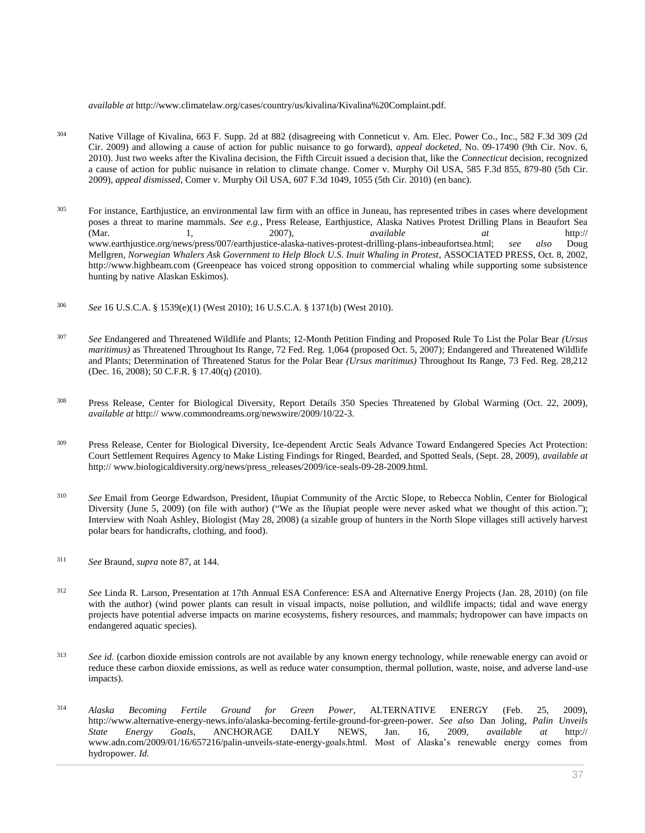*available at* http://www.climatelaw.org/cases/country/us/kivalina/Kivalina%20Complaint.pdf.

- <sup>304</sup> [Native Village of Kivalina, 663 F. Supp. 2d at 882](http://www.westlaw.com/Link/Document/FullText?findType=Y&serNum=2020122018&pubNum=0004637&originatingDoc=I0ecc82992df011e18b05fdf15589d8e8&refType=RP&fi=co_pp_sp_4637_882&originationContext=document&vr=3.0&rs=cblt1.0&transitionType=DocumentItem&contextData=(sc.Search)#co_pp_sp_4637_882) (disagreeing with [Conneticut v. Am. Elec. Power Co., Inc., 582 F.3d 309 \(2d](http://www.westlaw.com/Link/Document/FullText?findType=Y&serNum=2019849930&pubNum=0000506&originatingDoc=I0ecc82992df011e18b05fdf15589d8e8&refType=RP&originationContext=document&vr=3.0&rs=cblt1.0&transitionType=DocumentItem&contextData=(sc.Search))  [Cir. 2009\)](http://www.westlaw.com/Link/Document/FullText?findType=Y&serNum=2019849930&pubNum=0000506&originatingDoc=I0ecc82992df011e18b05fdf15589d8e8&refType=RP&originationContext=document&vr=3.0&rs=cblt1.0&transitionType=DocumentItem&contextData=(sc.Search)) and allowing a cause of action for public nuisance to go forward), *appeal docketed*, No. 09-17490 (9th Cir. Nov. 6, 2010). Just two weeks after the Kivalina decision, the Fifth Circuit issued a decision that, like the *Connecticut* decision, recognized a cause of action for public nuisance in relation to climate change. [Comer v. Murphy Oil USA, 585 F.3d 855, 879-80 \(5th Cir.](http://www.westlaw.com/Link/Document/FullText?findType=Y&serNum=2020121948&pubNum=0000506&originatingDoc=I0ecc82992df011e18b05fdf15589d8e8&refType=RP&fi=co_pp_sp_506_879&originationContext=document&vr=3.0&rs=cblt1.0&transitionType=DocumentItem&contextData=(sc.Search)#co_pp_sp_506_879)  [2009\),](http://www.westlaw.com/Link/Document/FullText?findType=Y&serNum=2020121948&pubNum=0000506&originatingDoc=I0ecc82992df011e18b05fdf15589d8e8&refType=RP&fi=co_pp_sp_506_879&originationContext=document&vr=3.0&rs=cblt1.0&transitionType=DocumentItem&contextData=(sc.Search)#co_pp_sp_506_879) *appeal dismissed*[, Comer v. Murphy Oil USA, 607 F.3d 1049, 1055 \(5th Cir. 2010\)](http://www.westlaw.com/Link/Document/FullText?findType=Y&serNum=2022176228&pubNum=0000506&originatingDoc=I0ecc82992df011e18b05fdf15589d8e8&refType=RP&fi=co_pp_sp_506_1055&originationContext=document&vr=3.0&rs=cblt1.0&transitionType=DocumentItem&contextData=(sc.Search)#co_pp_sp_506_1055) (en banc).
- <sup>305</sup> For instance, Earthjustice, an environmental law firm with an office in Juneau, has represented tribes in cases where development poses a threat to marine mammals. *See e.g.*, Press Release, Earthjustice, Alaska Natives Protest Drilling Plans in Beaufort Sea (Mar. 1, 2007), *available at* http:// www.earthjustice.org/news/press/007/earthjustice-alaska-natives-protest-drilling-plans-inbeaufortsea.html; *see also* Doug Mellgren, *Norwegian Whalers Ask Government to Help Block U.S. Inuit Whaling in Protest*, ASSOCIATED PRESS, Oct. 8, 2002, http://www.highbeam.com (Greenpeace has voiced strong opposition to commercial whaling while supporting some subsistence hunting by native Alaskan Eskimos).
- <sup>306</sup> *See* [16 U.S.C.A. § 1539\(e\)\(1\)](http://www.westlaw.com/Link/Document/FullText?findType=L&pubNum=1000546&cite=16USCAS1539&originatingDoc=I0ecc82992df011e18b05fdf15589d8e8&refType=RB&originationContext=document&vr=3.0&rs=cblt1.0&transitionType=DocumentItem&contextData=(sc.Search)#co_pp_06a60000dfdc6) (West 2010)[; 16 U.S.C.A. § 1371\(b\)](http://www.westlaw.com/Link/Document/FullText?findType=L&pubNum=1000546&cite=16USCAS1371&originatingDoc=I0ecc82992df011e18b05fdf15589d8e8&refType=RB&originationContext=document&vr=3.0&rs=cblt1.0&transitionType=DocumentItem&contextData=(sc.Search)#co_pp_a83b000018c76) (West 2010).
- <sup>307</sup> *See* Endangered and Threatened Wildlife and Plants; 12-Month Petition Finding and Proposed Rule To List the Polar Bear *(Ursus maritimus)* a[s Threatened Throughout Its Range, 72 Fed. Reg. 1,064 \(proposed Oct. 5, 2007\);](http://www.westlaw.com/Link/Document/FullText?findType=l&pubNum=0001037&cite=UUID(I1A9A5AB09FD711DB8E42B17BB7DCB050)&originatingDoc=I0ecc82992df011e18b05fdf15589d8e8&refType=CP&fi=co_pp_sp_1037_1064&originationContext=document&vr=3.0&rs=cblt1.0&transitionType=DocumentItem&contextData=(sc.Search)#co_pp_sp_1037_1064) Endangered and Threatened Wildlife and Plants; Determination of Threatened Status for the Polar Bear *(Ursus maritimus)* [Throughout Its Range, 73 Fed. Reg. 28,212](http://www.westlaw.com/Link/Document/FullText?findType=l&pubNum=0001037&cite=UUID(I05C0C4A0226A11DDA5E8C60322065AAA)&originatingDoc=I0ecc82992df011e18b05fdf15589d8e8&refType=CP&fi=co_pp_sp_1037_28212&originationContext=document&vr=3.0&rs=cblt1.0&transitionType=DocumentItem&contextData=(sc.Search)#co_pp_sp_1037_28212)  [\(Dec. 16, 2008\);](http://www.westlaw.com/Link/Document/FullText?findType=l&pubNum=0001037&cite=UUID(I05C0C4A0226A11DDA5E8C60322065AAA)&originatingDoc=I0ecc82992df011e18b05fdf15589d8e8&refType=CP&fi=co_pp_sp_1037_28212&originationContext=document&vr=3.0&rs=cblt1.0&transitionType=DocumentItem&contextData=(sc.Search)#co_pp_sp_1037_28212) [50 C.F.R. § 17.40\(q\) \(2010\).](http://www.westlaw.com/Link/Document/FullText?findType=L&pubNum=1000547&cite=50CFRS17.40&originatingDoc=I0ecc82992df011e18b05fdf15589d8e8&refType=RB&originationContext=document&vr=3.0&rs=cblt1.0&transitionType=DocumentItem&contextData=(sc.Search)#co_pp_7f6e000041341)
- <sup>308</sup> Press Release, Center for Biological Diversity, Report Details 350 Species Threatened by Global Warming (Oct. 22, 2009), *available at* http:// www.commondreams.org/newswire/2009/10/22-3.
- <sup>309</sup> Press Release, Center for Biological Diversity, Ice-dependent Arctic Seals Advance Toward Endangered Species Act Protection: Court Settlement Requires Agency to Make Listing Findings for Ringed, Bearded, and Spotted Seals, (Sept. 28, 2009), *available at* http:// www.biologicaldiversity.org/news/press\_releases/2009/ice-seals-09-28-2009.html.
- <sup>310</sup> *See* Email from George Edwardson, President, Iñupiat Community of the Arctic Slope, to Rebecca Noblin, Center for Biological Diversity (June 5, 2009) (on file with author) ("We as the Iñupiat people were never asked what we thought of this action."); Interview with Noah Ashley, Biologist (May 28, 2008) (a sizable group of hunters in the North Slope villages still actively harvest polar bears for handicrafts, clothing, and food).
- <sup>311</sup> *See* Braund, *supra* note 87, at 144.
- <sup>312</sup> *See* Linda R. Larson, Presentation at 17th Annual ESA Conference: ESA and Alternative Energy Projects (Jan. 28, 2010) (on file with the author) (wind power plants can result in visual impacts, noise pollution, and wildlife impacts; tidal and wave energy projects have potential adverse impacts on marine ecosystems, fishery resources, and mammals; hydropower can have impacts on endangered aquatic species).
- <sup>313</sup> See id. (carbon dioxide emission controls are not available by any known energy technology, while renewable energy can avoid or reduce these carbon dioxide emissions, as well as reduce water consumption, thermal pollution, waste, noise, and adverse land-use impacts).
- <sup>314</sup> *Alaska Becoming Fertile Ground for Green Power*, ALTERNATIVE ENERGY (Feb. 25, 2009), http://www.alternative-energy-news.info/alaska-becoming-fertile-ground-for-green-power. *See also* Dan Joling, *Palin Unveils State Energy Goals*, ANCHORAGE DAILY NEWS, Jan. 16, 2009, *available at* http:// www.adn.com/2009/01/16/657216/palin-unveils-state-energy-goals.html. Most of Alaska's renewable energy comes from hydropower. *Id.*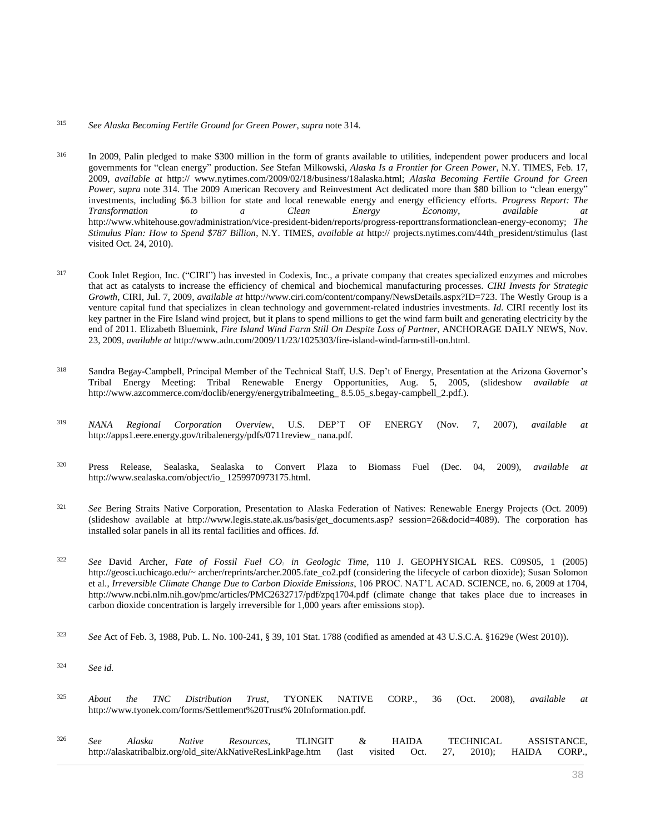## <sup>315</sup> *See Alaska Becoming Fertile Ground for Green Power*, *supra* note 314.

- <sup>316</sup> In 2009, Palin pledged to make \$300 million in the form of grants available to utilities, independent power producers and local governments for "clean energy" production. *See* Stefan Milkowski, *Alaska Is a Frontier for Green Power*, N.Y. TIMES, Feb. 17, 2009, *available at* http:// www.nytimes.com/2009/02/18/business/18alaska.html; *Alaska Becoming Fertile Ground for Green Power*, *supra* note 314. The 2009 American Recovery and Reinvestment Act dedicated more than \$80 billion to "clean energy" investments, including \$6.3 billion for state and local renewable energy and energy efficiency efforts. *Progress Report: The Transformation to a Clean Energy Economy*, *available at* http://www.whitehouse.gov/administration/vice-president-biden/reports/progress-reporttransformationclean-energy-economy; *The Stimulus Plan: How to Spend \$787 Billion*, N.Y. TIMES, *available at* http:// projects.nytimes.com/44th\_president/stimulus (last visited Oct. 24, 2010).
- <sup>317</sup> Cook Inlet Region, Inc. ("CIRI") has invested in Codexis, Inc., a private company that creates specialized enzymes and microbes that act as catalysts to increase the efficiency of chemical and biochemical manufacturing processes. *CIRI Invests for Strategic Growth*, CIRI, Jul. 7, 2009, *available at* http://www.ciri.com/content/company/NewsDetails.aspx?ID=723. The Westly Group is a venture capital fund that specializes in clean technology and government-related industries investments. *Id.* CIRI recently lost its key partner in the Fire Island wind project, but it plans to spend millions to get the wind farm built and generating electricity by the end of 2011. Elizabeth Bluemink, *Fire Island Wind Farm Still On Despite Loss of Partner*, ANCHORAGE DAILY NEWS, Nov. 23, 2009, *available at* http://www.adn.com/2009/11/23/1025303/fire-island-wind-farm-still-on.html.
- <sup>318</sup> Sandra Begay-Campbell, Principal Member of the Technical Staff, U.S. Dep't of Energy, Presentation at the Arizona Governor's Tribal Energy Meeting: Tribal Renewable Energy Opportunities, Aug. 5, 2005, (slideshow *available at* http://www.azcommerce.com/doclib/energy/energytribalmeeting\_ 8.5.05\_s.begay-campbell\_2.pdf.).
- <sup>319</sup> *NANA Regional Corporation Overview*, U.S. DEP'T OF ENERGY (Nov. 7, 2007), *available at* http://apps1.eere.energy.gov/tribalenergy/pdfs/0711review\_ nana.pdf.
- <sup>320</sup> Press Release, Sealaska, Sealaska to Convert Plaza to Biomass Fuel (Dec. 04, 2009), *available at* http://www.sealaska.com/object/io\_ 1259970973175.html.
- <sup>321</sup> *See* Bering Straits Native Corporation, Presentation to Alaska Federation of Natives: Renewable Energy Projects (Oct. 2009) (slideshow available at http://www.legis.state.ak.us/basis/get\_documents.asp? session=26&docid=4089). The corporation has installed solar panels in all its rental facilities and offices. *Id.*
- <sup>322</sup> *See* David Archer, *Fate of Fossil Fuel CO<sup>2</sup> in Geologic Time*, 110 J. GEOPHYSICAL RES. C09S05, 1 (2005) http://geosci.uchicago.edu/~ archer/reprints/archer.2005.fate\_co2.pdf (considering the lifecycle of carbon dioxide); Susan Solomon et al., *Irreversible Climate Change Due to Carbon Dioxide Emissions*, 106 PROC. NAT'L ACAD. SCIENCE, no. 6, 2009 at 1704, http://www.ncbi.nlm.nih.gov/pmc/articles/PMC2632717/pdf/zpq1704.pdf (climate change that takes place due to increases in carbon dioxide concentration is largely irreversible for 1,000 years after emissions stop).
- <sup>323</sup> *See* Act of Feb. 3, 1988, [Pub. L. No. 100-241, § 39, 101 Stat. 1788](http://www.westlaw.com/Link/Document/FullText?findType=l&pubNum=1077005&cite=UUID(I09E950FB2E-A041649E08F-64639B9F104)&originatingDoc=I0ecc82992df011e18b05fdf15589d8e8&refType=SL&originationContext=document&vr=3.0&rs=cblt1.0&transitionType=DocumentItem&contextData=(sc.Search)) (codified as amended a[t 43 U.S.C.A. §1629e \(West 2010\)\)](http://www.westlaw.com/Link/Document/FullText?findType=L&pubNum=1000546&cite=43USCAS1629E&originatingDoc=I0ecc82992df011e18b05fdf15589d8e8&refType=LQ&originationContext=document&vr=3.0&rs=cblt1.0&transitionType=DocumentItem&contextData=(sc.Search)).
- <sup>324</sup> *See id.*
- <sup>325</sup> *About the TNC Distribution Trust*, TYONEK NATIVE CORP., 36 (Oct. 2008), *available at* http://www.tyonek.com/forms/Settlement%20Trust% 20Information.pdf.
- <sup>326</sup> *See Alaska Native Resources*, TLINGIT & HAIDA TECHNICAL ASSISTANCE, http://alaskatribalbiz.org/old\_site/AkNativeResLinkPage.htm (last visited Oct. 27, 2010); HAIDA CORP.,